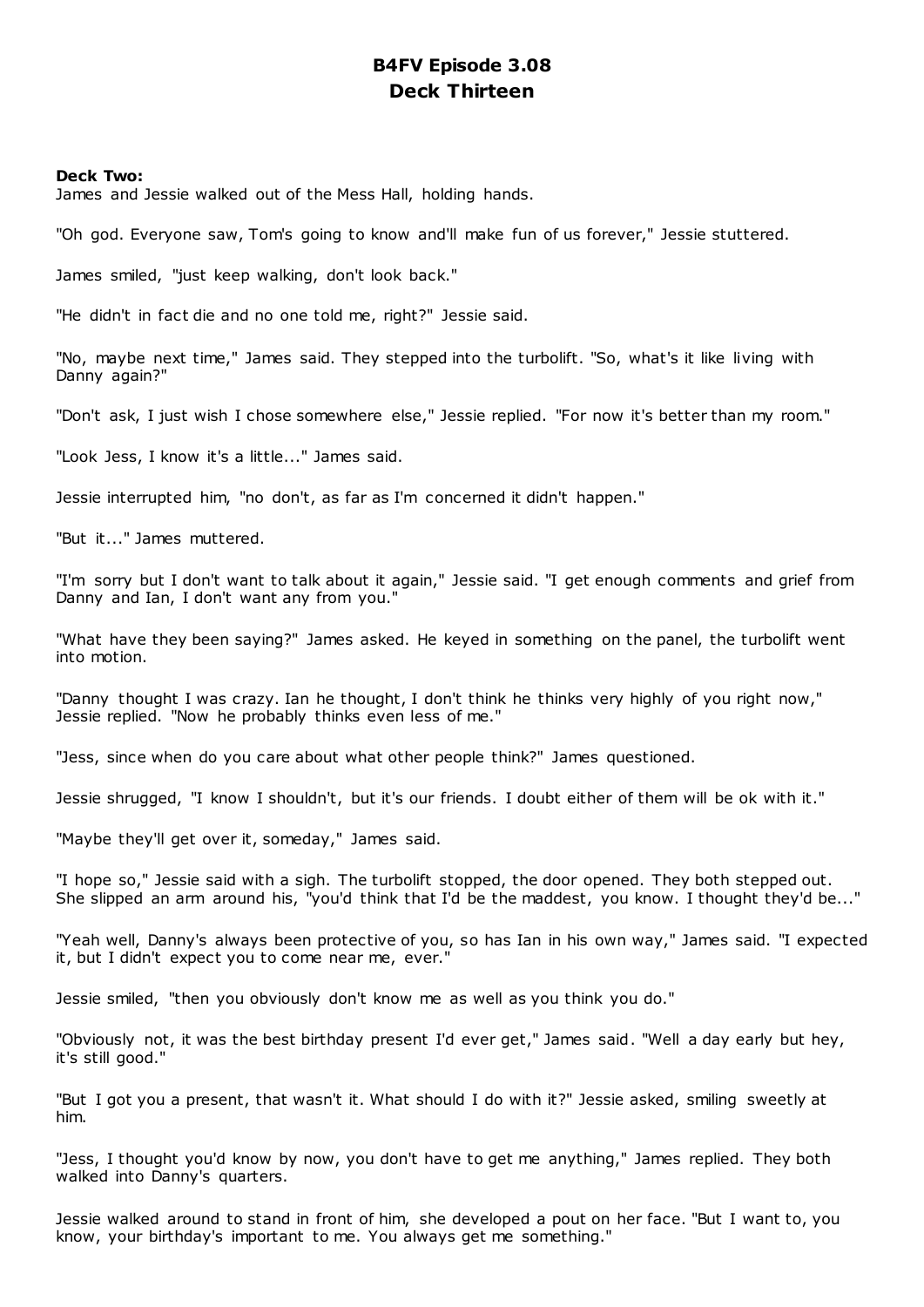# **B4FV Episode 3.08 Deck Thirteen**

### **Deck Two:**

James and Jessie walked out of the Mess Hall, holding hands.

"Oh god. Everyone saw, Tom's going to know and'll make fun of us forever," Jessie stuttered.

James smiled, "just keep walking, don't look back."

"He didn't in fact die and no one told me, right?" Jessie said.

"No, maybe next time," James said. They stepped into the turbolift. "So, what's it like living with Danny again?"

"Don't ask, I just wish I chose somewhere else," Jessie replied. "For now it's better than my room."

"Look Jess, I know it's a little..." James said.

Jessie interrupted him, "no don't, as far as I'm concerned it didn't happen."

"But it..." James muttered.

"I'm sorry but I don't want to talk about it again," Jessie said. "I get enough comments and grief from Danny and Ian, I don't want any from you."

"What have they been saying?" James asked. He keyed in something on the panel, the turbolift went into motion.

"Danny thought I was crazy. Ian he thought, I don't think he thinks very highly of you right now," Jessie replied. "Now he probably thinks even less of me."

"Jess, since when do you care about what other people think?" James questioned.

Jessie shrugged, "I know I shouldn't, but it's our friends. I doubt either of them will be ok with it."

"Maybe they'll get over it, someday," James said.

"I hope so," Jessie said with a sigh. The turbolift stopped, the door opened. They both stepped out. She slipped an arm around his, "you'd think that I'd be the maddest, you know. I thought they'd be..."

"Yeah well, Danny's always been protective of you, so has Ian in his own way," James said. "I expected it, but I didn't expect you to come near me, ever."

Jessie smiled, "then you obviously don't know me as well as you think you do."

"Obviously not, it was the best birthday present I'd ever get," James said. "Well a day early but hey, it's still good."

"But I got you a present, that wasn't it. What should I do with it?" Jessie asked, smiling sweetly at him.

"Jess, I thought you'd know by now, you don't have to get me anything," James replied. They both walked into Danny's quarters.

Jessie walked around to stand in front of him, she developed a pout on her face. "But I want to, you know, your birthday's important to me. You always get me something."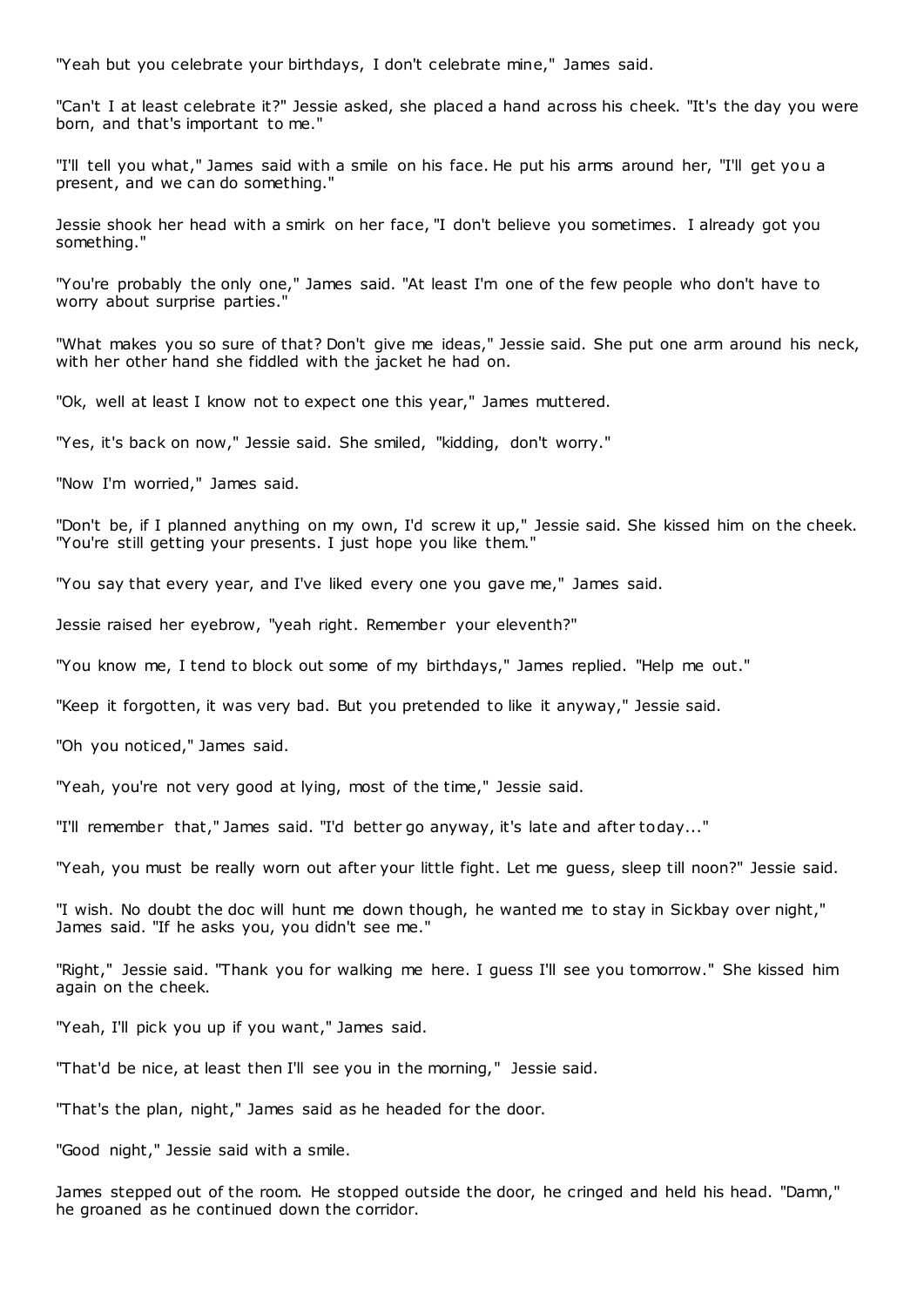"Yeah but you celebrate your birthdays, I don't celebrate mine," James said.

"Can't I at least celebrate it?" Jessie asked, she placed a hand across his cheek. "It's the day you were born, and that's important to me."

"I'll tell you what," James said with a smile on his face. He put his arms around her, "I'll get you a present, and we can do something."

Jessie shook her head with a smirk on her face, "I don't believe you sometimes. I already got you something."

"You're probably the only one," James said. "At least I'm one of the few people who don't have to worry about surprise parties."

"What makes you so sure of that? Don't give me ideas," Jessie said. She put one arm around his neck, with her other hand she fiddled with the jacket he had on.

"Ok, well at least I know not to expect one this year," James muttered.

"Yes, it's back on now," Jessie said. She smiled, "kidding, don't worry."

"Now I'm worried," James said.

"Don't be, if I planned anything on my own, I'd screw it up," Jessie said. She kissed him on the cheek. "You're still getting your presents. I just hope you like them."

"You say that every year, and I've liked every one you gave me," James said.

Jessie raised her eyebrow, "yeah right. Remember your eleventh?"

"You know me, I tend to block out some of my birthdays," James replied. "Help me out."

"Keep it forgotten, it was very bad. But you pretended to like it anyway," Jessie said.

"Oh you noticed," James said.

"Yeah, you're not very good at lying, most of the time," Jessie said.

"I'll remember that," James said. "I'd better go anyway, it's late and after today..."

"Yeah, you must be really worn out after your little fight. Let me guess, sleep till noon?" Jessie said.

"I wish. No doubt the doc will hunt me down though, he wanted me to stay in Sickbay over night," James said. "If he asks you, you didn't see me."

"Right," Jessie said. "Thank you for walking me here. I guess I'll see you tomorrow." She kissed him again on the cheek.

"Yeah, I'll pick you up if you want," James said.

"That'd be nice, at least then I'll see you in the morning," Jessie said.

"That's the plan, night," James said as he headed for the door.

"Good night," Jessie said with a smile.

James stepped out of the room. He stopped outside the door, he cringed and held his head. "Damn," he groaned as he continued down the corridor.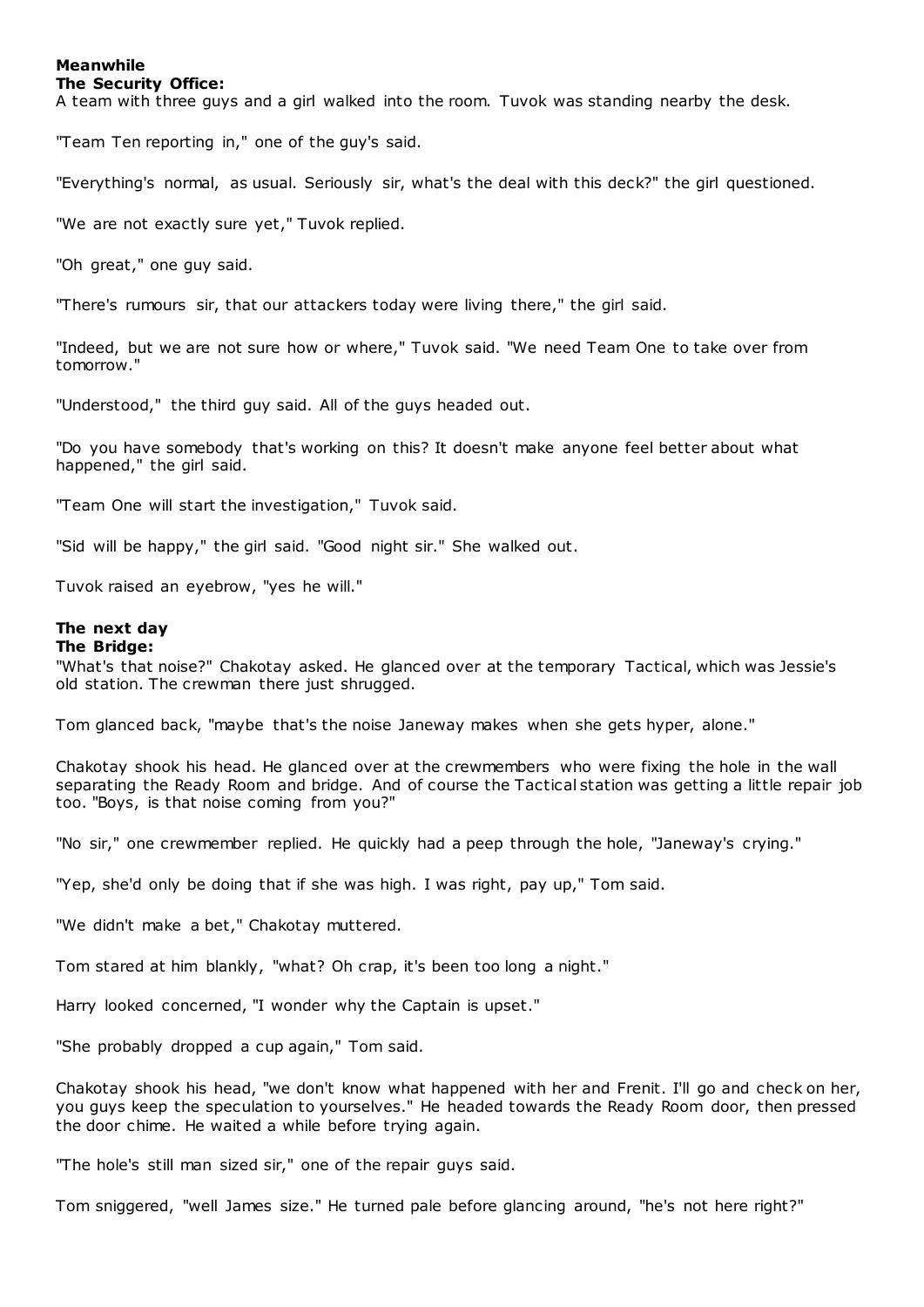### **Meanwhile The Security Office:**

A team with three guys and a girl walked into the room. Tuvok was standing nearby the desk.

"Team Ten reporting in," one of the guy's said.

"Everything's normal, as usual. Seriously sir, what's the deal with this deck?" the girl questioned.

"We are not exactly sure yet," Tuvok replied.

"Oh great," one guy said.

"There's rumours sir, that our attackers today were living there," the girl said.

"Indeed, but we are not sure how or where," Tuvok said. "We need Team One to take over from tomorrow."

"Understood," the third guy said. All of the guys headed out.

"Do you have somebody that's working on this? It doesn't make anyone feel better about what happened," the girl said.

"Team One will start the investigation," Tuvok said.

"Sid will be happy," the girl said. "Good night sir." She walked out.

Tuvok raised an eyebrow, "yes he will."

# **The next day**

# **The Bridge:**

"What's that noise?" Chakotay asked. He glanced over at the temporary Tactical, which was Jessie's old station. The crewman there just shrugged.

Tom glanced back, "maybe that's the noise Janeway makes when she gets hyper, alone."

Chakotay shook his head. He glanced over at the crewmembers who were fixing the hole in the wall separating the Ready Room and bridge. And of course the Tactical station was getting a little repair job too. "Boys, is that noise coming from you?"

"No sir," one crewmember replied. He quickly had a peep through the hole, "Janeway's crying."

"Yep, she'd only be doing that if she was high. I was right, pay up," Tom said.

"We didn't make a bet," Chakotay muttered.

Tom stared at him blankly, "what? Oh crap, it's been too long a night."

Harry looked concerned, "I wonder why the Captain is upset."

"She probably dropped a cup again," Tom said.

Chakotay shook his head, "we don't know what happened with her and Frenit. I'll go and check on her, you guys keep the speculation to yourselves." He headed towards the Ready Room door, then pressed the door chime. He waited a while before trying again.

"The hole's still man sized sir," one of the repair guys said.

Tom sniggered, "well James size." He turned pale before glancing around, "he's not here right?"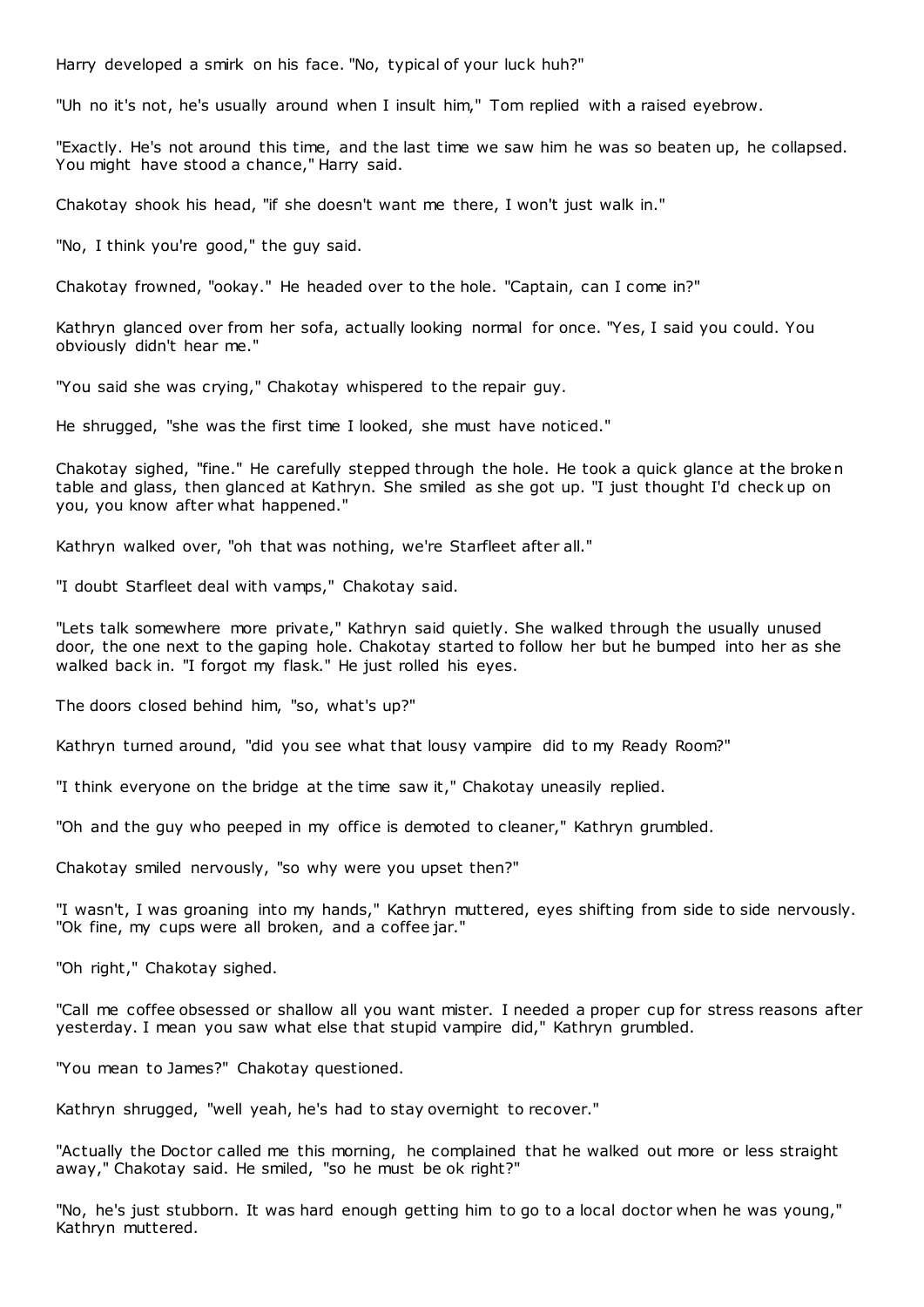Harry developed a smirk on his face. "No, typical of your luck huh?"

"Uh no it's not, he's usually around when I insult him," Tom replied with a raised eyebrow.

"Exactly. He's not around this time, and the last time we saw him he was so beaten up, he collapsed. You might have stood a chance," Harry said.

Chakotay shook his head, "if she doesn't want me there, I won't just walk in."

"No, I think you're good," the guy said.

Chakotay frowned, "ookay." He headed over to the hole. "Captain, can I come in?"

Kathryn glanced over from her sofa, actually looking normal for once. "Yes, I said you could. You obviously didn't hear me."

"You said she was crying," Chakotay whispered to the repair guy.

He shrugged, "she was the first time I looked, she must have noticed."

Chakotay sighed, "fine." He carefully stepped through the hole. He took a quick glance at the broken table and glass, then glanced at Kathryn. She smiled as she got up. "I just thought I'd check up on you, you know after what happened."

Kathryn walked over, "oh that was nothing, we're Starfleet after all."

"I doubt Starfleet deal with vamps," Chakotay said.

"Lets talk somewhere more private," Kathryn said quietly. She walked through the usually unused door, the one next to the gaping hole. Chakotay started to follow her but he bumped into her as she walked back in. "I forgot my flask." He just rolled his eyes.

The doors closed behind him, "so, what's up?"

Kathryn turned around, "did you see what that lousy vampire did to my Ready Room?"

"I think everyone on the bridge at the time saw it," Chakotay uneasily replied.

"Oh and the guy who peeped in my office is demoted to cleaner," Kathryn grumbled.

Chakotay smiled nervously, "so why were you upset then?"

"I wasn't, I was groaning into my hands," Kathryn muttered, eyes shifting from side to side nervously. "Ok fine, my cups were all broken, and a coffee jar."

"Oh right," Chakotay sighed.

"Call me coffee obsessed or shallow all you want mister. I needed a proper cup for stress reasons after yesterday. I mean you saw what else that stupid vampire did," Kathryn grumbled.

"You mean to James?" Chakotay questioned.

Kathryn shrugged, "well yeah, he's had to stay overnight to recover."

"Actually the Doctor called me this morning, he complained that he walked out more or less straight away," Chakotay said. He smiled, "so he must be ok right?"

"No, he's just stubborn. It was hard enough getting him to go to a local doctor when he was young," Kathryn muttered.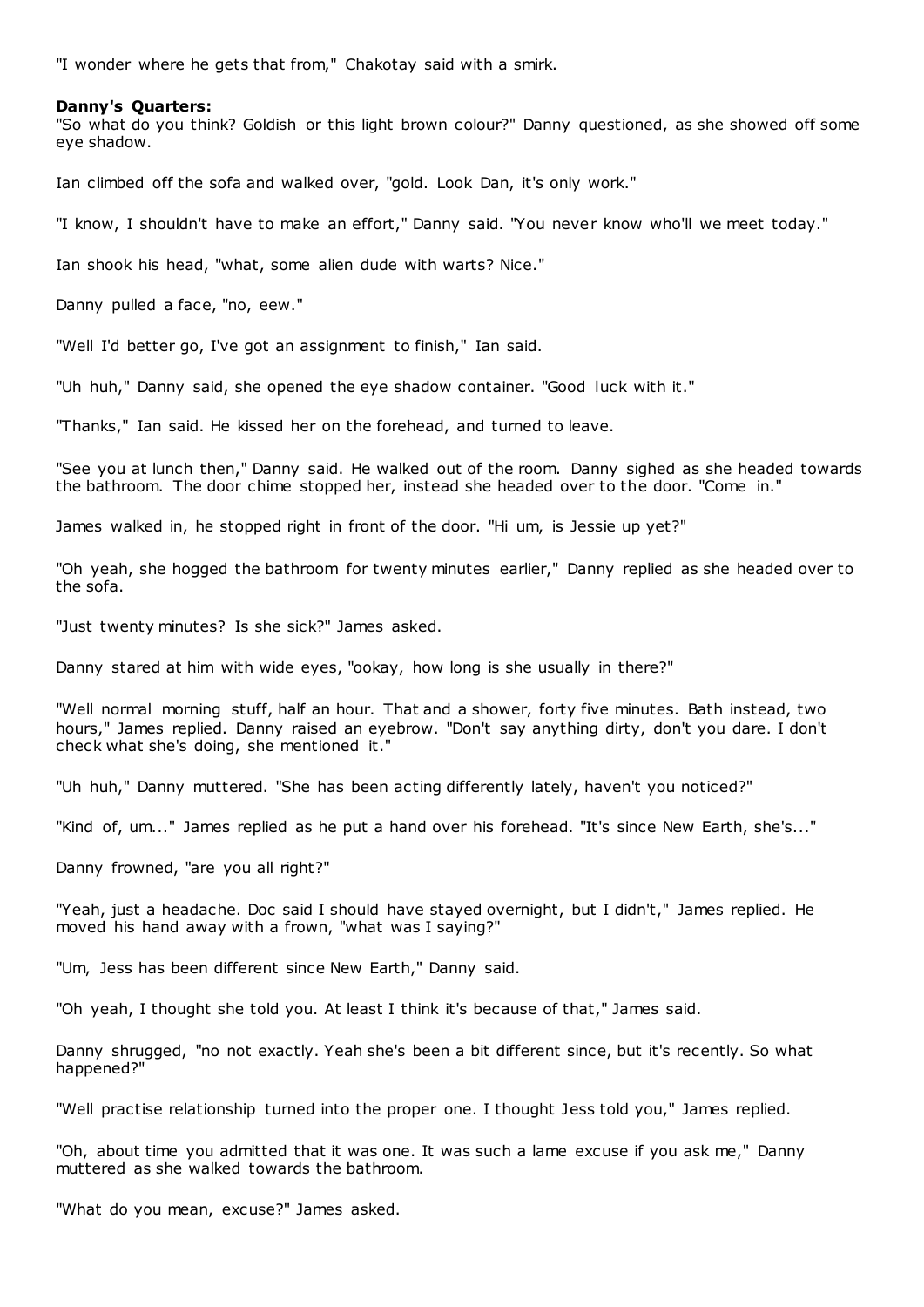"I wonder where he gets that from," Chakotay said with a smirk.

### **Danny's Quarters:**

"So what do you think? Goldish or this light brown colour?" Danny questioned, as she showed off some eye shadow.

Ian climbed off the sofa and walked over, "gold. Look Dan, it's only work."

"I know, I shouldn't have to make an effort," Danny said. "You never know who'll we meet today."

Ian shook his head, "what, some alien dude with warts? Nice."

Danny pulled a face, "no, eew."

"Well I'd better go, I've got an assignment to finish," Ian said.

"Uh huh," Danny said, she opened the eye shadow container. "Good luck with it."

"Thanks," Ian said. He kissed her on the forehead, and turned to leave.

"See you at lunch then," Danny said. He walked out of the room. Danny sighed as she headed towards the bathroom. The door chime stopped her, instead she headed over to the door. "Come in."

James walked in, he stopped right in front of the door. "Hi um, is Jessie up yet?"

"Oh yeah, she hogged the bathroom for twenty minutes earlier," Danny replied as she headed over to the sofa.

"Just twenty minutes? Is she sick?" James asked.

Danny stared at him with wide eyes, "ookay, how long is she usually in there?"

"Well normal morning stuff, half an hour. That and a shower, forty five minutes. Bath instead, two hours," James replied. Danny raised an eyebrow. "Don't say anything dirty, don't you dare. I don't check what she's doing, she mentioned it."

"Uh huh," Danny muttered. "She has been acting differently lately, haven't you noticed?"

"Kind of, um..." James replied as he put a hand over his forehead. "It's since New Earth, she's..."

Danny frowned, "are you all right?"

"Yeah, just a headache. Doc said I should have stayed overnight, but I didn't," James replied. He moved his hand away with a frown, "what was I saying?"

"Um, Jess has been different since New Earth," Danny said.

"Oh yeah, I thought she told you. At least I think it's because of that," James said.

Danny shrugged, "no not exactly. Yeah she's been a bit different since, but it's recently. So what happened?"

"Well practise relationship turned into the proper one. I thought Jess told you," James replied.

"Oh, about time you admitted that it was one. It was such a lame excuse if you ask me," Danny muttered as she walked towards the bathroom.

"What do you mean, excuse?" James asked.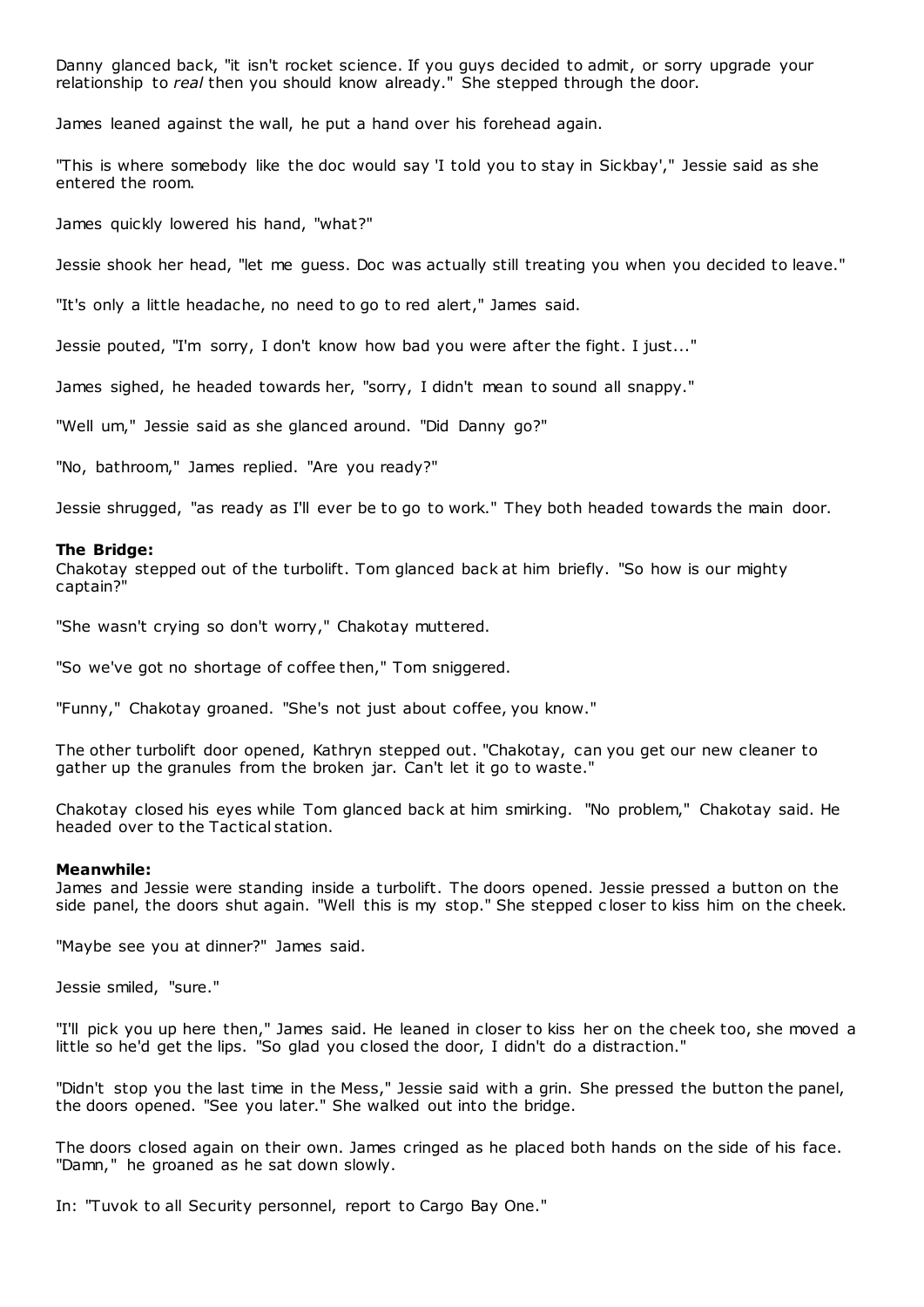Danny glanced back, "it isn't rocket science. If you guys decided to admit, or sorry upgrade your relationship to *real* then you should know already." She stepped through the door.

James leaned against the wall, he put a hand over his forehead again.

"This is where somebody like the doc would say 'I told you to stay in Sickbay'," Jessie said as she entered the room.

James quickly lowered his hand, "what?"

Jessie shook her head, "let me guess. Doc was actually still treating you when you decided to leave."

"It's only a little headache, no need to go to red alert," James said.

Jessie pouted, "I'm sorry, I don't know how bad you were after the fight. I just..."

James sighed, he headed towards her, "sorry, I didn't mean to sound all snappy."

"Well um," Jessie said as she glanced around. "Did Danny go?"

"No, bathroom," James replied. "Are you ready?"

Jessie shrugged, "as ready as I'll ever be to go to work." They both headed towards the main door.

#### **The Bridge:**

Chakotay stepped out of the turbolift. Tom glanced back at him briefly. "So how is our mighty captain?"

"She wasn't crying so don't worry," Chakotay muttered.

"So we've got no shortage of coffee then," Tom sniggered.

"Funny," Chakotay groaned. "She's not just about coffee, you know."

The other turbolift door opened, Kathryn stepped out. "Chakotay, can you get our new cleaner to gather up the granules from the broken jar. Can't let it go to waste."

Chakotay closed his eyes while Tom glanced back at him smirking. "No problem," Chakotay said. He headed over to the Tactical station.

#### **Meanwhile:**

James and Jessie were standing inside a turbolift. The doors opened. Jessie pressed a button on the side panel, the doors shut again. "Well this is my stop." She stepped c loser to kiss him on the cheek.

"Maybe see you at dinner?" James said.

Jessie smiled, "sure."

"I'll pick you up here then," James said. He leaned in closer to kiss her on the cheek too, she moved a little so he'd get the lips. "So glad you closed the door, I didn't do a distraction."

"Didn't stop you the last time in the Mess," Jessie said with a grin. She pressed the button the panel, the doors opened. "See you later." She walked out into the bridge.

The doors closed again on their own. James cringed as he placed both hands on the side of his face. "Damn," he groaned as he sat down slowly.

In: "Tuvok to all Security personnel, report to Cargo Bay One."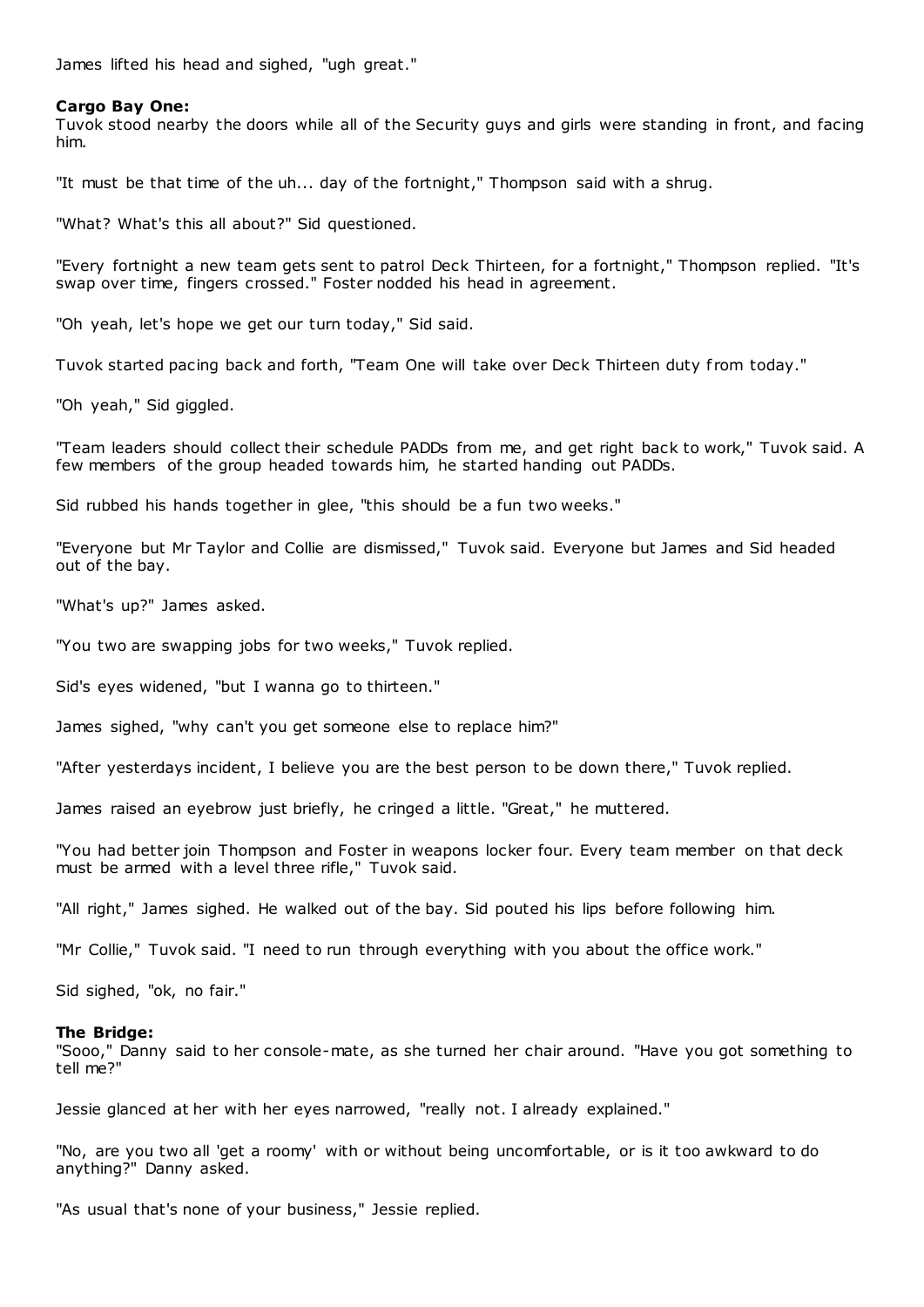James lifted his head and sighed, "ugh great."

### **Cargo Bay One:**

Tuvok stood nearby the doors while all of the Security guys and girls were standing in front, and facing him.

"It must be that time of the uh... day of the fortnight," Thompson said with a shrug.

"What? What's this all about?" Sid questioned.

"Every fortnight a new team gets sent to patrol Deck Thirteen, for a fortnight," Thompson replied. "It's swap over time, fingers crossed." Foster nodded his head in agreement.

"Oh yeah, let's hope we get our turn today," Sid said.

Tuvok started pacing back and forth, "Team One will take over Deck Thirteen duty from today."

"Oh yeah," Sid giggled.

"Team leaders should collect their schedule PADDs from me, and get right back to work," Tuvok said. A few members of the group headed towards him, he started handing out PADDs.

Sid rubbed his hands together in glee, "this should be a fun two weeks."

"Everyone but Mr Taylor and Collie are dismissed," Tuvok said. Everyone but James and Sid headed out of the bay.

"What's up?" James asked.

"You two are swapping jobs for two weeks," Tuvok replied.

Sid's eyes widened, "but I wanna go to thirteen."

James sighed, "why can't you get someone else to replace him?"

"After yesterdays incident, I believe you are the best person to be down there," Tuvok replied.

James raised an eyebrow just briefly, he cringed a little. "Great," he muttered.

"You had better join Thompson and Foster in weapons locker four. Every team member on that deck must be armed with a level three rifle," Tuvok said.

"All right," James sighed. He walked out of the bay. Sid pouted his lips before following him.

"Mr Collie," Tuvok said. "I need to run through everything with you about the office work."

Sid sighed, "ok, no fair."

#### **The Bridge:**

"Sooo," Danny said to her console-mate, as she turned her chair around. "Have you got something to tell me?"

Jessie glanced at her with her eyes narrowed, "really not. I already explained."

"No, are you two all 'get a roomy' with or without being uncomfortable, or is it too awkward to do anything?" Danny asked.

"As usual that's none of your business," Jessie replied.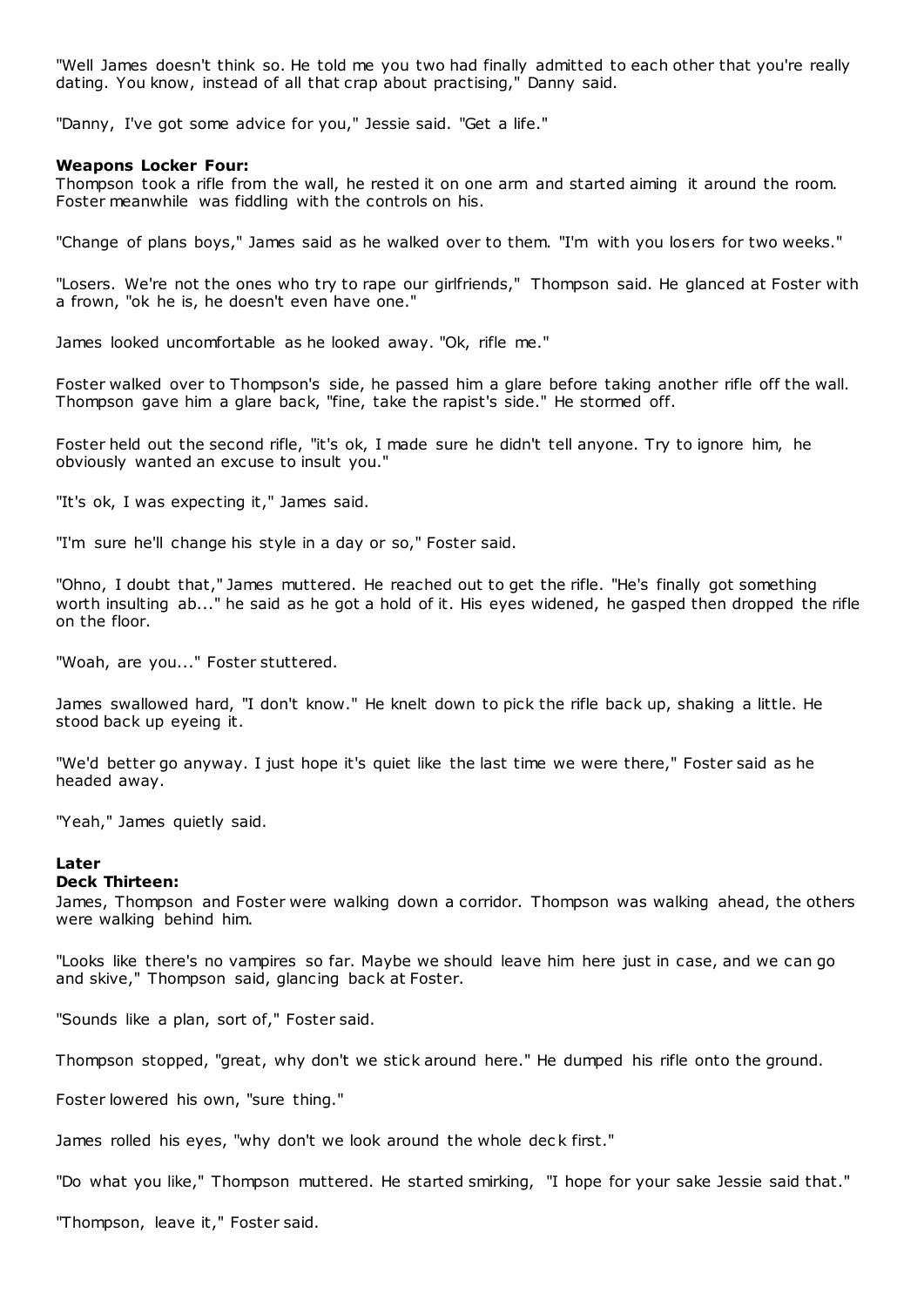"Well James doesn't think so. He told me you two had finally admitted to each other that you're really dating. You know, instead of all that crap about practising," Danny said.

"Danny, I've got some advice for you," Jessie said. "Get a life."

### **Weapons Locker Four:**

Thompson took a rifle from the wall, he rested it on one arm and started aiming it around the room. Foster meanwhile was fiddling with the controls on his.

"Change of plans boys," James said as he walked over to them. "I'm with you losers for two weeks."

"Losers. We're not the ones who try to rape our girlfriends," Thompson said. He glanced at Foster with a frown, "ok he is, he doesn't even have one."

James looked uncomfortable as he looked away. "Ok, rifle me."

Foster walked over to Thompson's side, he passed him a glare before taking another rifle off the wall. Thompson gave him a glare back, "fine, take the rapist's side." He stormed off.

Foster held out the second rifle, "it's ok, I made sure he didn't tell anyone. Try to ignore him, he obviously wanted an excuse to insult you."

"It's ok, I was expecting it," James said.

"I'm sure he'll change his style in a day or so," Foster said.

"Ohno, I doubt that," James muttered. He reached out to get the rifle. "He's finally got something worth insulting ab..." he said as he got a hold of it. His eyes widened, he gasped then dropped the rifle on the floor.

"Woah, are you..." Foster stuttered.

James swallowed hard, "I don't know." He knelt down to pick the rifle back up, shaking a little. He stood back up eyeing it.

"We'd better go anyway. I just hope it's quiet like the last time we were there," Foster said as he headed away.

"Yeah," James quietly said.

# **Later**

#### **Deck Thirteen:**

James, Thompson and Foster were walking down a corridor. Thompson was walking ahead, the others were walking behind him.

"Looks like there's no vampires so far. Maybe we should leave him here just in case, and we can go and skive," Thompson said, glancing back at Foster.

"Sounds like a plan, sort of," Foster said.

Thompson stopped, "great, why don't we stick around here." He dumped his rifle onto the ground.

Foster lowered his own, "sure thing."

James rolled his eyes, "why don't we look around the whole dec k first."

"Do what you like," Thompson muttered. He started smirking, "I hope for your sake Jessie said that."

"Thompson, leave it," Foster said.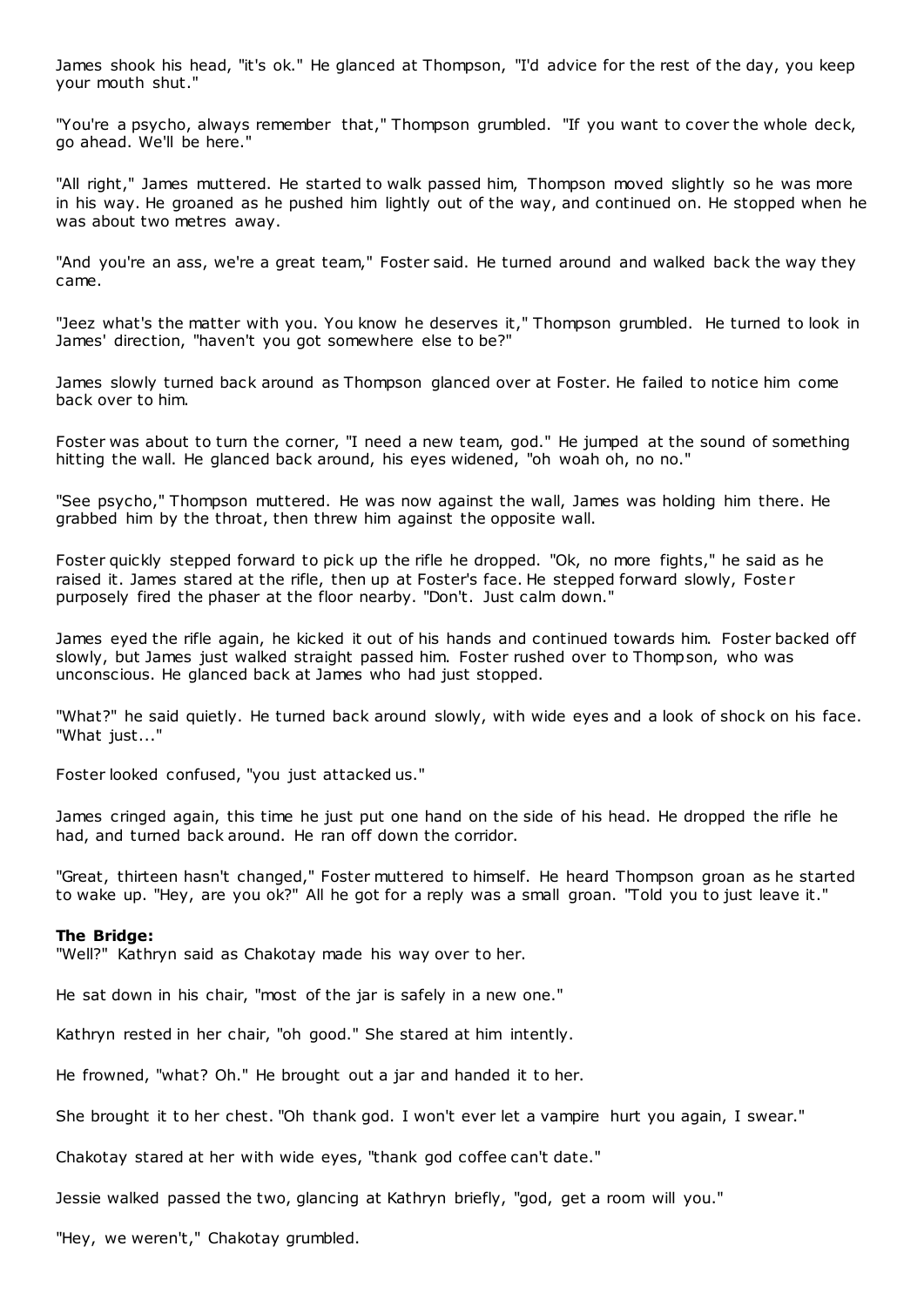James shook his head, "it's ok." He glanced at Thompson, "I'd advice for the rest of the day, you keep your mouth shut."

"You're a psycho, always remember that," Thompson grumbled. "If you want to cover the whole deck, go ahead. We'll be here."

"All right," James muttered. He started to walk passed him, Thompson moved slightly so he was more in his way. He groaned as he pushed him lightly out of the way, and continued on. He stopped when he was about two metres away.

"And you're an ass, we're a great team," Foster said. He turned around and walked back the way they came.

"Jeez what's the matter with you. You know he deserves it," Thompson grumbled. He turned to look in James' direction, "haven't you got somewhere else to be?"

James slowly turned back around as Thompson glanced over at Foster. He failed to notice him come back over to him.

Foster was about to turn the corner, "I need a new team, god." He jumped at the sound of something hitting the wall. He glanced back around, his eyes widened, "oh woah oh, no no."

"See psycho," Thompson muttered. He was now against the wall, James was holding him there. He grabbed him by the throat, then threw him against the opposite wall.

Foster quickly stepped forward to pick up the rifle he dropped. "Ok, no more fights," he said as he raised it. James stared at the rifle, then up at Foster's face. He stepped forward slowly, Foster purposely fired the phaser at the floor nearby. "Don't. Just calm down."

James eyed the rifle again, he kicked it out of his hands and continued towards him. Foster backed off slowly, but James just walked straight passed him. Foster rushed over to Thompson, who was unconscious. He glanced back at James who had just stopped.

"What?" he said quietly. He turned back around slowly, with wide eyes and a look of shock on his face. "What just..."

Foster looked confused, "you just attacked us."

James cringed again, this time he just put one hand on the side of his head. He dropped the rifle he had, and turned back around. He ran off down the corridor.

"Great, thirteen hasn't changed," Foster muttered to himself. He heard Thompson groan as he started to wake up. "Hey, are you ok?" All he got for a reply was a small groan. "Told you to just leave it."

# **The Bridge:**

"Well?" Kathryn said as Chakotay made his way over to her.

He sat down in his chair, "most of the jar is safely in a new one."

Kathryn rested in her chair, "oh good." She stared at him intently.

He frowned, "what? Oh." He brought out a jar and handed it to her.

She brought it to her chest. "Oh thank god. I won't ever let a vampire hurt you again, I swear."

Chakotay stared at her with wide eyes, "thank god coffee can't date."

Jessie walked passed the two, glancing at Kathryn briefly, "god, get a room will you."

"Hey, we weren't," Chakotay grumbled.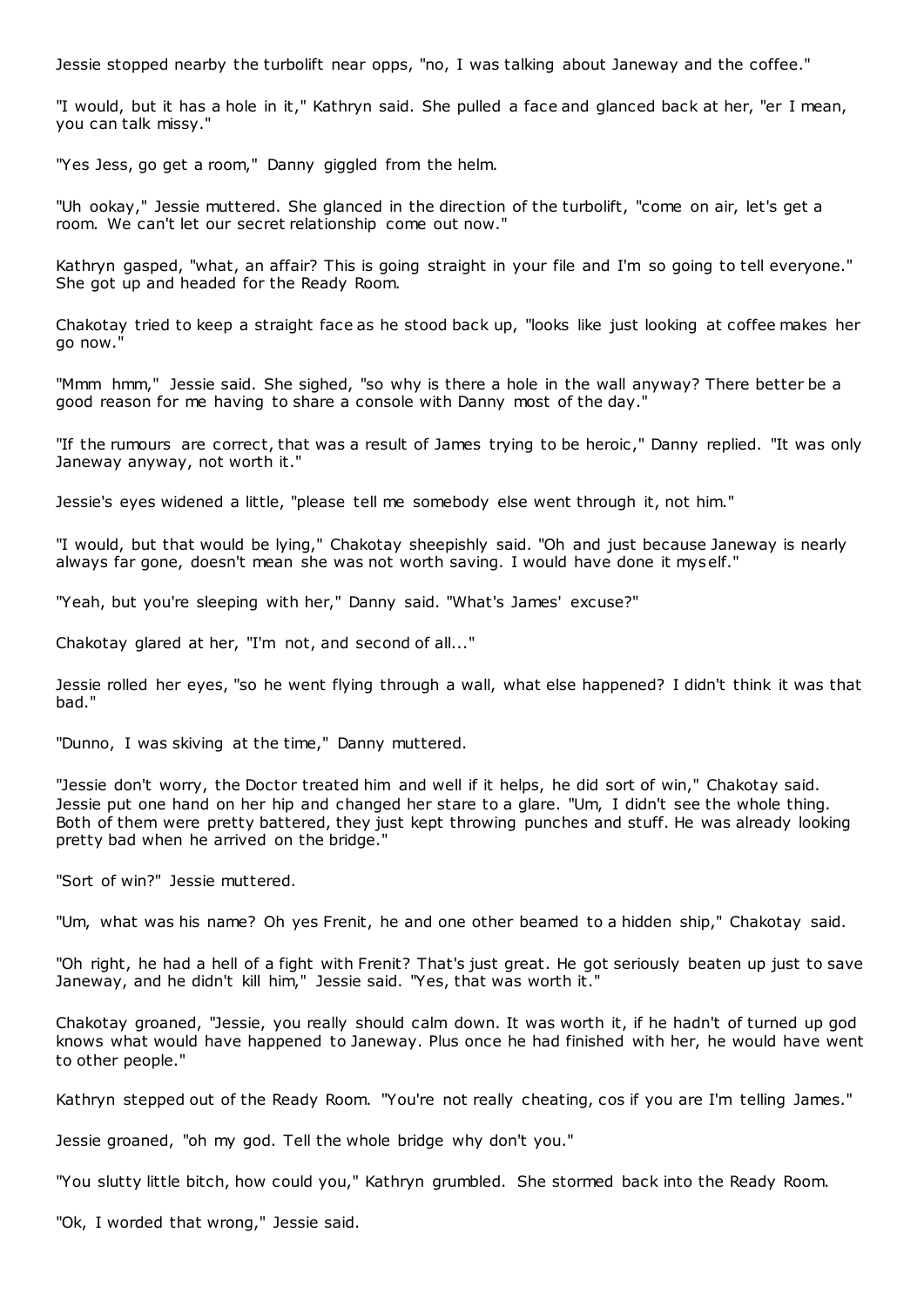Jessie stopped nearby the turbolift near opps, "no, I was talking about Janeway and the coffee."

"I would, but it has a hole in it," Kathryn said. She pulled a face and glanced back at her, "er I mean, you can talk missy."

"Yes Jess, go get a room," Danny giggled from the helm.

"Uh ookay," Jessie muttered. She glanced in the direction of the turbolift, "come on air, let's get a room. We can't let our secret relationship come out now."

Kathryn gasped, "what, an affair? This is going straight in your file and I'm so going to tell everyone." She got up and headed for the Ready Room.

Chakotay tried to keep a straight face as he stood back up, "looks like just looking at coffee makes her go now."

"Mmm hmm," Jessie said. She sighed, "so why is there a hole in the wall anyway? There better be a good reason for me having to share a console with Danny most of the day."

"If the rumours are correct, that was a result of James trying to be heroic ," Danny replied. "It was only Janeway anyway, not worth it."

Jessie's eyes widened a little, "please tell me somebody else went through it, not him."

"I would, but that would be lying," Chakotay sheepishly said. "Oh and just because Janeway is nearly always far gone, doesn't mean she was not worth saving. I would have done it myself."

"Yeah, but you're sleeping with her," Danny said. "What's James' excuse?"

Chakotay glared at her, "I'm not, and second of all..."

Jessie rolled her eyes, "so he went flying through a wall, what else happened? I didn't think it was that bad."

"Dunno, I was skiving at the time," Danny muttered.

"Jessie don't worry, the Doctor treated him and well if it helps, he did sort of win," Chakotay said. Jessie put one hand on her hip and changed her stare to a glare. "Um, I didn't see the whole thing. Both of them were pretty battered, they just kept throwing punches and stuff. He was already looking pretty bad when he arrived on the bridge."

"Sort of win?" Jessie muttered.

"Um, what was his name? Oh yes Frenit, he and one other beamed to a hidden ship," Chakotay said.

"Oh right, he had a hell of a fight with Frenit? That's just great. He got seriously beaten up just to save Janeway, and he didn't kill him," Jessie said. "Yes, that was worth it."

Chakotay groaned, "Jessie, you really should calm down. It was worth it, if he hadn't of turned up god knows what would have happened to Janeway. Plus once he had finished with her, he would have went to other people."

Kathryn stepped out of the Ready Room. "You're not really cheating, cos if you are I'm telling James."

Jessie groaned, "oh my god. Tell the whole bridge why don't you."

"You slutty little bitch, how could you," Kathryn grumbled. She stormed back into the Ready Room.

"Ok, I worded that wrong," Jessie said.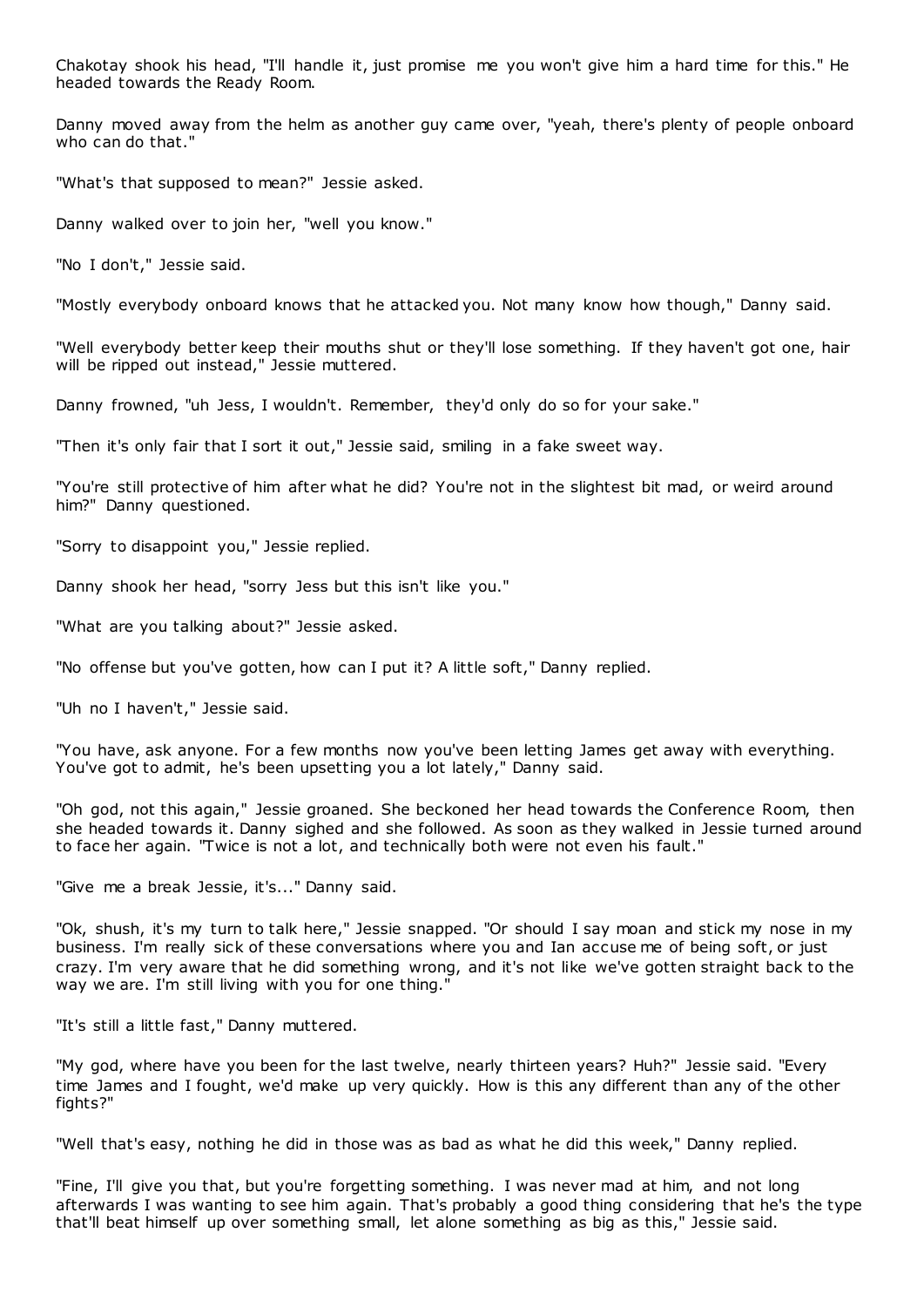Chakotay shook his head, "I'll handle it, just promise me you won't give him a hard time for this." He headed towards the Ready Room.

Danny moved away from the helm as another guy came over, "yeah, there's plenty of people onboard who can do that."

"What's that supposed to mean?" Jessie asked.

Danny walked over to join her, "well you know."

"No I don't," Jessie said.

"Mostly everybody onboard knows that he attacked you. Not many know how though," Danny said.

"Well everybody better keep their mouths shut or they'll lose something. If they haven't got one, hair will be ripped out instead," Jessie muttered.

Danny frowned, "uh Jess, I wouldn't. Remember, they'd only do so for your sake."

"Then it's only fair that I sort it out," Jessie said, smiling in a fake sweet way.

"You're still protective of him after what he did? You're not in the slightest bit mad, or weird around him?" Danny questioned.

"Sorry to disappoint you," Jessie replied.

Danny shook her head, "sorry Jess but this isn't like you."

"What are you talking about?" Jessie asked.

"No offense but you've gotten, how can I put it? A little soft," Danny replied.

"Uh no I haven't," Jessie said.

"You have, ask anyone. For a few months now you've been letting James get away with everything. You've got to admit, he's been upsetting you a lot lately," Danny said.

"Oh god, not this again," Jessie groaned. She beckoned her head towards the Conference Room, then she headed towards it. Danny sighed and she followed. As soon as they walked in Jessie turned around to face her again. "Twice is not a lot, and technically both were not even his fault."

"Give me a break Jessie, it's..." Danny said.

"Ok, shush, it's my turn to talk here," Jessie snapped. "Or should I say moan and stick my nose in my business. I'm really sick of these conversations where you and Ian accuse me of being soft, or just crazy. I'm very aware that he did something wrong, and it's not like we've gotten straight back to the way we are. I'm still living with you for one thing."

"It's still a little fast," Danny muttered.

"My god, where have you been for the last twelve, nearly thirteen years? Huh?" Jessie said. "Every time James and I fought, we'd make up very quickly. How is this any different than any of the other fights?"

"Well that's easy, nothing he did in those was as bad as what he did this week," Danny replied.

"Fine, I'll give you that, but you're forgetting something. I was never mad at him, and not long afterwards I was wanting to see him again. That's probably a good thing considering that he's the type that'll beat himself up over something small, let alone something as big as this," Jessie said.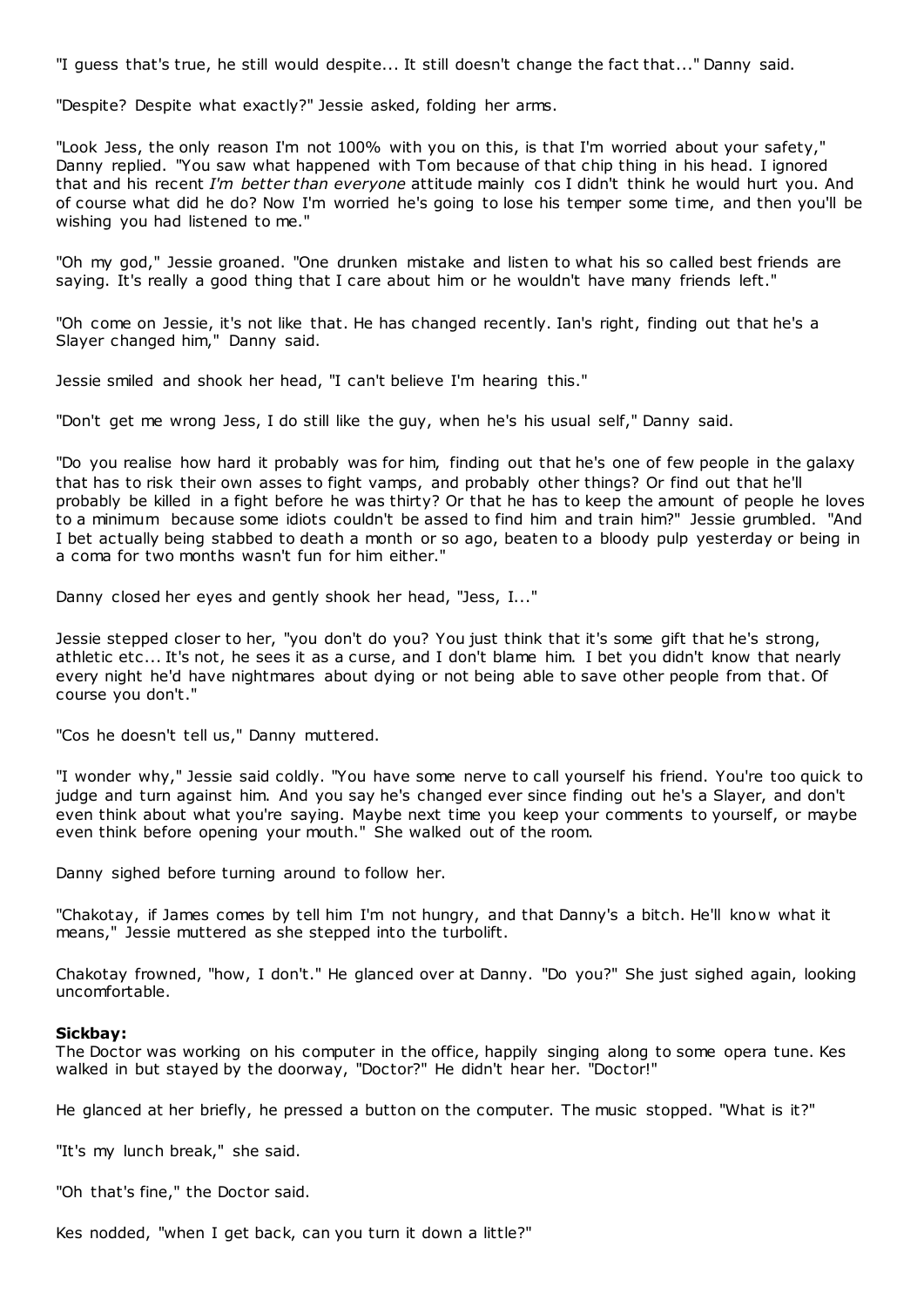"I guess that's true, he still would despite... It still doesn't change the fact that..." Danny said.

"Despite? Despite what exactly?" Jessie asked, folding her arms.

"Look Jess, the only reason I'm not 100% with you on this, is that I'm worried about your safety," Danny replied. "You saw what happened with Tom because of that chip thing in his head. I ignored that and his recent *I'm better than everyone* attitude mainly cos I didn't think he would hurt you. And of course what did he do? Now I'm worried he's going to lose his temper some time, and then you'll be wishing you had listened to me."

"Oh my god," Jessie groaned. "One drunken mistake and listen to what his so called best friends are saying. It's really a good thing that I care about him or he wouldn't have many friends left."

"Oh come on Jessie, it's not like that. He has changed recently. Ian's right, finding out that he's a Slayer changed him," Danny said.

Jessie smiled and shook her head, "I can't believe I'm hearing this."

"Don't get me wrong Jess, I do still like the guy, when he's his usual self," Danny said.

"Do you realise how hard it probably was for him, finding out that he's one of few people in the galaxy that has to risk their own asses to fight vamps, and probably other things? Or find out that he'll probably be killed in a fight before he was thirty? Or that he has to keep the amount of people he loves to a minimum because some idiots couldn't be assed to find him and train him?" Jessie grumbled. "And I bet actually being stabbed to death a month or so ago, beaten to a bloody pulp yesterday or being in a coma for two months wasn't fun for him either."

Danny closed her eyes and gently shook her head, "Jess, I..."

Jessie stepped closer to her, "you don't do you? You just think that it's some gift that he's strong, athletic etc ... It's not, he sees it as a curse, and I don't blame him. I bet you didn't know that nearly every night he'd have nightmares about dying or not being able to save other people from that. Of course you don't."

"Cos he doesn't tell us," Danny muttered.

"I wonder why," Jessie said coldly. "You have some nerve to call yourself his friend. You're too quick to judge and turn against him. And you say he's changed ever since finding out he's a Slayer, and don't even think about what you're saying. Maybe next time you keep your comments to yourself, or maybe even think before opening your mouth." She walked out of the room.

Danny sighed before turning around to follow her.

"Chakotay, if James comes by tell him I'm not hungry, and that Danny's a bitch. He'll know what it means," Jessie muttered as she stepped into the turbolift.

Chakotay frowned, "how, I don't." He glanced over at Danny. "Do you?" She just sighed again, looking uncomfortable.

#### **Sickbay:**

The Doctor was working on his computer in the office, happily singing along to some opera tune. Kes walked in but stayed by the doorway, "Doctor?" He didn't hear her. "Doctor!"

He glanced at her briefly, he pressed a button on the computer. The music stopped. "What is it?"

"It's my lunch break," she said.

"Oh that's fine," the Doctor said.

Kes nodded, "when I get back, can you turn it down a little?"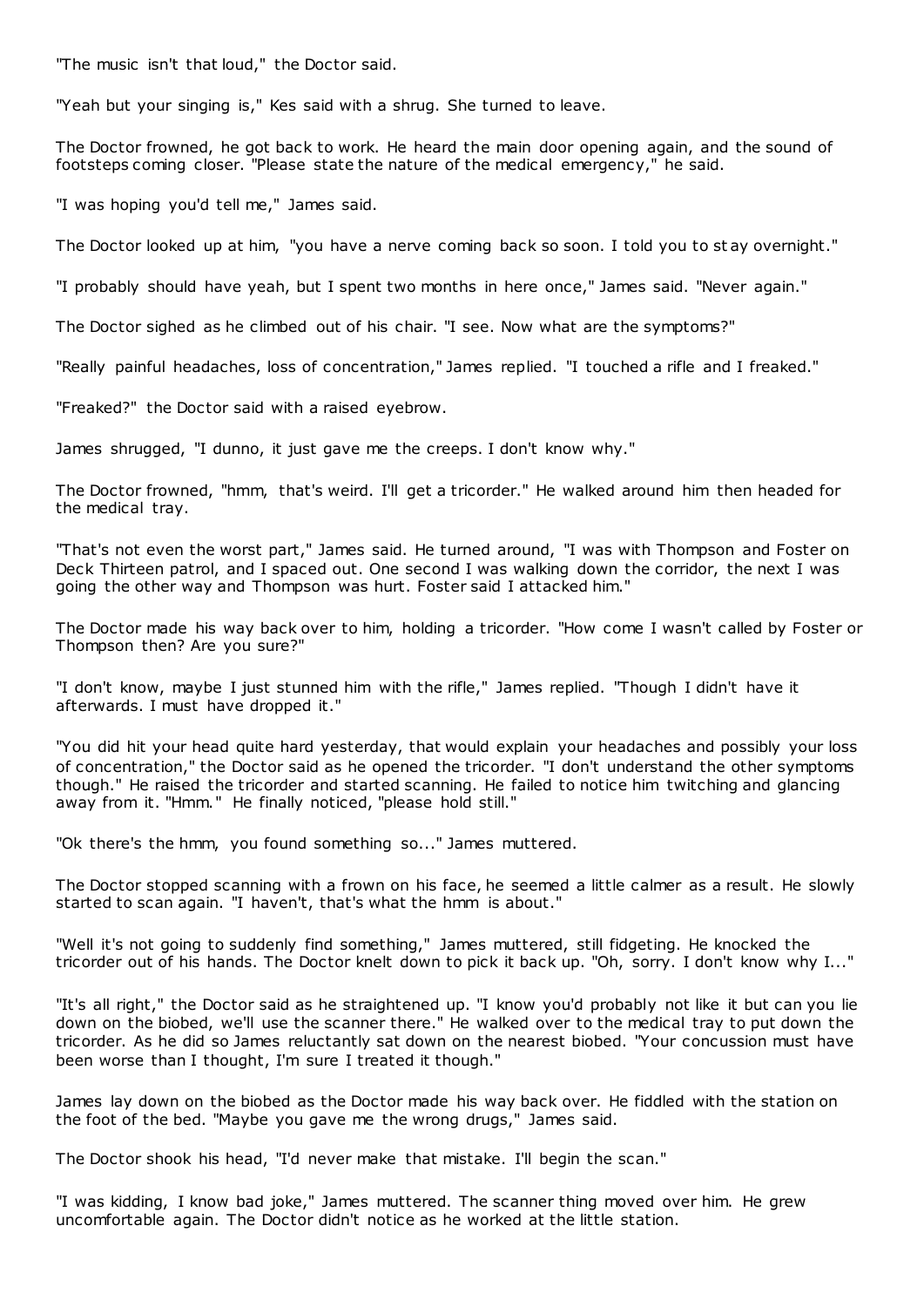"The music isn't that loud," the Doctor said.

"Yeah but your singing is," Kes said with a shrug. She turned to leave.

The Doctor frowned, he got back to work. He heard the main door opening again, and the sound of footsteps coming closer. "Please state the nature of the medical emergency," he said.

"I was hoping you'd tell me," James said.

The Doctor looked up at him, "you have a nerve coming back so soon. I told you to st ay overnight."

"I probably should have yeah, but I spent two months in here once," James said. "Never again."

The Doctor sighed as he climbed out of his chair. "I see. Now what are the symptoms?"

"Really painful headaches, loss of concentration," James replied. "I touched a rifle and I freaked."

"Freaked?" the Doctor said with a raised eyebrow.

James shrugged, "I dunno, it just gave me the creeps. I don't know why."

The Doctor frowned, "hmm, that's weird. I'll get a tricorder." He walked around him then headed for the medical tray.

"That's not even the worst part," James said. He turned around, "I was with Thompson and Foster on Deck Thirteen patrol, and I spaced out. One second I was walking down the corridor, the next I was going the other way and Thompson was hurt. Foster said I attacked him."

The Doctor made his way back over to him, holding a tricorder. "How come I wasn't called by Foster or Thompson then? Are you sure?"

"I don't know, maybe I just stunned him with the rifle," James replied. "Though I didn't have it afterwards. I must have dropped it."

"You did hit your head quite hard yesterday, that would explain your headaches and possibly your loss of concentration," the Doctor said as he opened the tricorder. "I don't understand the other symptoms though." He raised the tricorder and started scanning. He failed to notice him twitching and glancing away from it. "Hmm." He finally noticed, "please hold still."

"Ok there's the hmm, you found something so..." James muttered.

The Doctor stopped scanning with a frown on his face, he seemed a little calmer as a result. He slowly started to scan again. "I haven't, that's what the hmm is about."

"Well it's not going to suddenly find something," James muttered, still fidgeting. He knocked the tricorder out of his hands. The Doctor knelt down to pick it back up. "Oh, sorry. I don't know why I..."

"It's all right," the Doctor said as he straightened up. "I know you'd probably not like it but can you lie down on the biobed, we'll use the scanner there." He walked over to the medical tray to put down the tricorder. As he did so James reluctantly sat down on the nearest biobed. "Your concussion must have been worse than I thought, I'm sure I treated it though."

James lay down on the biobed as the Doctor made his way back over. He fiddled with the station on the foot of the bed. "Maybe you gave me the wrong drugs," James said.

The Doctor shook his head, "I'd never make that mistake. I'll begin the scan."

"I was kidding, I know bad joke," James muttered. The scanner thing moved over him. He grew uncomfortable again. The Doctor didn't notice as he worked at the little station.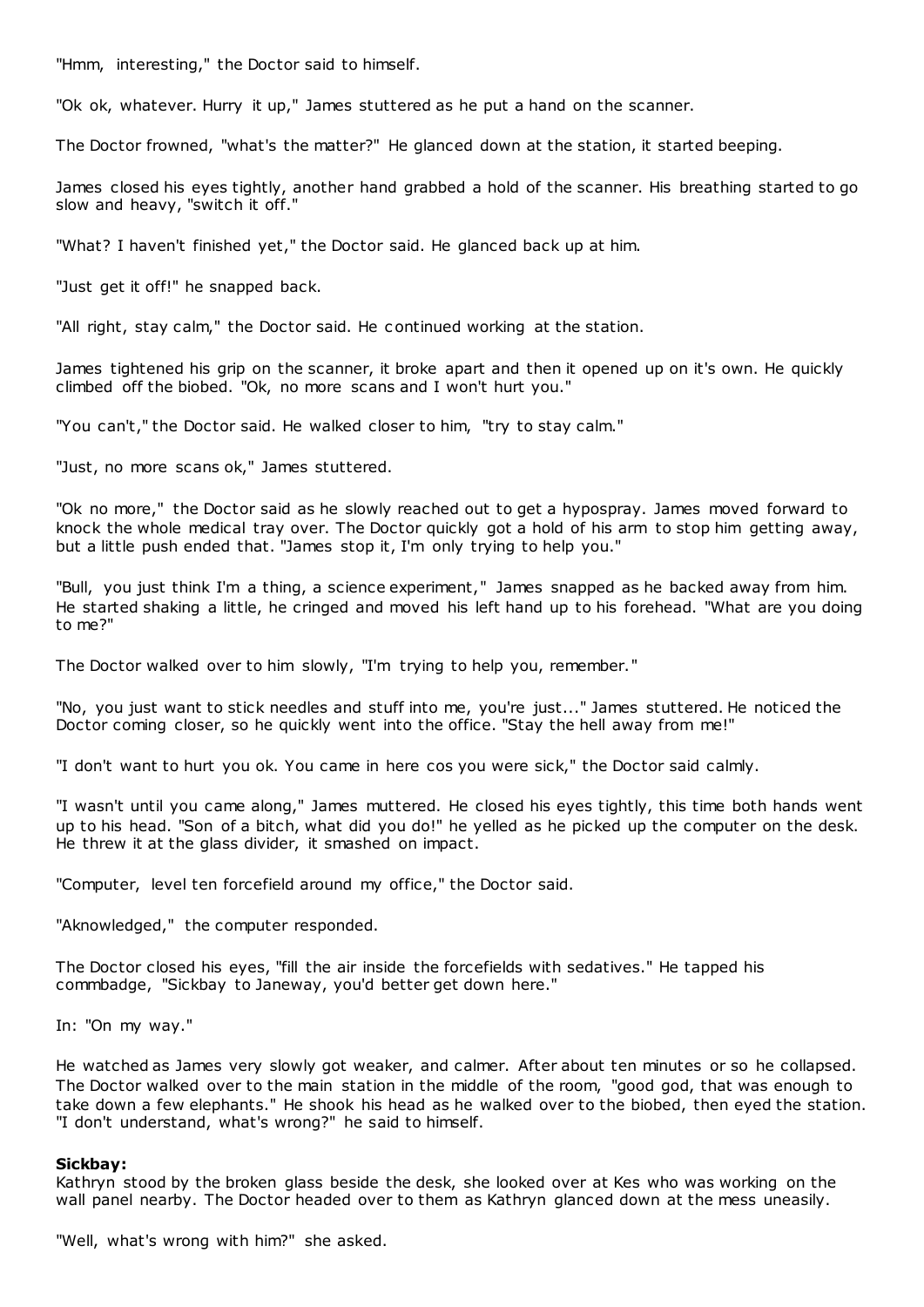"Hmm, interesting," the Doctor said to himself.

"Ok ok, whatever. Hurry it up," James stuttered as he put a hand on the scanner.

The Doctor frowned, "what's the matter?" He glanced down at the station, it started beeping.

James closed his eyes tightly, another hand grabbed a hold of the scanner. His breathing started to go slow and heavy, "switch it off."

"What? I haven't finished yet," the Doctor said. He glanced back up at him.

"Just get it off!" he snapped back.

"All right, stay calm," the Doctor said. He continued working at the station.

James tightened his grip on the scanner, it broke apart and then it opened up on it's own. He quickly climbed off the biobed. "Ok, no more scans and I won't hurt you."

"You can't," the Doctor said. He walked closer to him, "try to stay calm."

"Just, no more scans ok," James stuttered.

"Ok no more," the Doctor said as he slowly reached out to get a hypospray. James moved forward to knock the whole medical tray over. The Doctor quickly got a hold of his arm to stop him getting away, but a little push ended that. "James stop it, I'm only trying to help you."

"Bull, you just think I'm a thing, a science experiment," James snapped as he backed away from him. He started shaking a little, he cringed and moved his left hand up to his forehead. "What are you doing to me?"

The Doctor walked over to him slowly, "I'm trying to help you, remember."

"No, you just want to stick needles and stuff into me, you're just..." James stuttered. He noticed the Doctor coming closer, so he quickly went into the office. "Stay the hell away from me!"

"I don't want to hurt you ok. You came in here cos you were sick," the Doctor said calmly.

"I wasn't until you came along," James muttered. He closed his eyes tightly, this time both hands went up to his head. "Son of a bitch, what did you do!" he yelled as he picked up the computer on the desk. He threw it at the glass divider, it smashed on impact.

"Computer, level ten forcefield around my office," the Doctor said.

"Aknowledged," the computer responded.

The Doctor closed his eyes, "fill the air inside the forcefields with sedatives." He tapped his commbadge, "Sickbay to Janeway, you'd better get down here."

In: "On my way."

He watched as James very slowly got weaker, and calmer. After about ten minutes or so he collapsed. The Doctor walked over to the main station in the middle of the room, "good god, that was enough to take down a few elephants." He shook his head as he walked over to the biobed, then eyed the station. "I don't understand, what's wrong?" he said to himself.

#### **Sickbay:**

Kathryn stood by the broken glass beside the desk, she looked over at Kes who was working on the wall panel nearby. The Doctor headed over to them as Kathryn glanced down at the mess uneasily.

"Well, what's wrong with him?" she asked.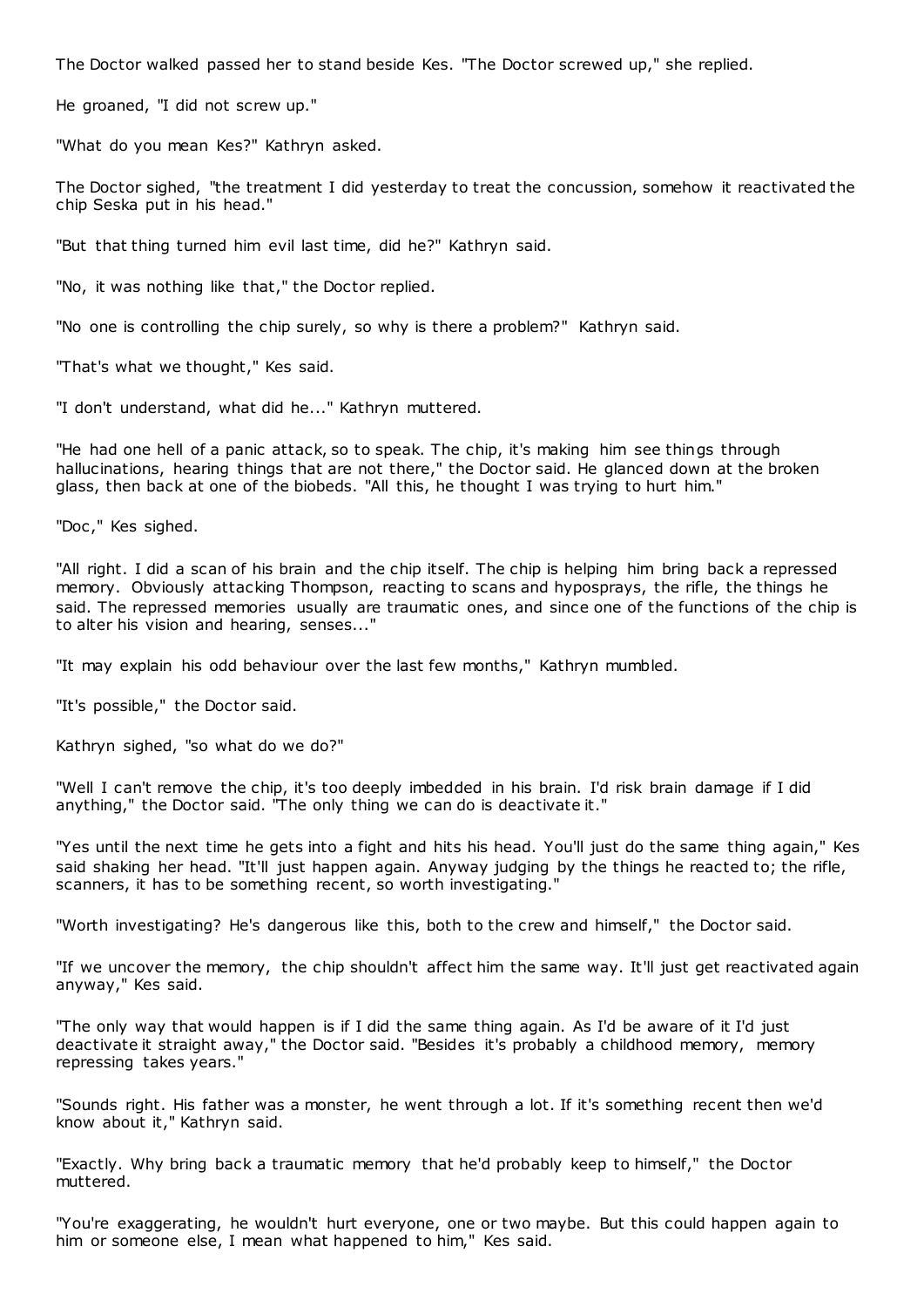The Doctor walked passed her to stand beside Kes. "The Doctor screwed up," she replied.

He groaned, "I did not screw up."

"What do you mean Kes?" Kathryn asked.

The Doctor sighed, "the treatment I did yesterday to treat the concussion, somehow it reactivated the chip Seska put in his head."

"But that thing turned him evil last time, did he?" Kathryn said.

"No, it was nothing like that," the Doctor replied.

"No one is controlling the chip surely, so why is there a problem?" Kathryn said.

"That's what we thought," Kes said.

"I don't understand, what did he..." Kathryn muttered.

"He had one hell of a panic attack, so to speak. The chip, it's making him see things through hallucinations, hearing things that are not there," the Doctor said. He glanced down at the broken glass, then back at one of the biobeds. "All this, he thought I was trying to hurt him."

"Doc ," Kes sighed.

"All right. I did a scan of his brain and the chip itself. The chip is helping him bring back a repressed memory. Obviously attacking Thompson, reacting to scans and hyposprays, the rifle, the things he said. The repressed memories usually are traumatic ones, and since one of the functions of the chip is to alter his vision and hearing, senses..."

"It may explain his odd behaviour over the last few months," Kathryn mumbled.

"It's possible," the Doctor said.

Kathryn sighed, "so what do we do?"

"Well I can't remove the chip, it's too deeply imbedded in his brain. I'd risk brain damage if I did anything," the Doctor said. "The only thing we can do is deactivate it."

"Yes until the next time he gets into a fight and hits his head. You'll just do the same thing again," Kes said shaking her head. "It'll just happen again. Anyway judging by the things he reacted to; the rifle, scanners, it has to be something recent, so worth investigating."

"Worth investigating? He's dangerous like this, both to the crew and himself," the Doctor said.

"If we uncover the memory, the chip shouldn't affect him the same way. It'll just get reactivated again anyway," Kes said.

"The only way that would happen is if I did the same thing again. As I'd be aware of it I'd just deactivate it straight away," the Doctor said. "Besides it's probably a childhood memory, memory repressing takes years."

"Sounds right. His father was a monster, he went through a lot. If it's something recent then we'd know about it," Kathryn said.

"Exactly. Why bring back a traumatic memory that he'd probably keep to himself," the Doctor muttered.

"You're exaggerating, he wouldn't hurt everyone, one or two maybe. But this could happen again to him or someone else, I mean what happened to him," Kes said.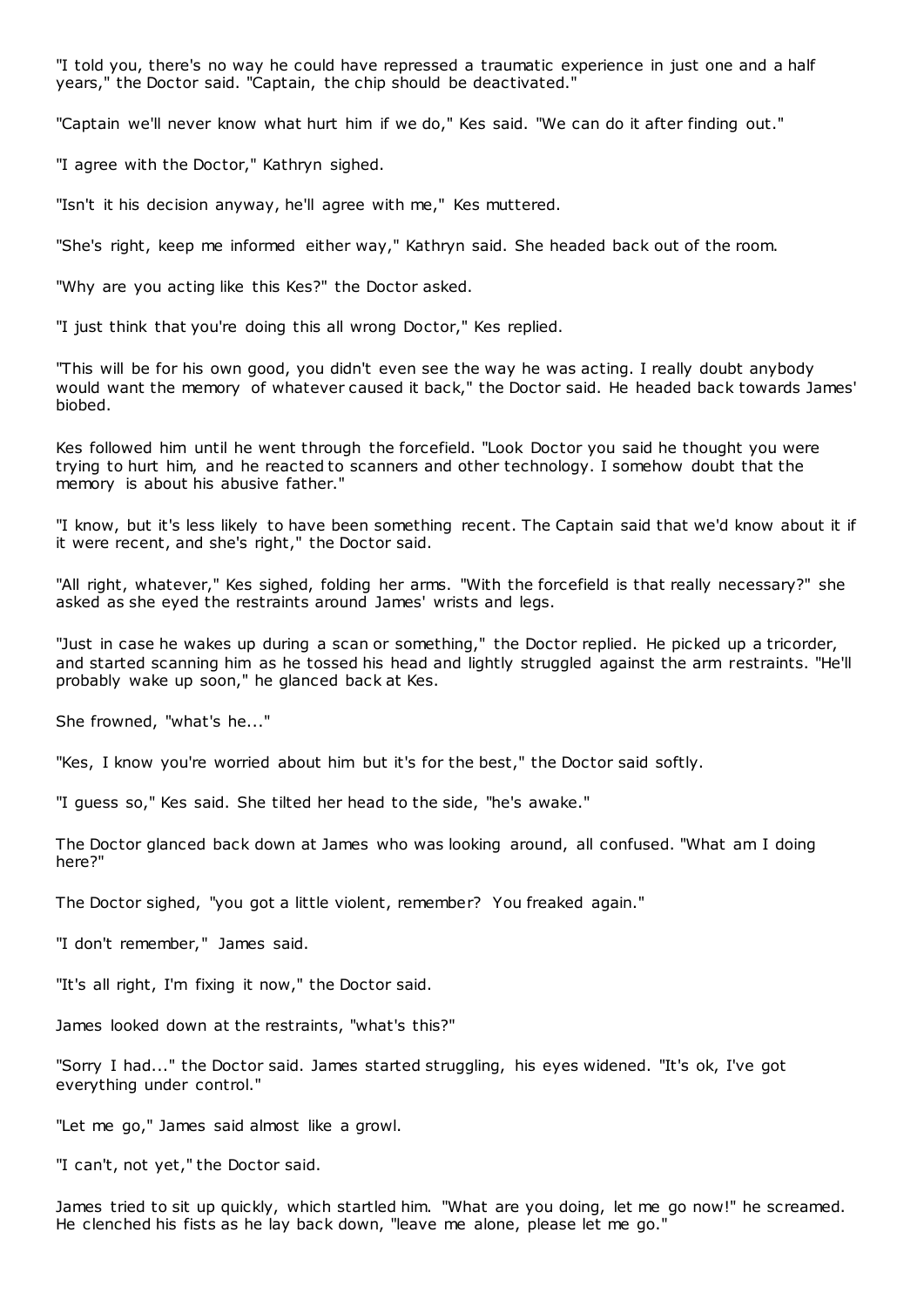"I told you, there's no way he could have repressed a traumatic experience in just one and a half years," the Doctor said. "Captain, the chip should be deactivated."

"Captain we'll never know what hurt him if we do," Kes said. "We can do it after finding out."

"I agree with the Doctor," Kathryn sighed.

"Isn't it his decision anyway, he'll agree with me," Kes muttered.

"She's right, keep me informed either way," Kathryn said. She headed back out of the room.

"Why are you acting like this Kes?" the Doctor asked.

"I just think that you're doing this all wrong Doctor," Kes replied.

"This will be for his own good, you didn't even see the way he was acting. I really doubt anybody would want the memory of whatever caused it back," the Doctor said. He headed back towards James' biobed.

Kes followed him until he went through the forcefield. "Look Doctor you said he thought you were trying to hurt him, and he reacted to scanners and other technology. I somehow doubt that the memory is about his abusive father."

"I know, but it's less likely to have been something recent. The Captain said that we'd know about it if it were recent, and she's right," the Doctor said.

"All right, whatever," Kes sighed, folding her arms. "With the forcefield is that really necessary?" she asked as she eyed the restraints around James' wrists and legs.

"Just in case he wakes up during a scan or something," the Doctor replied. He picked up a tricorder, and started scanning him as he tossed his head and lightly struggled against the arm restraints. "He'll probably wake up soon," he glanced back at Kes.

She frowned, "what's he..."

"Kes, I know you're worried about him but it's for the best," the Doctor said softly.

"I guess so," Kes said. She tilted her head to the side, "he's awake."

The Doctor glanced back down at James who was looking around, all confused. "What am I doing here?"

The Doctor sighed, "you got a little violent, remember? You freaked again."

"I don't remember," James said.

"It's all right, I'm fixing it now," the Doctor said.

James looked down at the restraints, "what's this?"

"Sorry I had..." the Doctor said. James started struggling, his eyes widened. "It's ok, I've got everything under control."

"Let me go," James said almost like a growl.

"I can't, not yet," the Doctor said.

James tried to sit up quickly, which startled him. "What are you doing, let me go now!" he screamed. He clenched his fists as he lay back down, "leave me alone, please let me go."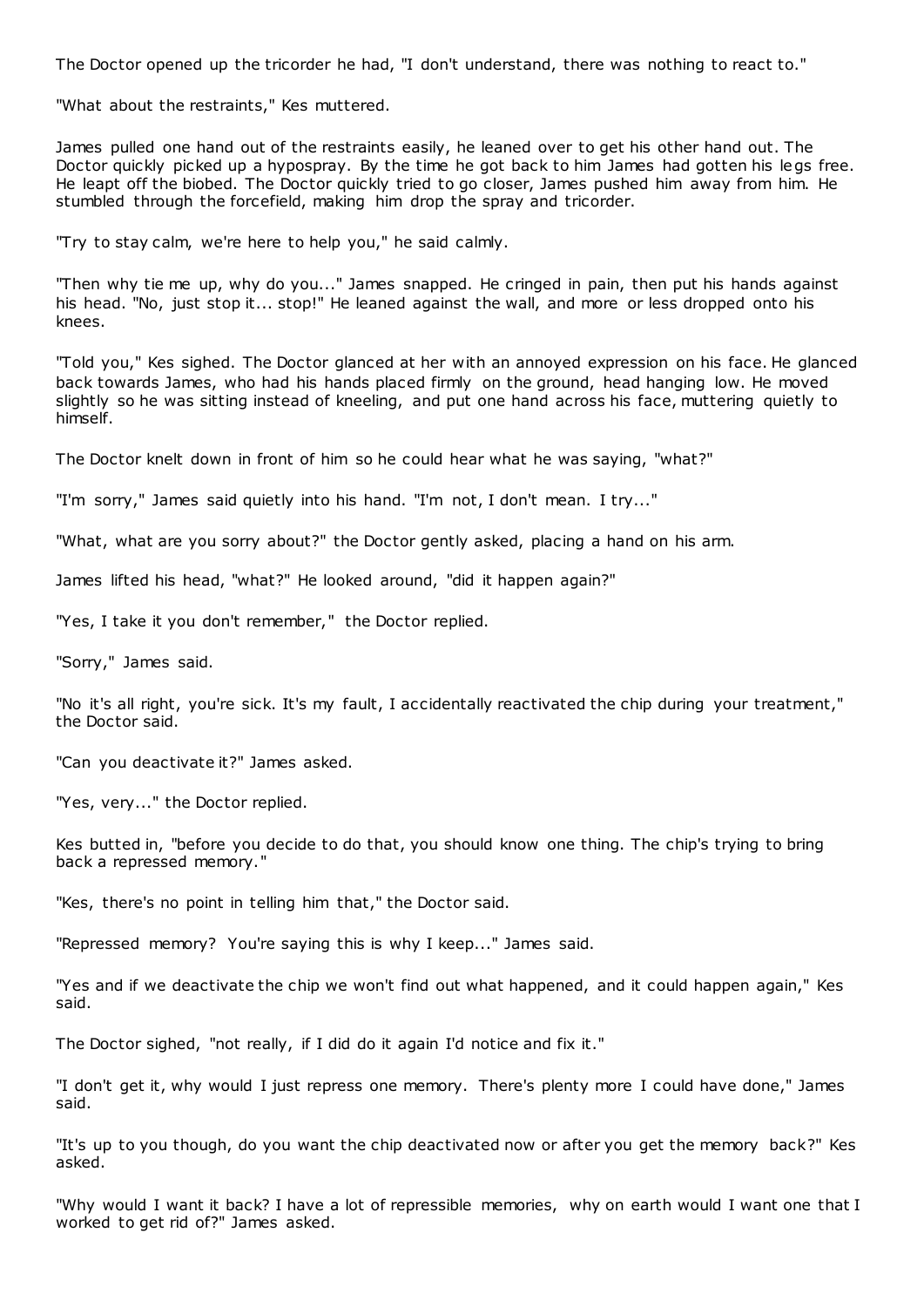The Doctor opened up the tricorder he had, "I don't understand, there was nothing to react to."

"What about the restraints," Kes muttered.

James pulled one hand out of the restraints easily, he leaned over to get his other hand out. The Doctor quickly picked up a hypospray. By the time he got back to him James had gotten his legs free. He leapt off the biobed. The Doctor quickly tried to go closer, James pushed him away from him. He stumbled through the forcefield, making him drop the spray and tricorder.

"Try to stay calm, we're here to help you," he said calmly.

"Then why tie me up, why do you..." James snapped. He cringed in pain, then put his hands against his head. "No, just stop it... stop!" He leaned against the wall, and more or less dropped onto his knees.

"Told you," Kes sighed. The Doctor glanced at her with an annoyed expression on his face. He glanced back towards James, who had his hands placed firmly on the ground, head hanging low. He moved slightly so he was sitting instead of kneeling, and put one hand across his face, muttering quietly to himself.

The Doctor knelt down in front of him so he could hear what he was saying, "what?"

"I'm sorry," James said quietly into his hand. "I'm not, I don't mean. I try..."

"What, what are you sorry about?" the Doctor gently asked, placing a hand on his arm.

James lifted his head, "what?" He looked around, "did it happen again?"

"Yes, I take it you don't remember," the Doctor replied.

"Sorry," James said.

"No it's all right, you're sick. It's my fault, I accidentally reactivated the chip during your treatment," the Doctor said.

"Can you deactivate it?" James asked.

"Yes, very..." the Doctor replied.

Kes butted in, "before you decide to do that, you should know one thing. The chip's trying to bring back a repressed memory."

"Kes, there's no point in telling him that," the Doctor said.

"Repressed memory? You're saying this is why I keep..." James said.

"Yes and if we deactivate the chip we won't find out what happened, and it could happen again," Kes said.

The Doctor sighed, "not really, if I did do it again I'd notice and fix it."

"I don't get it, why would I just repress one memory. There's plenty more I could have done," James said.

"It's up to you though, do you want the chip deactivated now or after you get the memory back?" Kes asked.

"Why would I want it back? I have a lot of repressible memories, why on earth would I want one that I worked to get rid of?" James asked.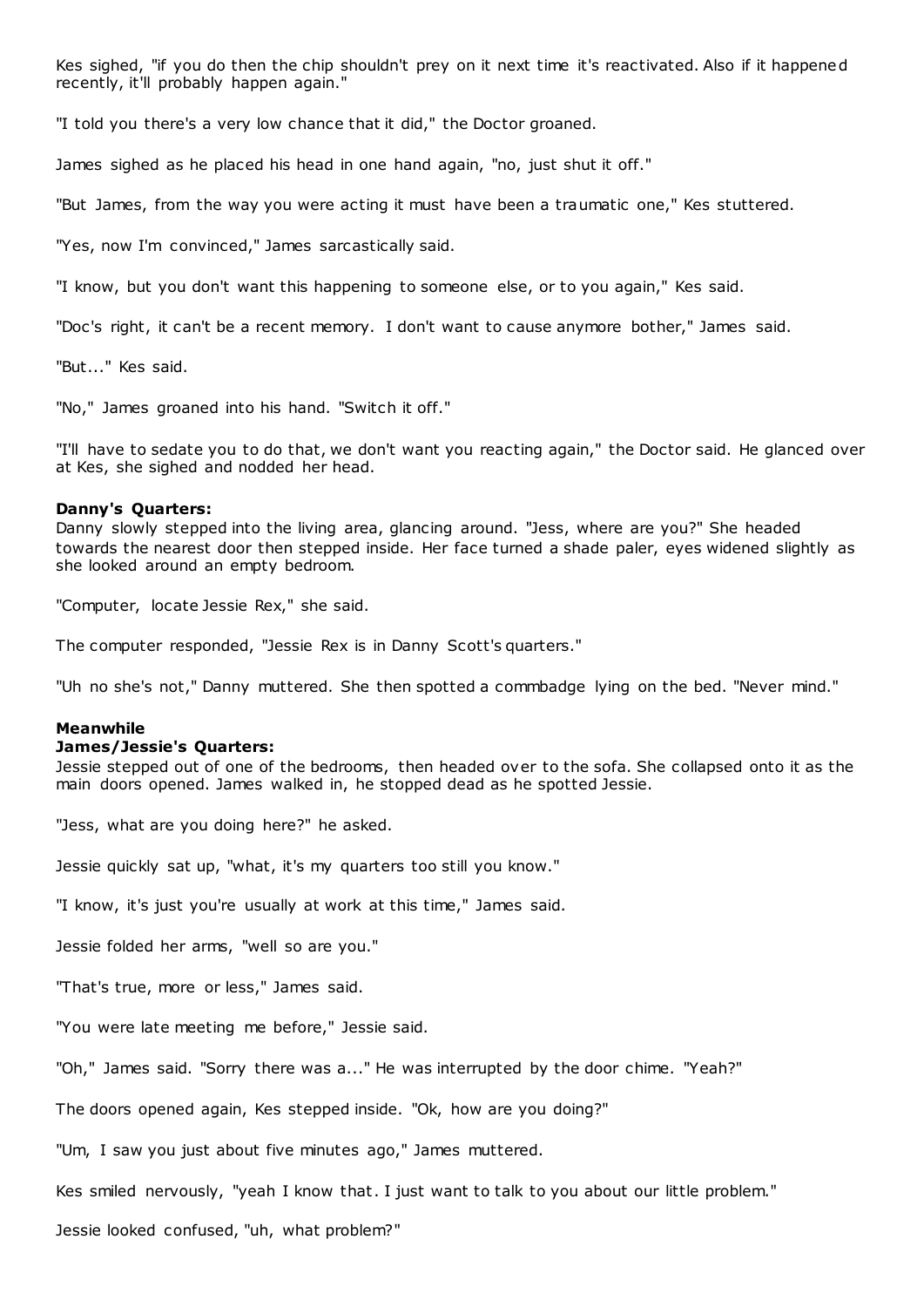Kes sighed, "if you do then the chip shouldn't prey on it next time it's reactivated. Also if it happened recently, it'll probably happen again."

"I told you there's a very low chance that it did," the Doctor groaned.

James sighed as he placed his head in one hand again, "no, just shut it off."

"But James, from the way you were acting it must have been a traumatic one," Kes stuttered.

"Yes, now I'm convinced," James sarcastically said.

"I know, but you don't want this happening to someone else, or to you again," Kes said.

"Doc's right, it can't be a recent memory. I don't want to cause anymore bother," James said.

"But..." Kes said.

"No," James groaned into his hand. "Switch it off."

"I'll have to sedate you to do that, we don't want you reacting again," the Doctor said. He glanced over at Kes, she sighed and nodded her head.

#### **Danny's Quarters:**

Danny slowly stepped into the living area, glancing around. "Jess, where are you?" She headed towards the nearest door then stepped inside. Her face turned a shade paler, eyes widened slightly as she looked around an empty bedroom.

"Computer, locate Jessie Rex," she said.

The computer responded, "Jessie Rex is in Danny Scott's quarters."

"Uh no she's not," Danny muttered. She then spotted a commbadge lying on the bed. "Never mind."

#### **Meanwhile**

#### **James/Jessie's Quarters:**

Jessie stepped out of one of the bedrooms, then headed over to the sofa. She collapsed onto it as the main doors opened. James walked in, he stopped dead as he spotted Jessie.

"Jess, what are you doing here?" he asked.

Jessie quickly sat up, "what, it's my quarters too still you know."

"I know, it's just you're usually at work at this time," James said.

Jessie folded her arms, "well so are you."

"That's true, more or less," James said.

"You were late meeting me before," Jessie said.

"Oh," James said. "Sorry there was a..." He was interrupted by the door chime. "Yeah?"

The doors opened again, Kes stepped inside. "Ok, how are you doing?"

"Um, I saw you just about five minutes ago," James muttered.

Kes smiled nervously, "yeah I know that. I just want to talk to you about our little problem."

Jessie looked confused, "uh, what problem?"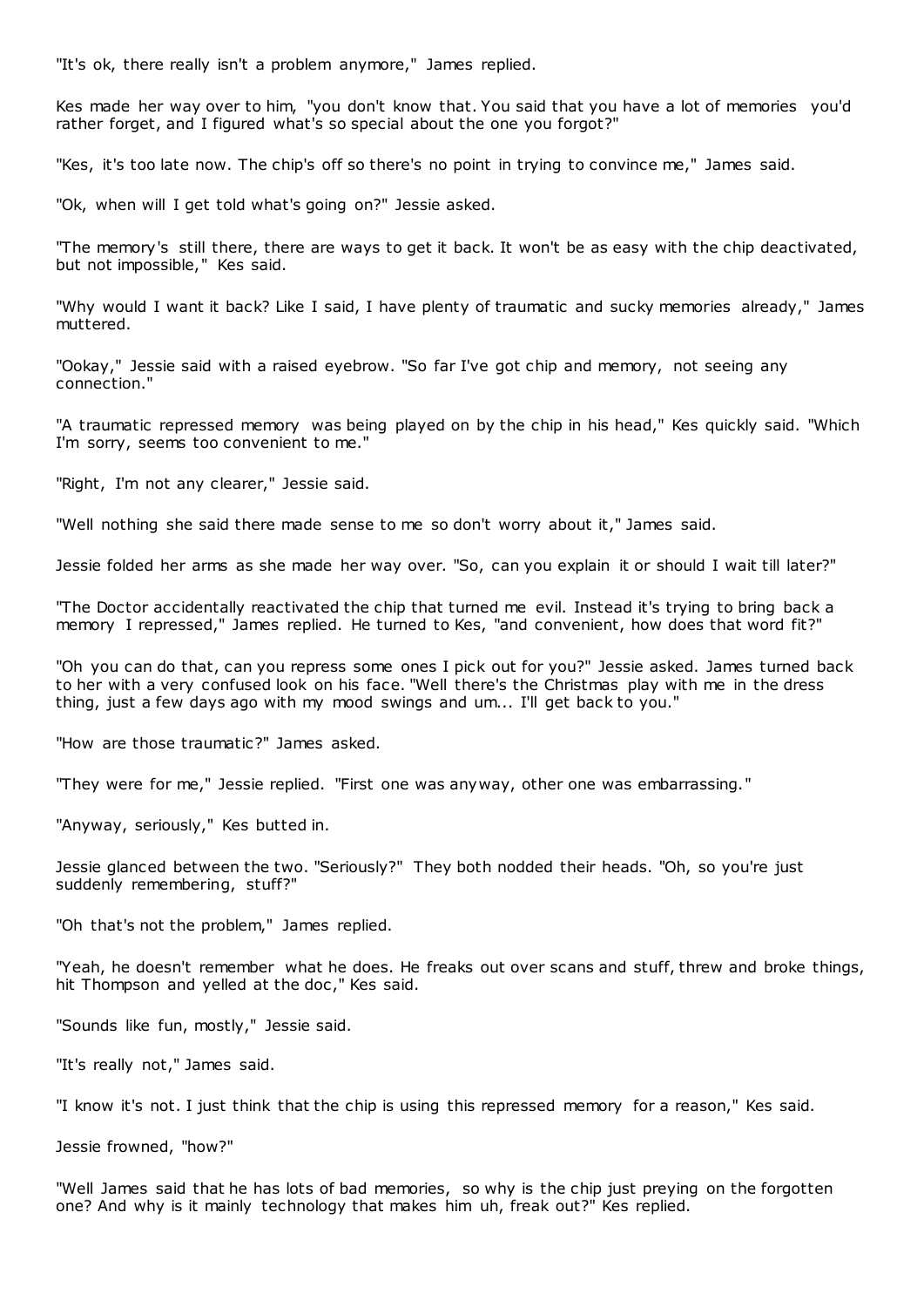"It's ok, there really isn't a problem anymore," James replied.

Kes made her way over to him, "you don't know that. You said that you have a lot of memories you'd rather forget, and I figured what's so special about the one you forgot?"

"Kes, it's too late now. The chip's off so there's no point in trying to convince me," James said.

"Ok, when will I get told what's going on?" Jessie asked.

"The memory's still there, there are ways to get it back. It won't be as easy with the chip deactivated, but not impossible," Kes said.

"Why would I want it back? Like I said, I have plenty of traumatic and sucky memories already," James muttered.

"Ookay," Jessie said with a raised eyebrow. "So far I've got chip and memory, not seeing any connection."

"A traumatic repressed memory was being played on by the chip in his head," Kes quickly said. "Which I'm sorry, seems too convenient to me."

"Right, I'm not any clearer," Jessie said.

"Well nothing she said there made sense to me so don't worry about it," James said.

Jessie folded her arms as she made her way over. "So, can you explain it or should I wait till later?"

"The Doctor accidentally reactivated the chip that turned me evil. Instead it's trying to bring back a memory I repressed," James replied. He turned to Kes, "and convenient, how does that word fit?"

"Oh you can do that, can you repress some ones I pick out for you?" Jessie asked. James turned back to her with a very confused look on his face. "Well there's the Christmas play with me in the dress thing, just a few days ago with my mood swings and um... I'll get back to you."

"How are those traumatic?" James asked.

"They were for me," Jessie replied. "First one was anyway, other one was embarrassing."

"Anyway, seriously," Kes butted in.

Jessie glanced between the two. "Seriously?" They both nodded their heads. "Oh, so you're just suddenly remembering, stuff?"

"Oh that's not the problem," James replied.

"Yeah, he doesn't remember what he does. He freaks out over scans and stuff, threw and broke things, hit Thompson and yelled at the doc," Kes said.

"Sounds like fun, mostly," Jessie said.

"It's really not," James said.

"I know it's not. I just think that the chip is using this repressed memory for a reason," Kes said.

Jessie frowned, "how?"

"Well James said that he has lots of bad memories, so why is the chip just preying on the forgotten one? And why is it mainly technology that makes him uh, freak out?" Kes replied.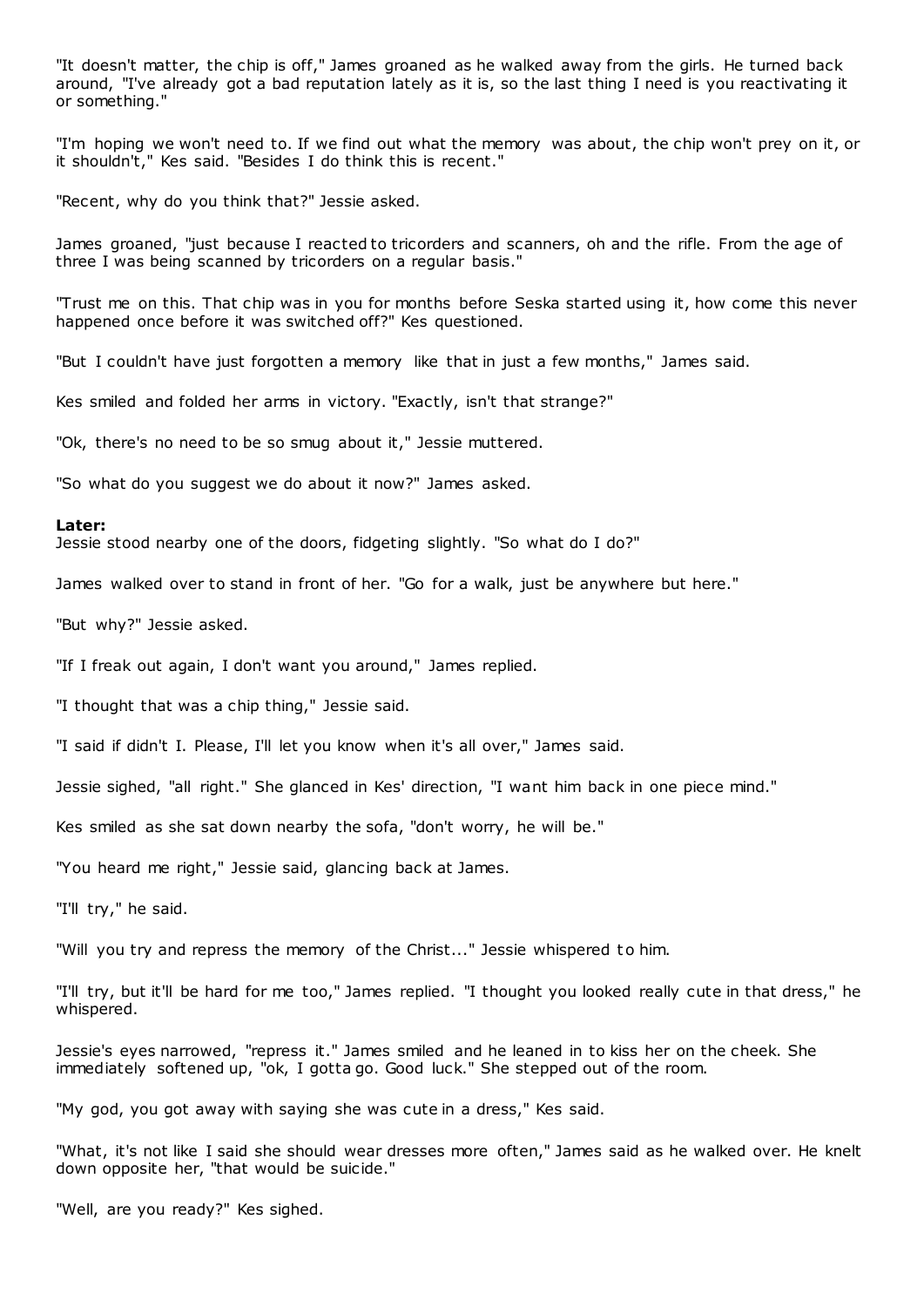"It doesn't matter, the chip is off," James groaned as he walked away from the girls. He turned back around, "I've already got a bad reputation lately as it is, so the last thing I need is you reactivating it or something."

"I'm hoping we won't need to. If we find out what the memory was about, the chip won't prey on it, or it shouldn't," Kes said. "Besides I do think this is recent."

"Recent, why do you think that?" Jessie asked.

James groaned, "just because I reacted to tricorders and scanners, oh and the rifle. From the age of three I was being scanned by tricorders on a regular basis."

"Trust me on this. That chip was in you for months before Seska started using it, how come this never happened once before it was switched off?" Kes questioned.

"But I couldn't have just forgotten a memory like that in just a few months," James said.

Kes smiled and folded her arms in victory. "Exactly, isn't that strange?"

"Ok, there's no need to be so smug about it," Jessie muttered.

"So what do you suggest we do about it now?" James asked.

#### **Later:**

Jessie stood nearby one of the doors, fidgeting slightly. "So what do I do?"

James walked over to stand in front of her. "Go for a walk, just be anywhere but here."

"But why?" Jessie asked.

"If I freak out again, I don't want you around," James replied.

"I thought that was a chip thing," Jessie said.

"I said if didn't I. Please, I'll let you know when it's all over," James said.

Jessie sighed, "all right." She glanced in Kes' direction, "I want him back in one piece mind."

Kes smiled as she sat down nearby the sofa, "don't worry, he will be."

"You heard me right," Jessie said, glancing back at James.

"I'll try," he said.

"Will you try and repress the memory of the Christ..." Jessie whispered to him.

"I'll try, but it'll be hard for me too," James replied. "I thought you looked really cute in that dress," he whispered.

Jessie's eyes narrowed, "repress it." James smiled and he leaned in to kiss her on the cheek. She immediately softened up, "ok, I gotta go. Good luck." She stepped out of the room.

"My god, you got away with saying she was cute in a dress," Kes said.

"What, it's not like I said she should wear dresses more often," James said as he walked over. He knelt down opposite her, "that would be suicide."

"Well, are you ready?" Kes sighed.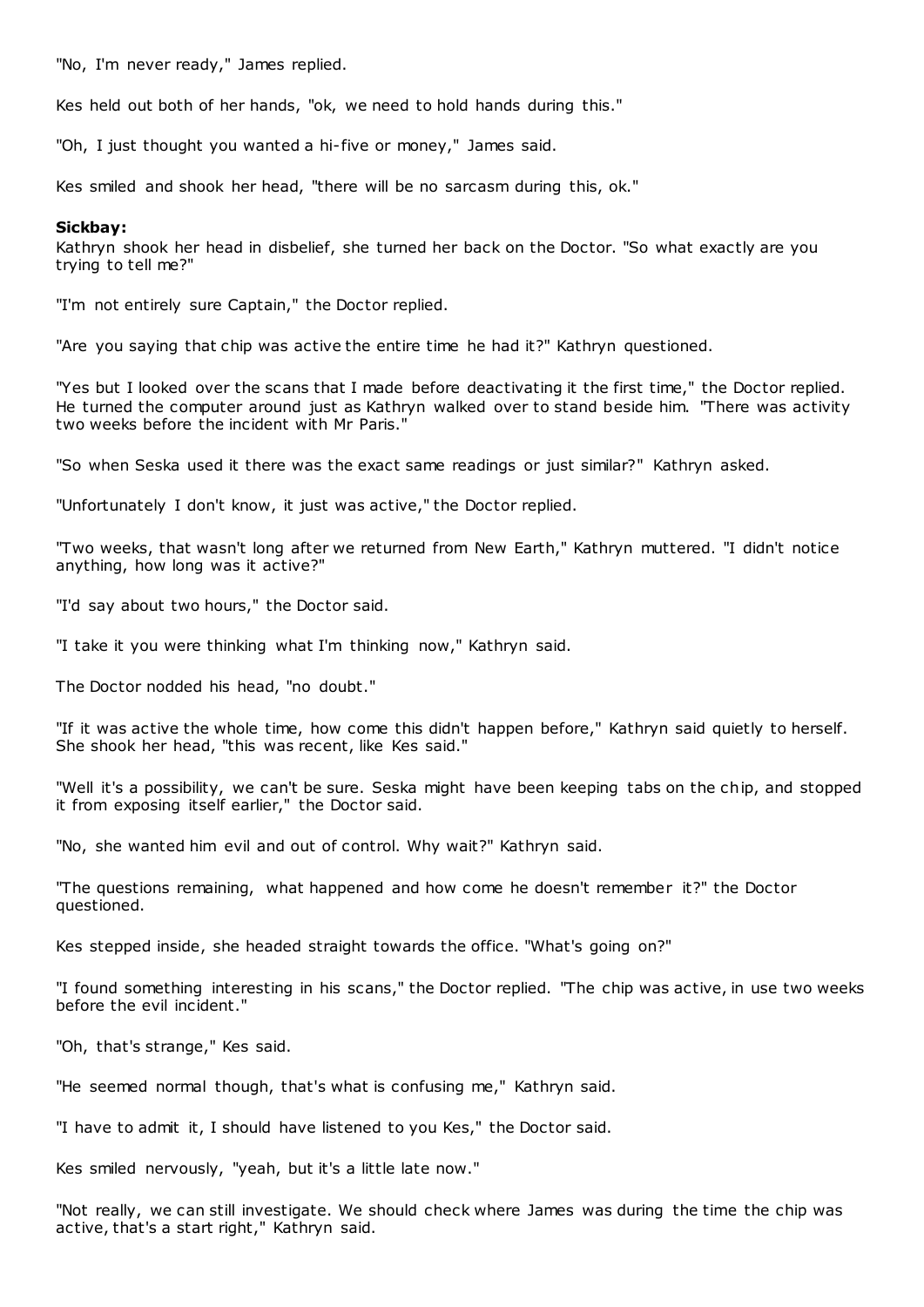"No, I'm never ready," James replied.

Kes held out both of her hands, "ok, we need to hold hands during this."

"Oh, I just thought you wanted a hi-five or money," James said.

Kes smiled and shook her head, "there will be no sarcasm during this, ok."

### **Sickbay:**

Kathryn shook her head in disbelief, she turned her back on the Doctor. "So what exactly are you trying to tell me?"

"I'm not entirely sure Captain," the Doctor replied.

"Are you saying that chip was active the entire time he had it?" Kathryn questioned.

"Yes but I looked over the scans that I made before deactivating it the first time," the Doctor replied. He turned the computer around just as Kathryn walked over to stand beside him. "There was activity two weeks before the incident with Mr Paris."

"So when Seska used it there was the exact same readings or just similar?" Kathryn asked.

"Unfortunately I don't know, it just was active," the Doctor replied.

"Two weeks, that wasn't long after we returned from New Earth," Kathryn muttered. "I didn't notice anything, how long was it active?"

"I'd say about two hours," the Doctor said.

"I take it you were thinking what I'm thinking now," Kathryn said.

The Doctor nodded his head, "no doubt."

"If it was active the whole time, how come this didn't happen before," Kathryn said quietly to herself. She shook her head, "this was recent, like Kes said."

"Well it's a possibility, we can't be sure. Seska might have been keeping tabs on the chip, and stopped it from exposing itself earlier," the Doctor said.

"No, she wanted him evil and out of control. Why wait?" Kathryn said.

"The questions remaining, what happened and how come he doesn't remember it?" the Doctor questioned.

Kes stepped inside, she headed straight towards the office. "What's going on?"

"I found something interesting in his scans," the Doctor replied. "The chip was active, in use two weeks before the evil incident."

"Oh, that's strange," Kes said.

"He seemed normal though, that's what is confusing me," Kathryn said.

"I have to admit it, I should have listened to you Kes," the Doctor said.

Kes smiled nervously, "yeah, but it's a little late now."

"Not really, we can still investigate. We should check where James was during the time the chip was active, that's a start right," Kathryn said.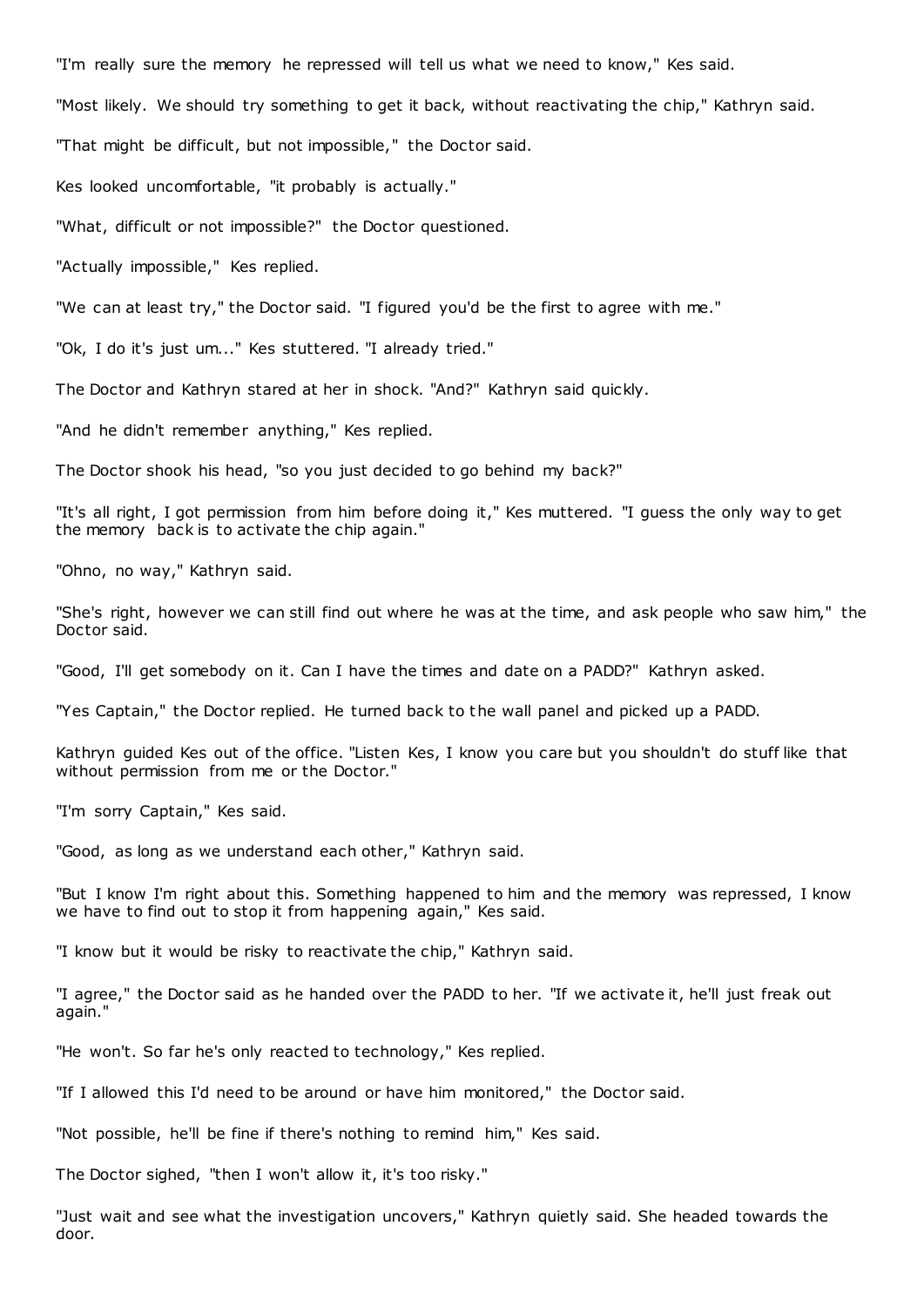"I'm really sure the memory he repressed will tell us what we need to know," Kes said.

"Most likely. We should try something to get it back, without reactivating the chip," Kathryn said.

"That might be difficult, but not impossible," the Doctor said.

Kes looked uncomfortable, "it probably is actually."

"What, difficult or not impossible?" the Doctor questioned.

"Actually impossible," Kes replied.

"We can at least try," the Doctor said. "I figured you'd be the first to agree with me."

"Ok, I do it's just um..." Kes stuttered. "I already tried."

The Doctor and Kathryn stared at her in shock. "And?" Kathryn said quickly.

"And he didn't remember anything," Kes replied.

The Doctor shook his head, "so you just decided to go behind my back?"

"It's all right, I got permission from him before doing it," Kes muttered. "I guess the only way to get the memory back is to activate the chip again."

"Ohno, no way," Kathryn said.

"She's right, however we can still find out where he was at the time, and ask people who saw him," the Doctor said.

"Good, I'll get somebody on it. Can I have the times and date on a PADD?" Kathryn asked.

"Yes Captain," the Doctor replied. He turned back to the wall panel and picked up a PADD.

Kathryn guided Kes out of the office. "Listen Kes, I know you care but you shouldn't do stuff like that without permission from me or the Doctor."

"I'm sorry Captain," Kes said.

"Good, as long as we understand each other," Kathryn said.

"But I know I'm right about this. Something happened to him and the memory was repressed, I know we have to find out to stop it from happening again," Kes said.

"I know but it would be risky to reactivate the chip," Kathryn said.

"I agree," the Doctor said as he handed over the PADD to her. "If we activate it, he'll just freak out again."

"He won't. So far he's only reacted to technology," Kes replied.

"If I allowed this I'd need to be around or have him monitored," the Doctor said.

"Not possible, he'll be fine if there's nothing to remind him," Kes said.

The Doctor sighed, "then I won't allow it, it's too risky."

"Just wait and see what the investigation uncovers," Kathryn quietly said. She headed towards the door.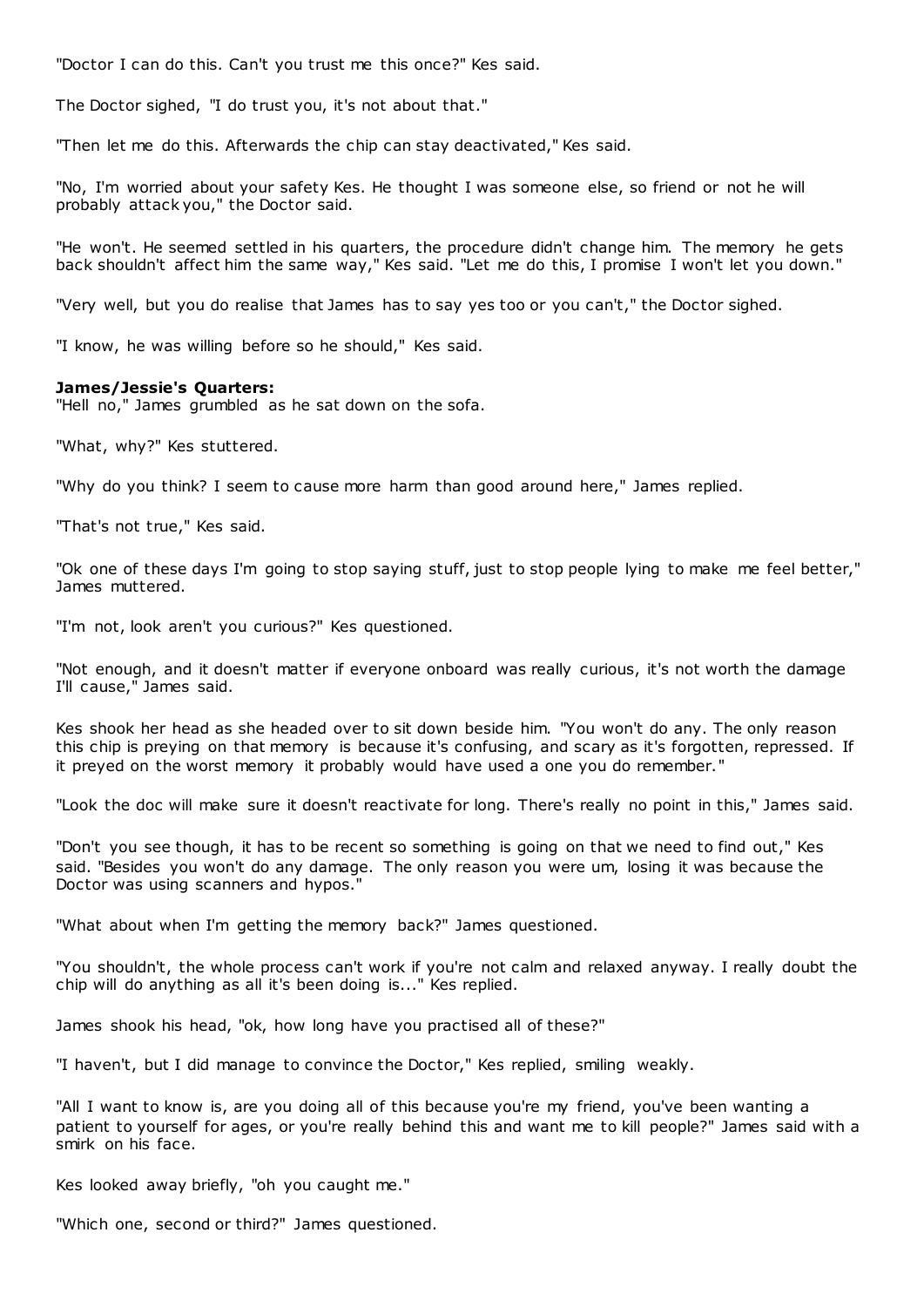"Doctor I can do this. Can't you trust me this once?" Kes said.

The Doctor sighed, "I do trust you, it's not about that."

"Then let me do this. Afterwards the chip can stay deactivated," Kes said.

"No, I'm worried about your safety Kes. He thought I was someone else, so friend or not he will probably attack you," the Doctor said.

"He won't. He seemed settled in his quarters, the procedure didn't change him. The memory he gets back shouldn't affect him the same way," Kes said. "Let me do this, I promise I won't let you down."

"Very well, but you do realise that James has to say yes too or you can't," the Doctor sighed.

"I know, he was willing before so he should," Kes said.

### **James/Jessie's Quarters:**

"Hell no," James grumbled as he sat down on the sofa.

"What, why?" Kes stuttered.

"Why do you think? I seem to cause more harm than good around here," James replied.

"That's not true," Kes said.

"Ok one of these days I'm going to stop saying stuff, just to stop people lying to make me feel better," James muttered.

"I'm not, look aren't you curious?" Kes questioned.

"Not enough, and it doesn't matter if everyone onboard was really curious, it's not worth the damage I'll cause," James said.

Kes shook her head as she headed over to sit down beside him. "You won't do any. The only reason this chip is preying on that memory is because it's confusing, and scary as it's forgotten, repressed. If it preyed on the worst memory it probably would have used a one you do remember."

"Look the doc will make sure it doesn't reactivate for long. There's really no point in this," James said.

"Don't you see though, it has to be recent so something is going on that we need to find out," Kes said. "Besides you won't do any damage. The only reason you were um, losing it was because the Doctor was using scanners and hypos."

"What about when I'm getting the memory back?" James questioned.

"You shouldn't, the whole process can't work if you're not calm and relaxed anyway. I really doubt the chip will do anything as all it's been doing is..." Kes replied.

James shook his head, "ok, how long have you practised all of these?"

"I haven't, but I did manage to convince the Doctor," Kes replied, smiling weakly.

"All I want to know is, are you doing all of this because you're my friend, you've been wanting a patient to yourself for ages, or you're really behind this and want me to kill people?" James said with a smirk on his face.

Kes looked away briefly, "oh you caught me."

"Which one, second or third?" James questioned.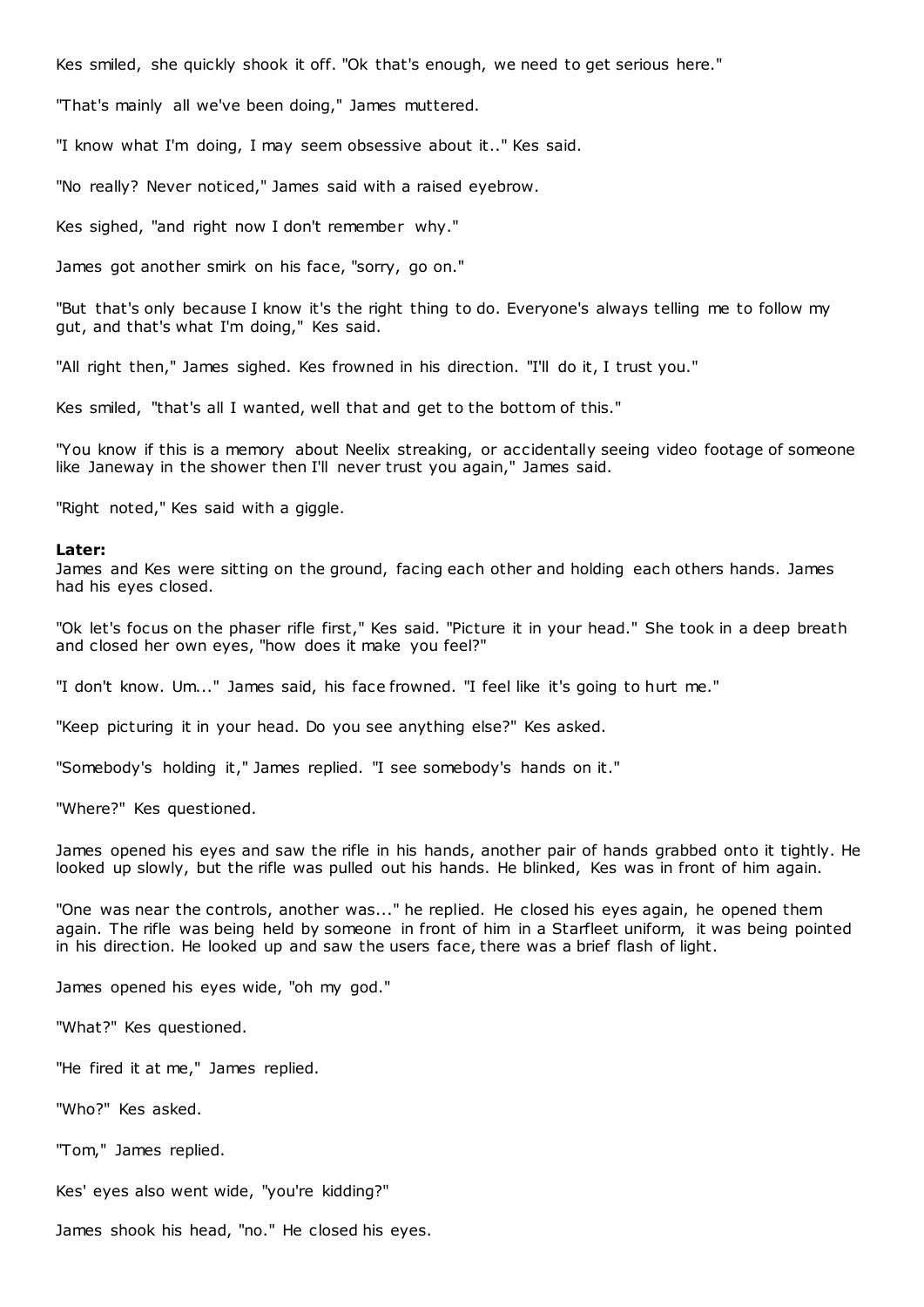Kes smiled, she quickly shook it off. "Ok that's enough, we need to get serious here."

"That's mainly all we've been doing," James muttered.

"I know what I'm doing, I may seem obsessive about it.." Kes said.

"No really? Never noticed," James said with a raised eyebrow.

Kes sighed, "and right now I don't remember why."

James got another smirk on his face, "sorry, go on."

"But that's only because I know it's the right thing to do. Everyone's always telling me to follow my gut, and that's what I'm doing," Kes said.

"All right then," James sighed. Kes frowned in his direction. "I'll do it, I trust you."

Kes smiled, "that's all I wanted, well that and get to the bottom of this."

"You know if this is a memory about Neelix streaking, or accidentally seeing video footage of someone like Janeway in the shower then I'll never trust you again," James said.

"Right noted," Kes said with a giggle.

#### **Later:**

James and Kes were sitting on the ground, facing each other and holding each others hands. James had his eyes closed.

"Ok let's focus on the phaser rifle first," Kes said. "Picture it in your head." She took in a deep breath and closed her own eyes, "how does it make you feel?"

"I don't know. Um..." James said, his face frowned. "I feel like it's going to hurt me."

"Keep picturing it in your head. Do you see anything else?" Kes asked.

"Somebody's holding it," James replied. "I see somebody's hands on it."

"Where?" Kes questioned.

James opened his eyes and saw the rifle in his hands, another pair of hands grabbed onto it tightly. He looked up slowly, but the rifle was pulled out his hands. He blinked, Kes was in front of him again.

"One was near the controls, another was..." he replied. He closed his eyes again, he opened them again. The rifle was being held by someone in front of him in a Starfleet uniform, it was being pointed in his direction. He looked up and saw the users face, there was a brief flash of light.

James opened his eyes wide, "oh my god."

"What?" Kes questioned.

"He fired it at me," James replied.

"Who?" Kes asked.

"Tom," James replied.

Kes' eyes also went wide, "you're kidding?"

James shook his head, "no." He closed his eyes.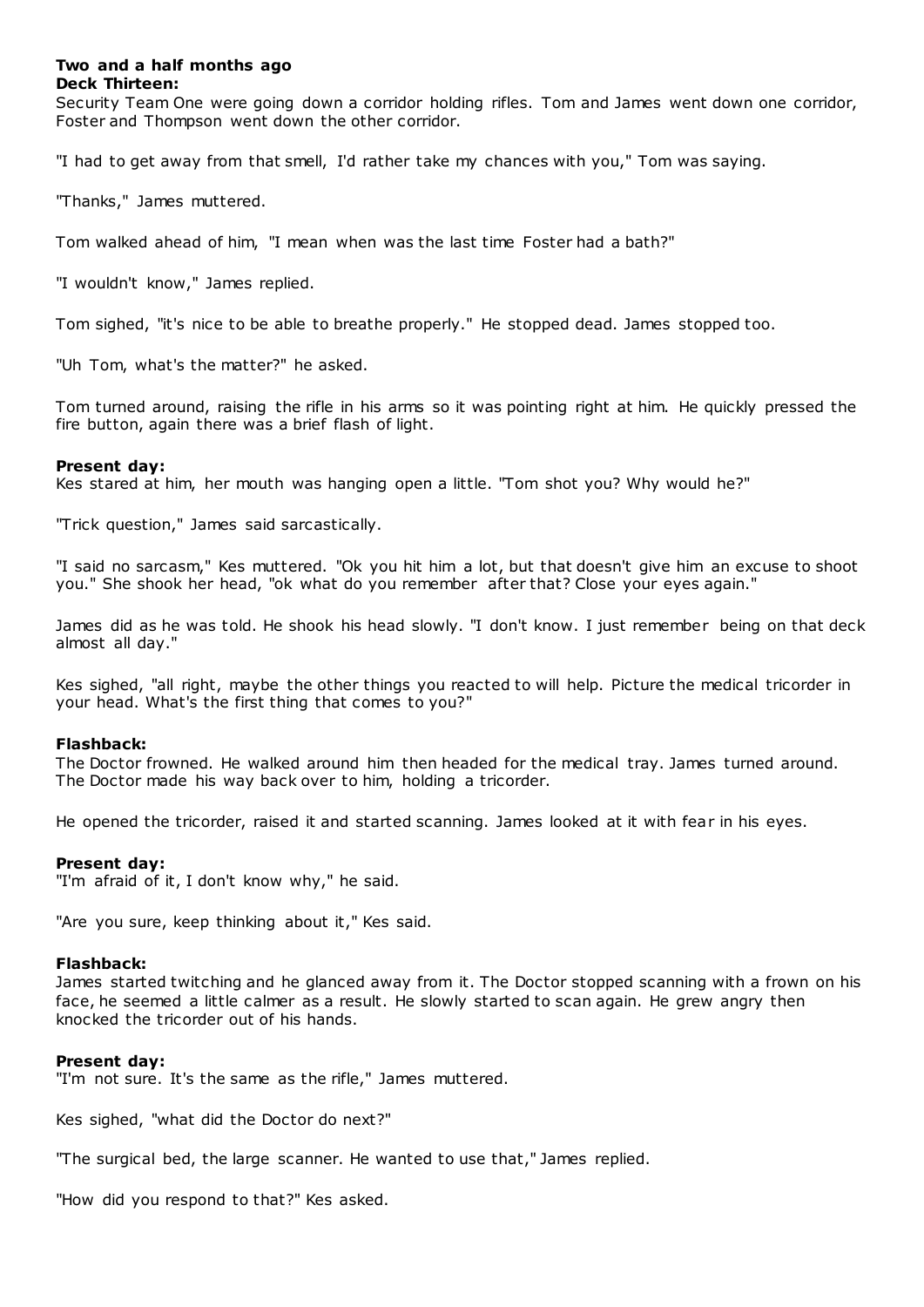# **Two and a half months ago Deck Thirteen:**

Security Team One were going down a corridor holding rifles. Tom and James went down one corridor, Foster and Thompson went down the other corridor.

"I had to get away from that smell, I'd rather take my chances with you," Tom was saying.

"Thanks," James muttered.

Tom walked ahead of him, "I mean when was the last time Foster had a bath?"

"I wouldn't know," James replied.

Tom sighed, "it's nice to be able to breathe properly." He stopped dead. James stopped too.

"Uh Tom, what's the matter?" he asked.

Tom turned around, raising the rifle in his arms so it was pointing right at him. He quickly pressed the fire button, again there was a brief flash of light.

# **Present day:**

Kes stared at him, her mouth was hanging open a little. "Tom shot you? Why would he?"

"Trick question," James said sarcastically.

"I said no sarcasm," Kes muttered. "Ok you hit him a lot, but that doesn't give him an excuse to shoot you." She shook her head, "ok what do you remember after that? Close your eyes again."

James did as he was told. He shook his head slowly. "I don't know. I just remember being on that deck almost all day."

Kes sighed, "all right, maybe the other things you reacted to will help. Picture the medical tricorder in your head. What's the first thing that comes to you?"

# **Flashback:**

The Doctor frowned. He walked around him then headed for the medical tray. James turned around. The Doctor made his way back over to him, holding a tricorder.

He opened the tricorder, raised it and started scanning. James looked at it with fear in his eyes.

# **Present day:**

"I'm afraid of it, I don't know why," he said.

"Are you sure, keep thinking about it," Kes said.

# **Flashback:**

James started twitching and he glanced away from it. The Doctor stopped scanning with a frown on his face, he seemed a little calmer as a result. He slowly started to scan again. He grew angry then knocked the tricorder out of his hands.

# **Present day:**

"I'm not sure. It's the same as the rifle," James muttered.

Kes sighed, "what did the Doctor do next?"

"The surgical bed, the large scanner. He wanted to use that," James replied.

"How did you respond to that?" Kes asked.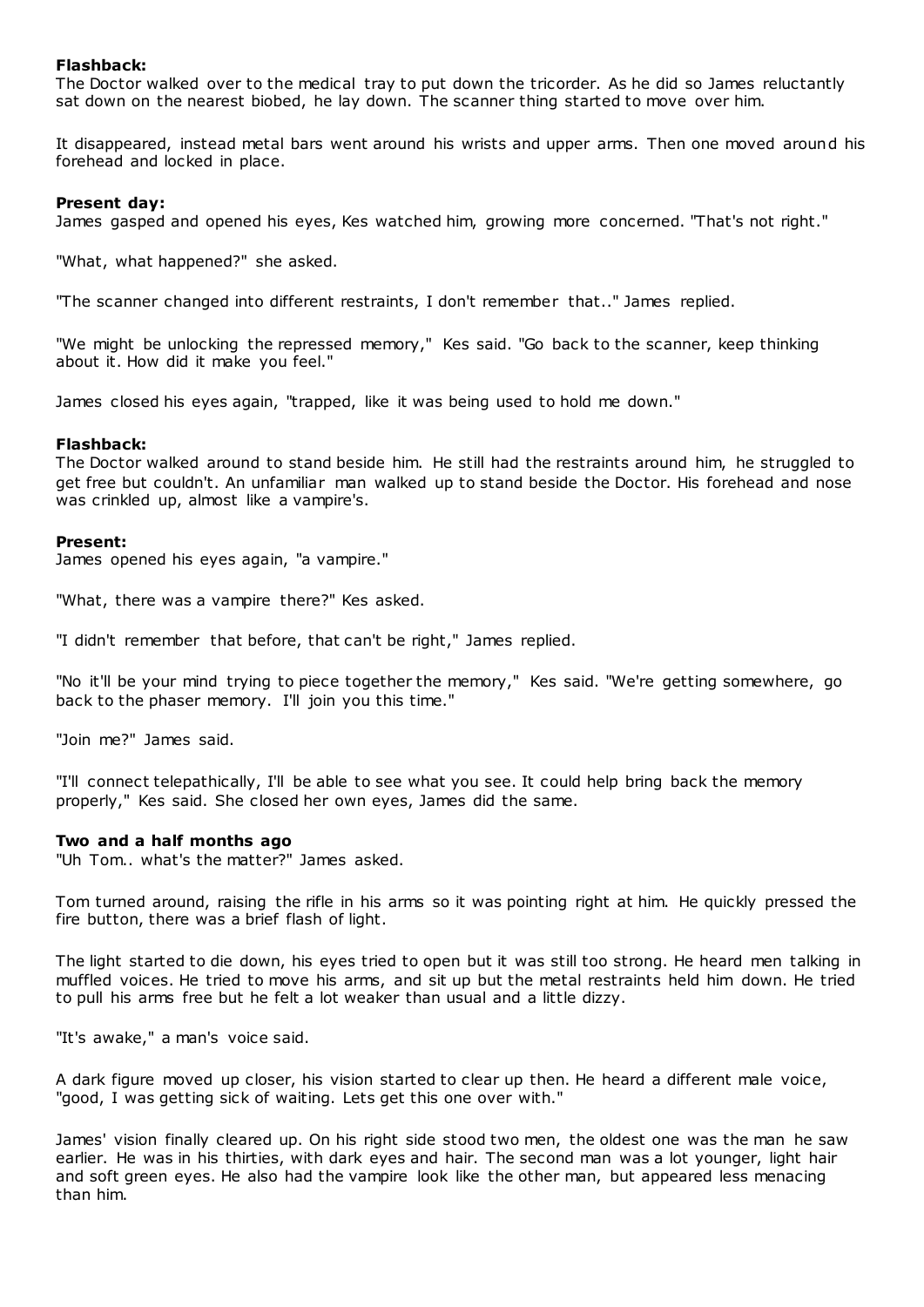# **Flashback:**

The Doctor walked over to the medical tray to put down the tricorder. As he did so James reluctantly sat down on the nearest biobed, he lay down. The scanner thing started to move over him.

It disappeared, instead metal bars went around his wrists and upper arms. Then one moved around his forehead and locked in place.

# **Present day:**

James gasped and opened his eyes, Kes watched him, growing more concerned. "That's not right."

"What, what happened?" she asked.

"The scanner changed into different restraints, I don't remember that.." James replied.

"We might be unlocking the repressed memory," Kes said. "Go back to the scanner, keep thinking about it. How did it make you feel."

James closed his eyes again, "trapped, like it was being used to hold me down."

# **Flashback:**

The Doctor walked around to stand beside him. He still had the restraints around him, he struggled to get free but couldn't. An unfamiliar man walked up to stand beside the Doctor. His forehead and nose was crinkled up, almost like a vampire's.

# **Present:**

James opened his eyes again, "a vampire."

"What, there was a vampire there?" Kes asked.

"I didn't remember that before, that can't be right," James replied.

"No it'll be your mind trying to piece together the memory," Kes said. "We're getting somewhere, go back to the phaser memory. I'll join you this time."

"Join me?" James said.

"I'll connect telepathically, I'll be able to see what you see. It could help bring back the memory properly," Kes said. She closed her own eyes, James did the same.

# **Two and a half months ago**

"Uh Tom.. what's the matter?" James asked.

Tom turned around, raising the rifle in his arms so it was pointing right at him. He quickly pressed the fire button, there was a brief flash of light.

The light started to die down, his eyes tried to open but it was still too strong. He heard men talking in muffled voices. He tried to move his arms, and sit up but the metal restraints held him down. He tried to pull his arms free but he felt a lot weaker than usual and a little dizzy.

"It's awake," a man's voice said.

A dark figure moved up closer, his vision started to clear up then. He heard a different male voice, "good, I was getting sick of waiting. Lets get this one over with."

James' vision finally cleared up. On his right side stood two men, the oldest one was the man he saw earlier. He was in his thirties, with dark eyes and hair. The second man was a lot younger, light hair and soft green eyes. He also had the vampire look like the other man, but appeared less menacing than him.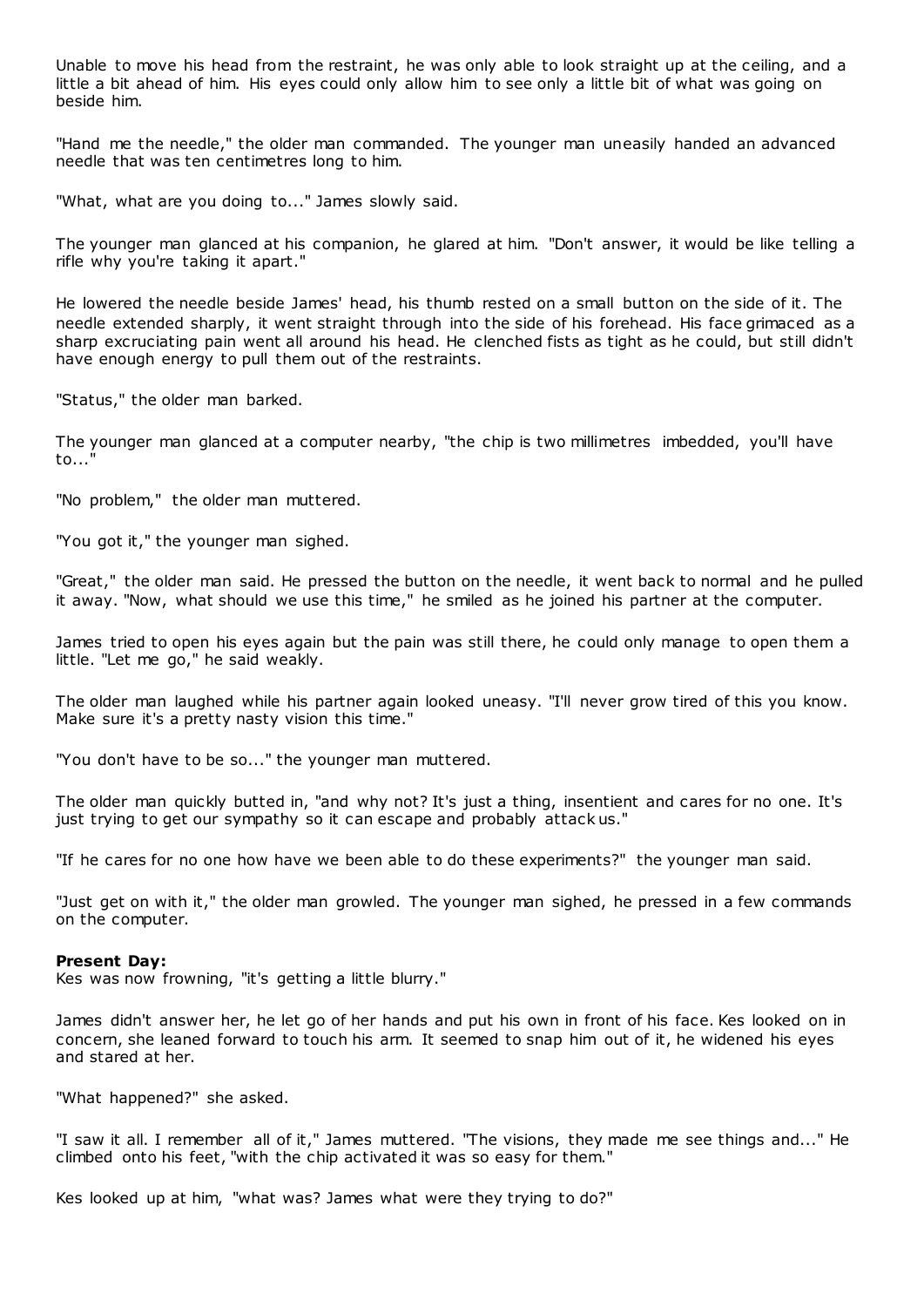Unable to move his head from the restraint, he was only able to look straight up at the ceiling, and a little a bit ahead of him. His eyes could only allow him to see only a little bit of what was going on beside him.

"Hand me the needle," the older man commanded. The younger man uneasily handed an advanced needle that was ten centimetres long to him.

"What, what are you doing to..." James slowly said.

The younger man glanced at his companion, he glared at him. "Don't answer, it would be like telling a rifle why you're taking it apart."

He lowered the needle beside James' head, his thumb rested on a small button on the side of it. The needle extended sharply, it went straight through into the side of his forehead. His face grimaced as a sharp excruciating pain went all around his head. He clenched fists as tight as he could, but still didn't have enough energy to pull them out of the restraints.

"Status," the older man barked.

The younger man glanced at a computer nearby, "the chip is two millimetres imbedded, you'll have to..."

"No problem," the older man muttered.

"You got it," the younger man sighed.

"Great," the older man said. He pressed the button on the needle, it went back to normal and he pulled it away. "Now, what should we use this time," he smiled as he joined his partner at the computer.

James tried to open his eyes again but the pain was still there, he could only manage to open them a little. "Let me go," he said weakly.

The older man laughed while his partner again looked uneasy. "I'll never grow tired of this you know. Make sure it's a pretty nasty vision this time."

"You don't have to be so..." the younger man muttered.

The older man quickly butted in, "and why not? It's just a thing, insentient and cares for no one. It's just trying to get our sympathy so it can escape and probably attack us."

"If he cares for no one how have we been able to do these experiments?" the younger man said.

"Just get on with it," the older man growled. The younger man sighed, he pressed in a few commands on the computer.

#### **Present Day:**

Kes was now frowning, "it's getting a little blurry."

James didn't answer her, he let go of her hands and put his own in front of his face. Kes looked on in concern, she leaned forward to touch his arm. It seemed to snap him out of it, he widened his eyes and stared at her.

"What happened?" she asked.

"I saw it all. I remember all of it," James muttered. "The visions, they made me see things and..." He climbed onto his feet, "with the chip activated it was so easy for them."

Kes looked up at him, "what was? James what were they trying to do?"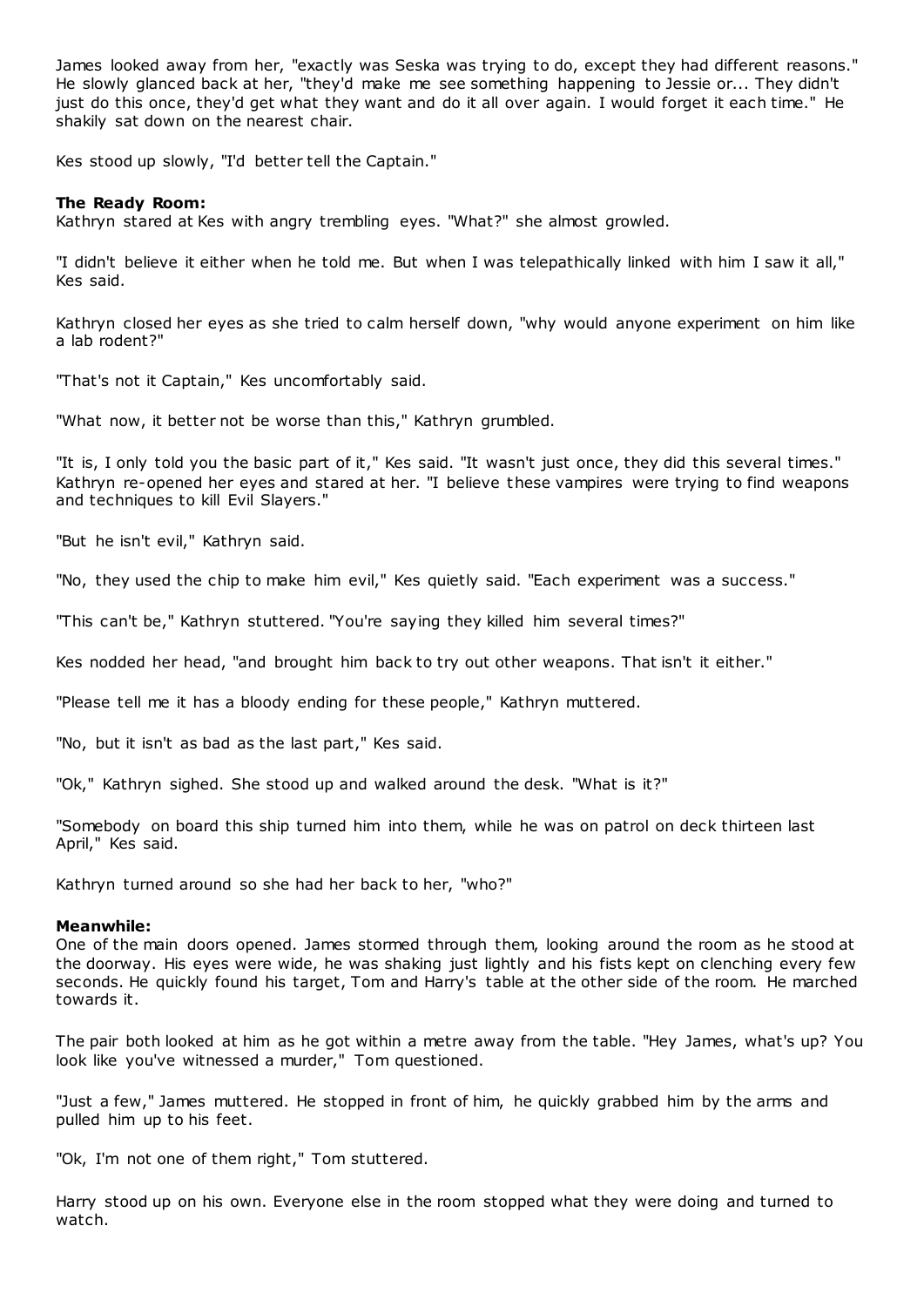James looked away from her, "exactly was Seska was trying to do, except they had different reasons." He slowly glanced back at her, "they'd make me see something happening to Jessie or... They didn't just do this once, they'd get what they want and do it all over again. I would forget it each time." He shakily sat down on the nearest chair.

Kes stood up slowly, "I'd better tell the Captain."

# **The Ready Room:**

Kathryn stared at Kes with angry trembling eyes. "What?" she almost growled.

"I didn't believe it either when he told me. But when I was telepathically linked with him I saw it all," Kes said.

Kathryn closed her eyes as she tried to calm herself down, "why would anyone experiment on him like a lab rodent?"

"That's not it Captain," Kes uncomfortably said.

"What now, it better not be worse than this," Kathryn grumbled.

"It is, I only told you the basic part of it," Kes said. "It wasn't just once, they did this several times." Kathryn re-opened her eyes and stared at her. "I believe these vampires were trying to find weapons and techniques to kill Evil Slayers."

"But he isn't evil," Kathryn said.

"No, they used the chip to make him evil," Kes quietly said. "Each experiment was a success."

"This can't be," Kathryn stuttered. "You're saying they killed him several times?"

Kes nodded her head, "and brought him back to try out other weapons. That isn't it either."

"Please tell me it has a bloody ending for these people," Kathryn muttered.

"No, but it isn't as bad as the last part," Kes said.

"Ok," Kathryn sighed. She stood up and walked around the desk. "What is it?"

"Somebody on board this ship turned him into them, while he was on patrol on deck thirteen last April," Kes said.

Kathryn turned around so she had her back to her, "who?"

# **Meanwhile:**

One of the main doors opened. James stormed through them, looking around the room as he stood at the doorway. His eyes were wide, he was shaking just lightly and his fists kept on clenching every few seconds. He quickly found his target, Tom and Harry's table at the other side of the room. He marched towards it.

The pair both looked at him as he got within a metre away from the table. "Hey James, what's up? You look like you've witnessed a murder," Tom questioned.

"Just a few," James muttered. He stopped in front of him, he quickly grabbed him by the arms and pulled him up to his feet.

"Ok, I'm not one of them right," Tom stuttered.

Harry stood up on his own. Everyone else in the room stopped what they were doing and turned to watch.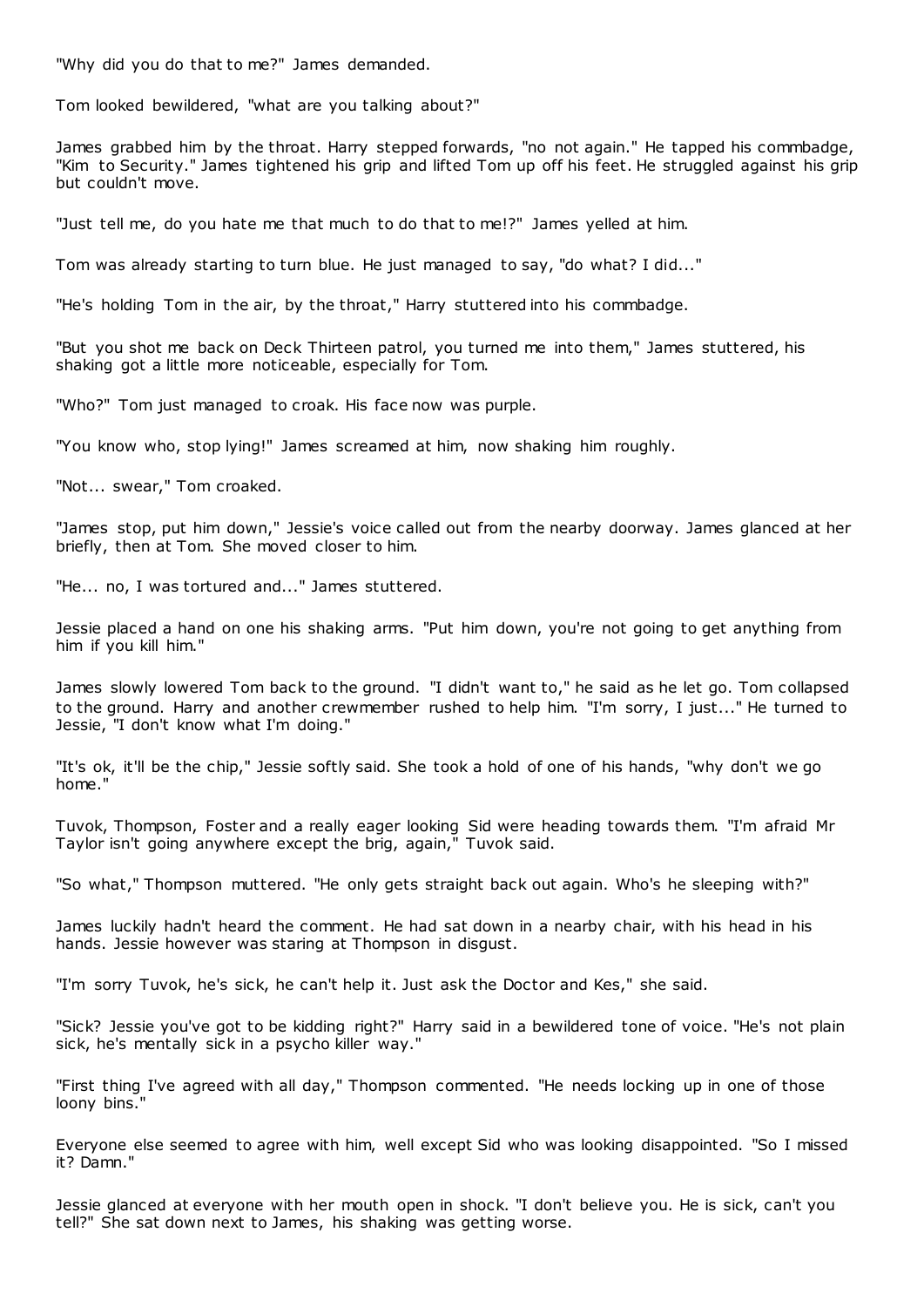"Why did you do that to me?" James demanded.

Tom looked bewildered, "what are you talking about?"

James grabbed him by the throat. Harry stepped forwards, "no not again." He tapped his commbadge, "Kim to Security." James tightened his grip and lifted Tom up off his feet. He struggled against his grip but couldn't move.

"Just tell me, do you hate me that much to do that to me!?" James yelled at him.

Tom was already starting to turn blue. He just managed to say, "do what? I did..."

"He's holding Tom in the air, by the throat," Harry stuttered into his commbadge.

"But you shot me back on Deck Thirteen patrol, you turned me into them," James stuttered, his shaking got a little more noticeable, especially for Tom.

"Who?" Tom just managed to croak. His face now was purple.

"You know who, stop lying!" James screamed at him, now shaking him roughly.

"Not... swear," Tom croaked.

"James stop, put him down," Jessie's voice called out from the nearby doorway. James glanced at her briefly, then at Tom. She moved closer to him.

"He... no, I was tortured and..." James stuttered.

Jessie placed a hand on one his shaking arms. "Put him down, you're not going to get anything from him if you kill him."

James slowly lowered Tom back to the ground. "I didn't want to," he said as he let go. Tom collapsed to the ground. Harry and another crewmember rushed to help him. "I'm sorry, I just..." He turned to Jessie, "I don't know what I'm doing."

"It's ok, it'll be the chip," Jessie softly said. She took a hold of one of his hands, "why don't we go home."

Tuvok, Thompson, Foster and a really eager looking Sid were heading towards them. "I'm afraid Mr Taylor isn't going anywhere except the brig, again," Tuvok said.

"So what," Thompson muttered. "He only gets straight back out again. Who's he sleeping with?"

James luckily hadn't heard the comment. He had sat down in a nearby chair, with his head in his hands. Jessie however was staring at Thompson in disgust.

"I'm sorry Tuvok, he's sick, he can't help it. Just ask the Doctor and Kes," she said.

"Sick? Jessie you've got to be kidding right?" Harry said in a bewildered tone of voice. "He's not plain sick, he's mentally sick in a psycho killer way."

"First thing I've agreed with all day," Thompson commented. "He needs locking up in one of those loony bins."

Everyone else seemed to agree with him, well except Sid who was looking disappointed. "So I missed it? Damn."

Jessie glanced at everyone with her mouth open in shock. "I don't believe you. He is sick, can't you tell?" She sat down next to James, his shaking was getting worse.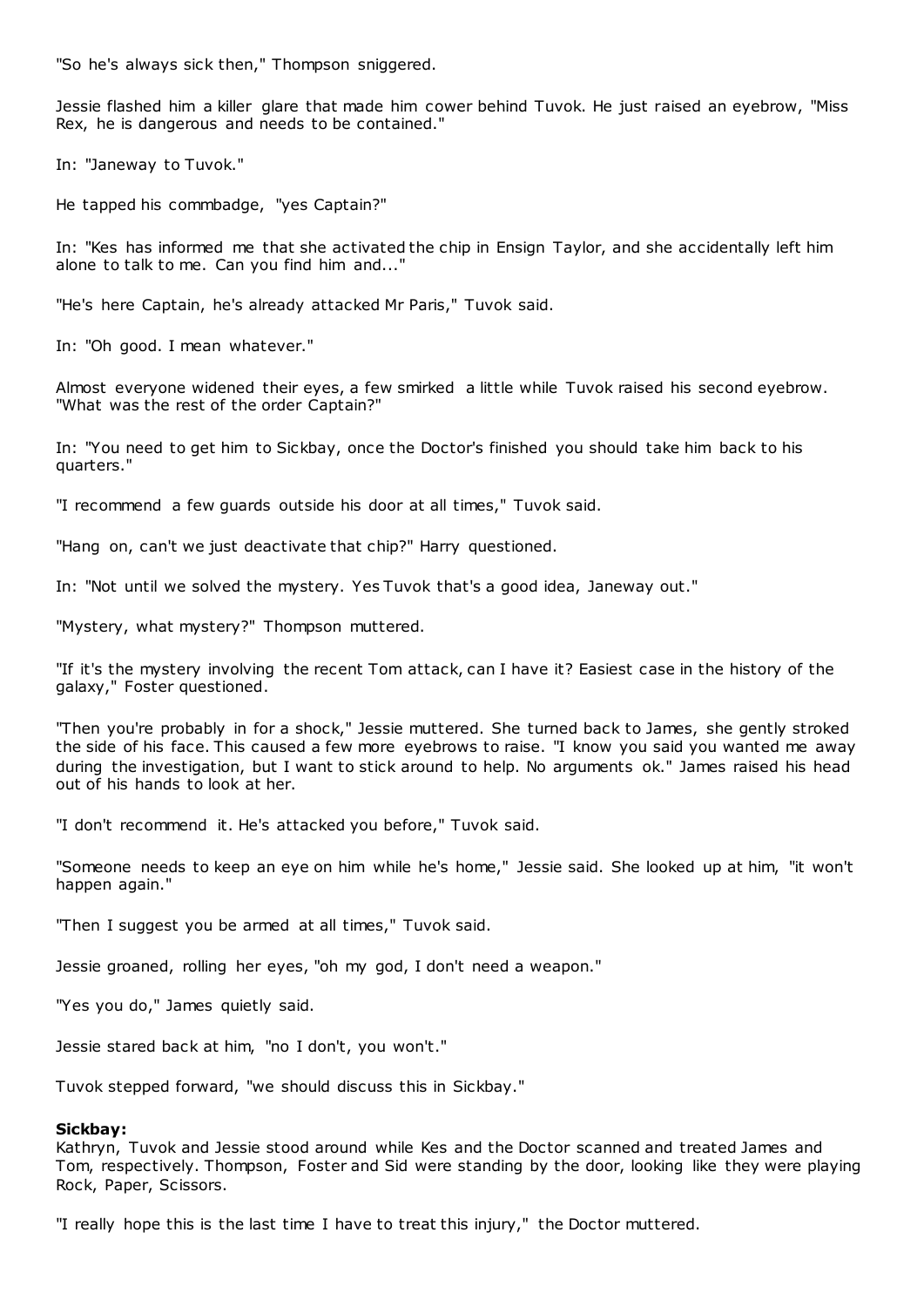"So he's always sick then," Thompson sniggered.

Jessie flashed him a killer glare that made him cower behind Tuvok. He just raised an eyebrow, "Miss Rex, he is dangerous and needs to be contained."

In: "Janeway to Tuvok."

He tapped his commbadge, "yes Captain?"

In: "Kes has informed me that she activated the chip in Ensign Taylor, and she accidentally left him alone to talk to me. Can you find him and..."

"He's here Captain, he's already attacked Mr Paris," Tuvok said.

In: "Oh good. I mean whatever."

Almost everyone widened their eyes, a few smirked a little while Tuvok raised his second eyebrow. "What was the rest of the order Captain?"

In: "You need to get him to Sickbay, once the Doctor's finished you should take him back to his quarters."

"I recommend a few guards outside his door at all times," Tuvok said.

"Hang on, can't we just deactivate that chip?" Harry questioned.

In: "Not until we solved the mystery. Yes Tuvok that's a good idea, Janeway out."

"Mystery, what mystery?" Thompson muttered.

"If it's the mystery involving the recent Tom attack, can I have it? Easiest case in the history of the galaxy," Foster questioned.

"Then you're probably in for a shock," Jessie muttered. She turned back to James, she gently stroked the side of his face. This caused a few more eyebrows to raise. "I know you said you wanted me away during the investigation, but I want to stick around to help. No arguments ok." James raised his head out of his hands to look at her.

"I don't recommend it. He's attacked you before," Tuvok said.

"Someone needs to keep an eye on him while he's home," Jessie said. She looked up at him, "it won't happen again."

"Then I suggest you be armed at all times," Tuvok said.

Jessie groaned, rolling her eyes, "oh my god, I don't need a weapon."

"Yes you do," James quietly said.

Jessie stared back at him, "no I don't, you won't."

Tuvok stepped forward, "we should discuss this in Sickbay."

# **Sickbay:**

Kathryn, Tuvok and Jessie stood around while Kes and the Doctor scanned and treated James and Tom, respectively. Thompson, Foster and Sid were standing by the door, looking like they were playing Rock, Paper, Scissors.

"I really hope this is the last time I have to treat this injury," the Doctor muttered.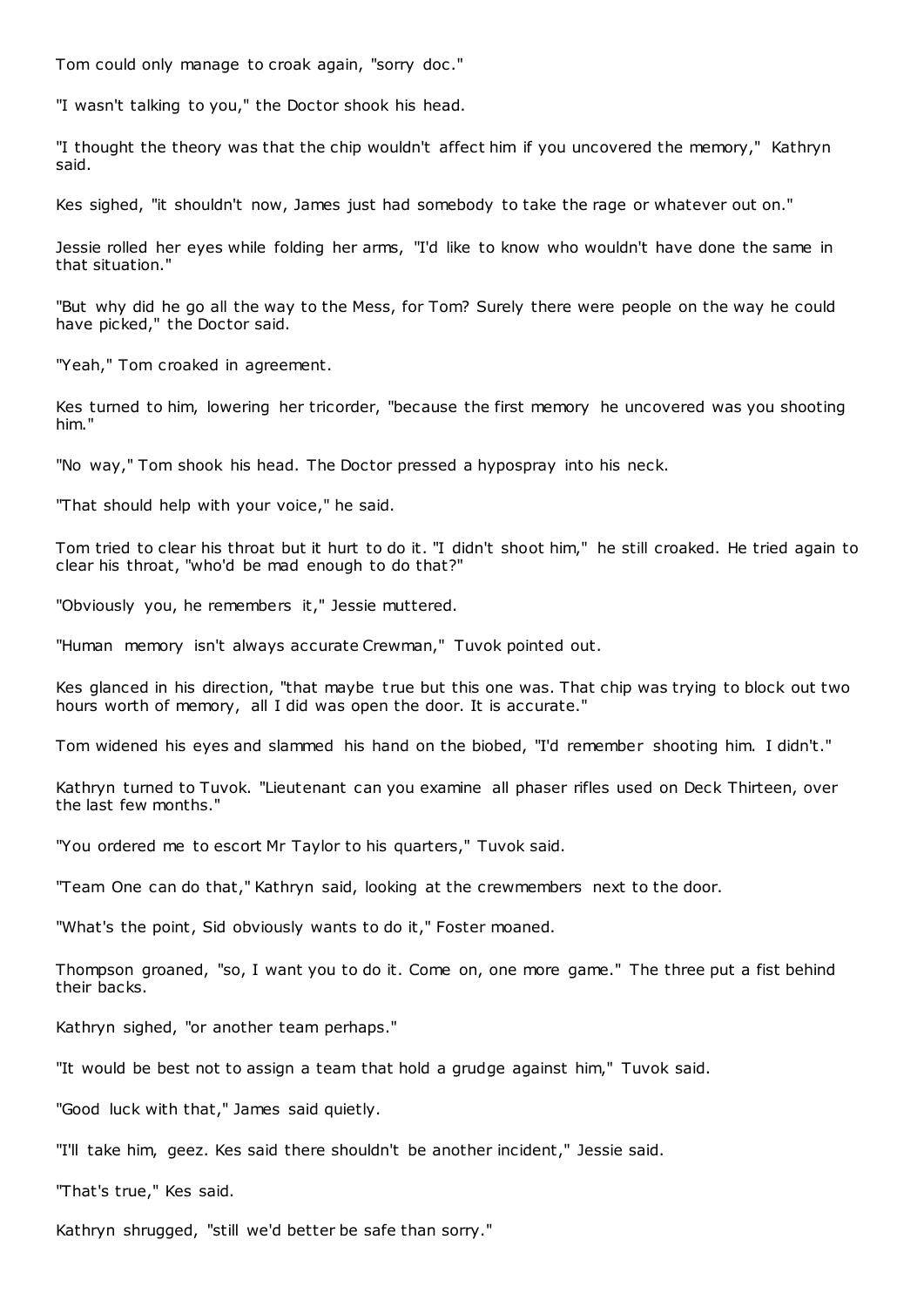Tom could only manage to croak again, "sorry doc ."

"I wasn't talking to you," the Doctor shook his head.

"I thought the theory was that the chip wouldn't affect him if you uncovered the memory," Kathryn said.

Kes sighed, "it shouldn't now, James just had somebody to take the rage or whatever out on."

Jessie rolled her eyes while folding her arms, "I'd like to know who wouldn't have done the same in that situation."

"But why did he go all the way to the Mess, for Tom? Surely there were people on the way he could have picked," the Doctor said.

"Yeah," Tom croaked in agreement.

Kes turned to him, lowering her tricorder, "because the first memory he uncovered was you shooting him."

"No way," Tom shook his head. The Doctor pressed a hypospray into his neck.

"That should help with your voice," he said.

Tom tried to clear his throat but it hurt to do it. "I didn't shoot him," he still croaked. He tried again to clear his throat, "who'd be mad enough to do that?"

"Obviously you, he remembers it," Jessie muttered.

"Human memory isn't always accurate Crewman," Tuvok pointed out.

Kes glanced in his direction, "that maybe t rue but this one was. That chip was trying to block out two hours worth of memory, all I did was open the door. It is accurate."

Tom widened his eyes and slammed his hand on the biobed, "I'd remember shooting him. I didn't."

Kathryn turned to Tuvok. "Lieutenant can you examine all phaser rifles used on Deck Thirteen, over the last few months."

"You ordered me to escort Mr Taylor to his quarters," Tuvok said.

"Team One can do that," Kathryn said, looking at the crewmembers next to the door.

"What's the point, Sid obviously wants to do it," Foster moaned.

Thompson groaned, "so, I want you to do it. Come on, one more game." The three put a fist behind their backs.

Kathryn sighed, "or another team perhaps."

"It would be best not to assign a team that hold a grudge against him," Tuvok said.

"Good luck with that," James said quietly.

"I'll take him, geez. Kes said there shouldn't be another incident," Jessie said.

"That's true," Kes said.

Kathryn shrugged, "still we'd better be safe than sorry."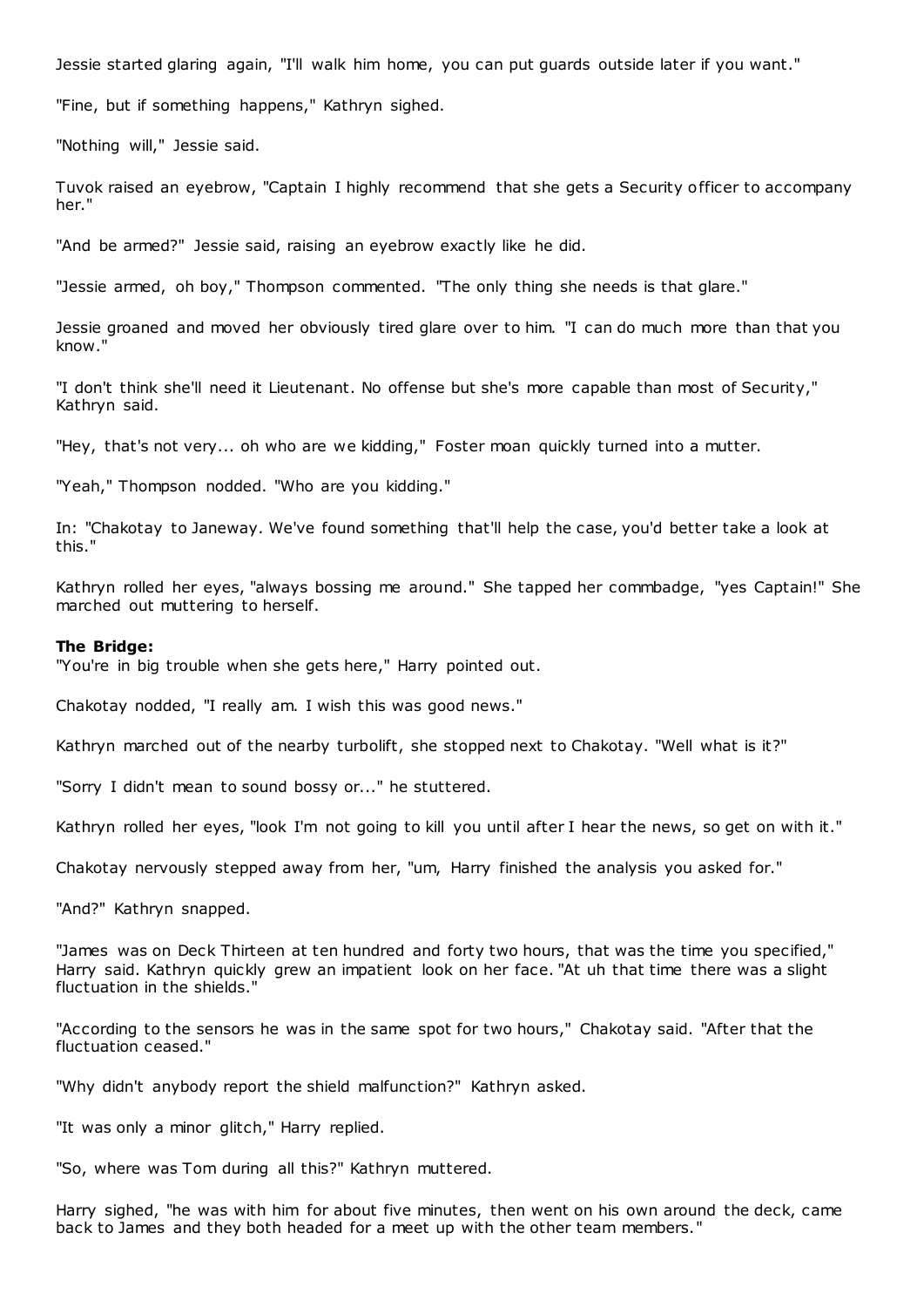Jessie started glaring again, "I'll walk him home, you can put guards outside later if you want."

"Fine, but if something happens," Kathryn sighed.

"Nothing will," Jessie said.

Tuvok raised an eyebrow, "Captain I highly recommend that she gets a Security officer to accompany her."

"And be armed?" Jessie said, raising an eyebrow exactly like he did.

"Jessie armed, oh boy," Thompson commented. "The only thing she needs is that glare."

Jessie groaned and moved her obviously tired glare over to him. "I can do much more than that you know."

"I don't think she'll need it Lieutenant. No offense but she's more capable than most of Security," Kathryn said.

"Hey, that's not very... oh who are we kidding," Foster moan quickly turned into a mutter.

"Yeah," Thompson nodded. "Who are you kidding."

In: "Chakotay to Janeway. We've found something that'll help the case, you'd better take a look at this."

Kathryn rolled her eyes, "always bossing me around." She tapped her commbadge, "yes Captain!" She marched out muttering to herself.

#### **The Bridge:**

"You're in big trouble when she gets here," Harry pointed out.

Chakotay nodded, "I really am. I wish this was good news."

Kathryn marched out of the nearby turbolift, she stopped next to Chakotay. "Well what is it?"

"Sorry I didn't mean to sound bossy or..." he stuttered.

Kathryn rolled her eyes, "look I'm not going to kill you until after I hear the news, so get on with it."

Chakotay nervously stepped away from her, "um, Harry finished the analysis you asked for."

"And?" Kathryn snapped.

"James was on Deck Thirteen at ten hundred and forty two hours, that was the time you specified," Harry said. Kathryn quickly grew an impatient look on her face. "At uh that time there was a slight fluctuation in the shields."

"According to the sensors he was in the same spot for two hours," Chakotay said. "After that the fluctuation ceased."

"Why didn't anybody report the shield malfunction?" Kathryn asked.

"It was only a minor glitch," Harry replied.

"So, where was Tom during all this?" Kathryn muttered.

Harry sighed, "he was with him for about five minutes, then went on his own around the deck, came back to James and they both headed for a meet up with the other team members."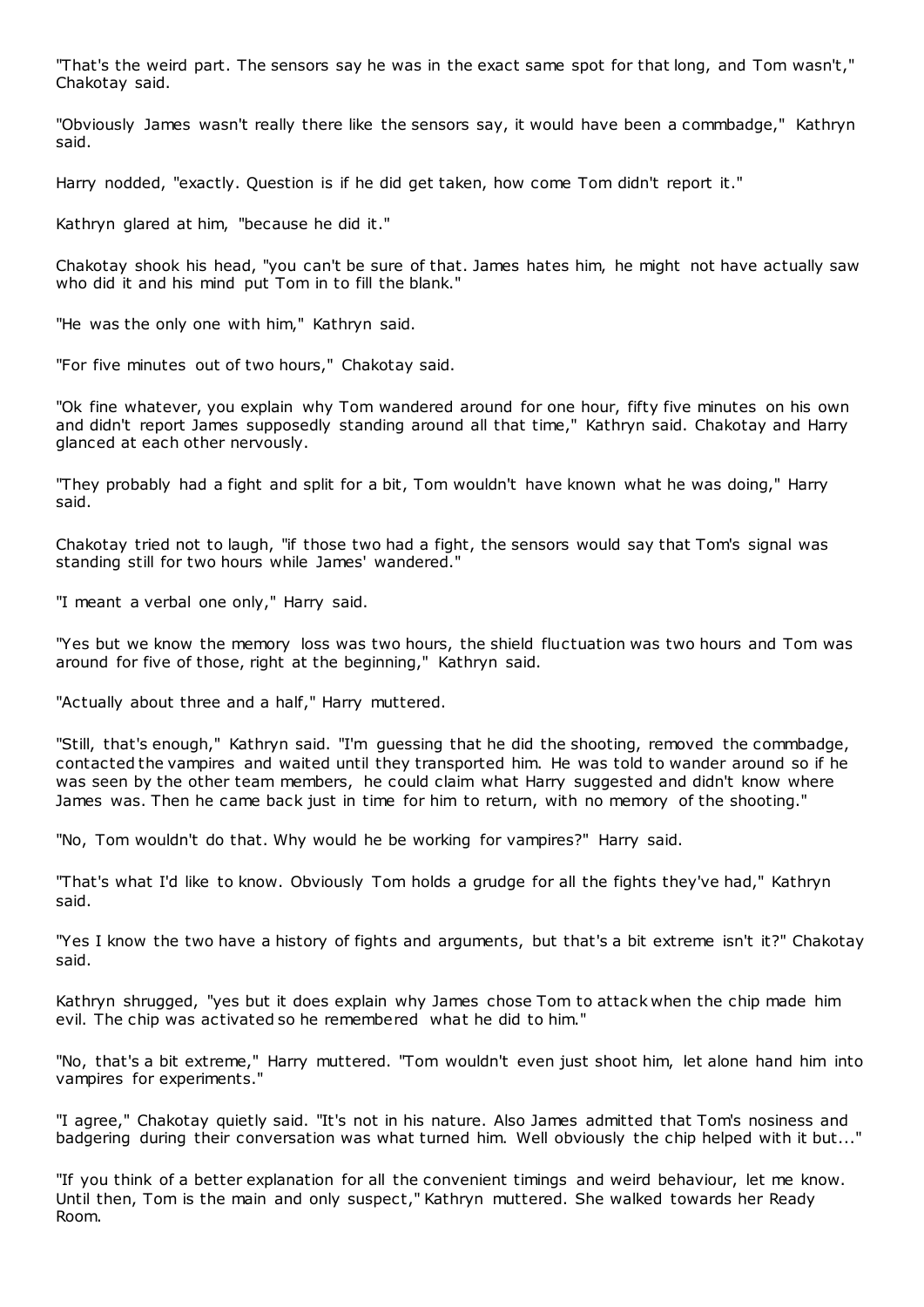"That's the weird part. The sensors say he was in the exact same spot for that long, and Tom wasn't," Chakotay said.

"Obviously James wasn't really there like the sensors say, it would have been a commbadge," Kathryn said.

Harry nodded, "exactly. Question is if he did get taken, how come Tom didn't report it."

Kathryn glared at him, "because he did it."

Chakotay shook his head, "you can't be sure of that. James hates him, he might not have actually saw who did it and his mind put Tom in to fill the blank."

"He was the only one with him," Kathryn said.

"For five minutes out of two hours," Chakotay said.

"Ok fine whatever, you explain why Tom wandered around for one hour, fifty five minutes on his own and didn't report James supposedly standing around all that time," Kathryn said. Chakotay and Harry glanced at each other nervously.

"They probably had a fight and split for a bit, Tom wouldn't have known what he was doing," Harry said.

Chakotay tried not to laugh, "if those two had a fight, the sensors would say that Tom's signal was standing still for two hours while James' wandered."

"I meant a verbal one only," Harry said.

"Yes but we know the memory loss was two hours, the shield fluctuation was two hours and Tom was around for five of those, right at the beginning," Kathryn said.

"Actually about three and a half," Harry muttered.

"Still, that's enough," Kathryn said. "I'm guessing that he did the shooting, removed the commbadge, contacted the vampires and waited until they transported him. He was told to wander around so if he was seen by the other team members, he could claim what Harry suggested and didn't know where James was. Then he came back just in time for him to return, with no memory of the shooting."

"No, Tom wouldn't do that. Why would he be working for vampires?" Harry said.

"That's what I'd like to know. Obviously Tom holds a grudge for all the fights they've had," Kathryn said.

"Yes I know the two have a history of fights and arguments, but that's a bit extreme isn't it?" Chakotay said.

Kathryn shrugged, "yes but it does explain why James chose Tom to attack when the chip made him evil. The chip was activated so he remembered what he did to him."

"No, that's a bit extreme," Harry muttered. "Tom wouldn't even just shoot him, let alone hand him into vampires for experiments."

"I agree," Chakotay quietly said. "It's not in his nature. Also James admitted that Tom's nosiness and badgering during their conversation was what turned him. Well obviously the chip helped with it but..."

"If you think of a better explanation for all the convenient timings and weird behaviour, let me know. Until then, Tom is the main and only suspect," Kathryn muttered. She walked towards her Ready Room.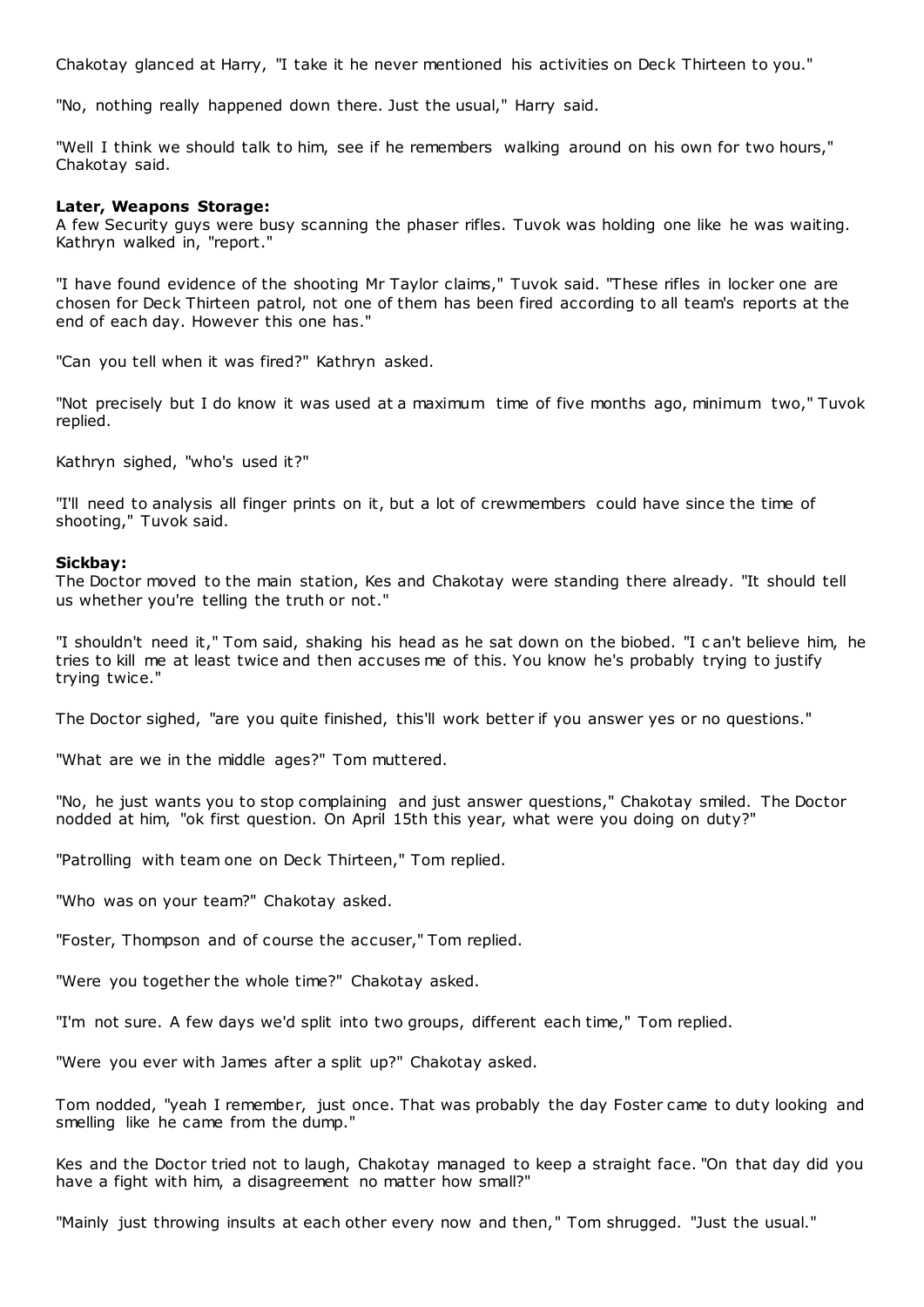Chakotay glanced at Harry, "I take it he never mentioned his activities on Deck Thirteen to you."

"No, nothing really happened down there. Just the usual," Harry said.

"Well I think we should talk to him, see if he remembers walking around on his own for two hours," Chakotay said.

# **Later, Weapons Storage:**

A few Security guys were busy scanning the phaser rifles. Tuvok was holding one like he was waiting. Kathryn walked in, "report."

"I have found evidence of the shooting Mr Taylor claims," Tuvok said. "These rifles in locker one are chosen for Deck Thirteen patrol, not one of them has been fired according to all team's reports at the end of each day. However this one has."

"Can you tell when it was fired?" Kathryn asked.

"Not precisely but I do know it was used at a maximum time of five months ago, minimum two," Tuvok replied.

Kathryn sighed, "who's used it?"

"I'll need to analysis all finger prints on it, but a lot of crewmembers could have since the time of shooting," Tuvok said.

#### **Sickbay:**

The Doctor moved to the main station, Kes and Chakotay were standing there already. "It should tell us whether you're telling the truth or not."

"I shouldn't need it," Tom said, shaking his head as he sat down on the biobed. "I c an't believe him, he tries to kill me at least twice and then accuses me of this. You know he's probably trying to justify trying twice."

The Doctor sighed, "are you quite finished, this'll work better if you answer yes or no questions."

"What are we in the middle ages?" Tom muttered.

"No, he just wants you to stop complaining and just answer questions," Chakotay smiled. The Doctor nodded at him, "ok first question. On April 15th this year, what were you doing on duty?"

"Patrolling with team one on Deck Thirteen," Tom replied.

"Who was on your team?" Chakotay asked.

"Foster, Thompson and of course the accuser," Tom replied.

"Were you together the whole time?" Chakotay asked.

"I'm not sure. A few days we'd split into two groups, different each time," Tom replied.

"Were you ever with James after a split up?" Chakotay asked.

Tom nodded, "yeah I remember, just once. That was probably the day Foster came to duty looking and smelling like he came from the dump."

Kes and the Doctor tried not to laugh, Chakotay managed to keep a straight face. "On that day did you have a fight with him, a disagreement no matter how small?"

"Mainly just throwing insults at each other every now and then," Tom shrugged. "Just the usual."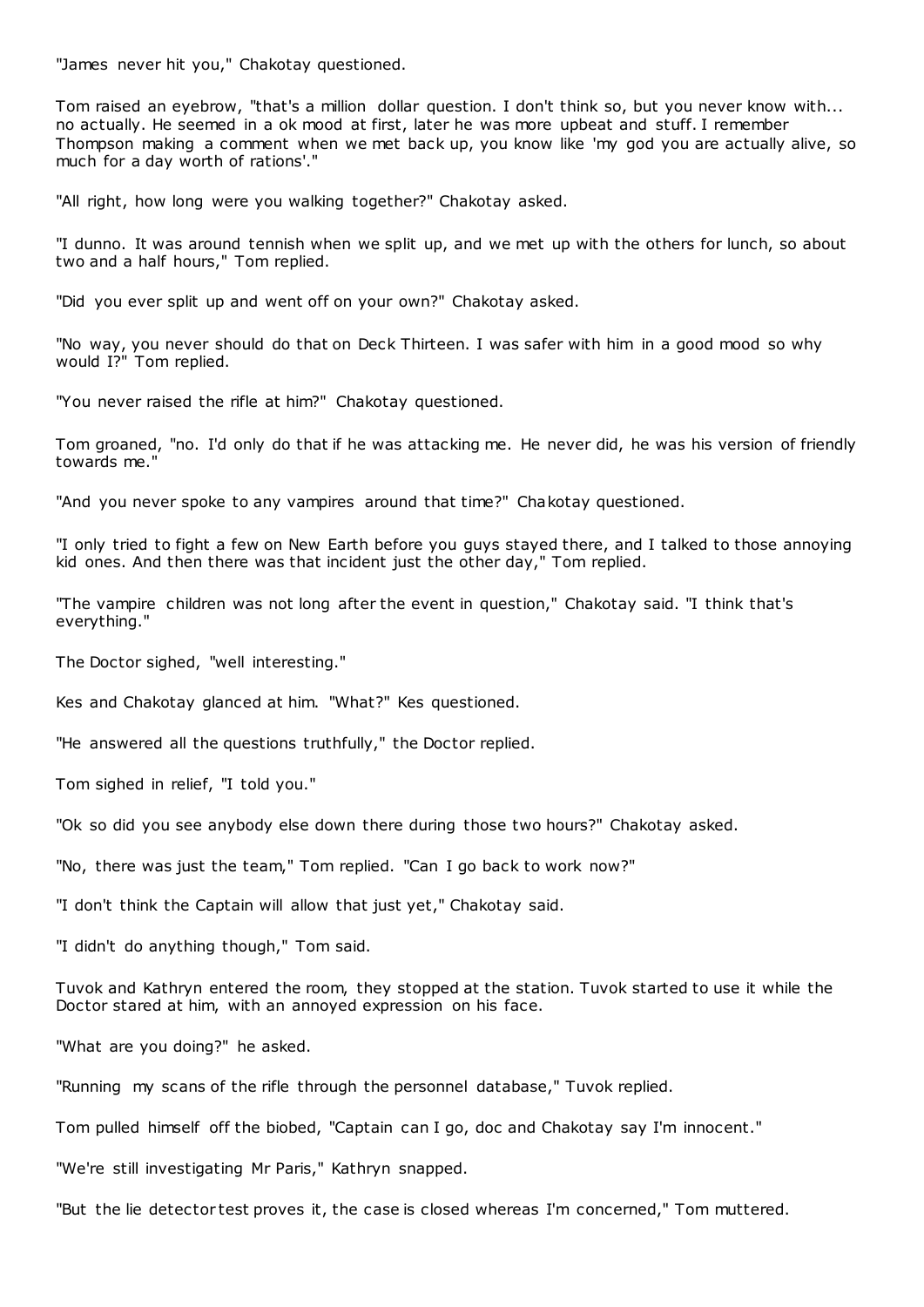"James never hit you," Chakotay questioned.

Tom raised an eyebrow, "that's a million dollar question. I don't think so, but you never know with... no actually. He seemed in a ok mood at first, later he was more upbeat and stuff. I remember Thompson making a comment when we met back up, you know like 'my god you are actually alive, so much for a day worth of rations'."

"All right, how long were you walking together?" Chakotay asked.

"I dunno. It was around tennish when we split up, and we met up with the others for lunch, so about two and a half hours," Tom replied.

"Did you ever split up and went off on your own?" Chakotay asked.

"No way, you never should do that on Deck Thirteen. I was safer with him in a good mood so why would I?" Tom replied.

"You never raised the rifle at him?" Chakotay questioned.

Tom groaned, "no. I'd only do that if he was attacking me. He never did, he was his version of friendly towards me."

"And you never spoke to any vampires around that time?" Chakotay questioned.

"I only tried to fight a few on New Earth before you guys stayed there, and I talked to those annoying kid ones. And then there was that incident just the other day," Tom replied.

"The vampire children was not long after the event in question," Chakotay said. "I think that's everything."

The Doctor sighed, "well interesting."

Kes and Chakotay glanced at him. "What?" Kes questioned.

"He answered all the questions truthfully," the Doctor replied.

Tom sighed in relief, "I told you."

"Ok so did you see anybody else down there during those two hours?" Chakotay asked.

"No, there was just the team," Tom replied. "Can I go back to work now?"

"I don't think the Captain will allow that just yet," Chakotay said.

"I didn't do anything though," Tom said.

Tuvok and Kathryn entered the room, they stopped at the station. Tuvok started to use it while the Doctor stared at him, with an annoyed expression on his face.

"What are you doing?" he asked.

"Running my scans of the rifle through the personnel database," Tuvok replied.

Tom pulled himself off the biobed, "Captain can I go, doc and Chakotay say I'm innocent."

"We're still investigating Mr Paris," Kathryn snapped.

"But the lie detector test proves it, the case is closed whereas I'm concerned," Tom muttered.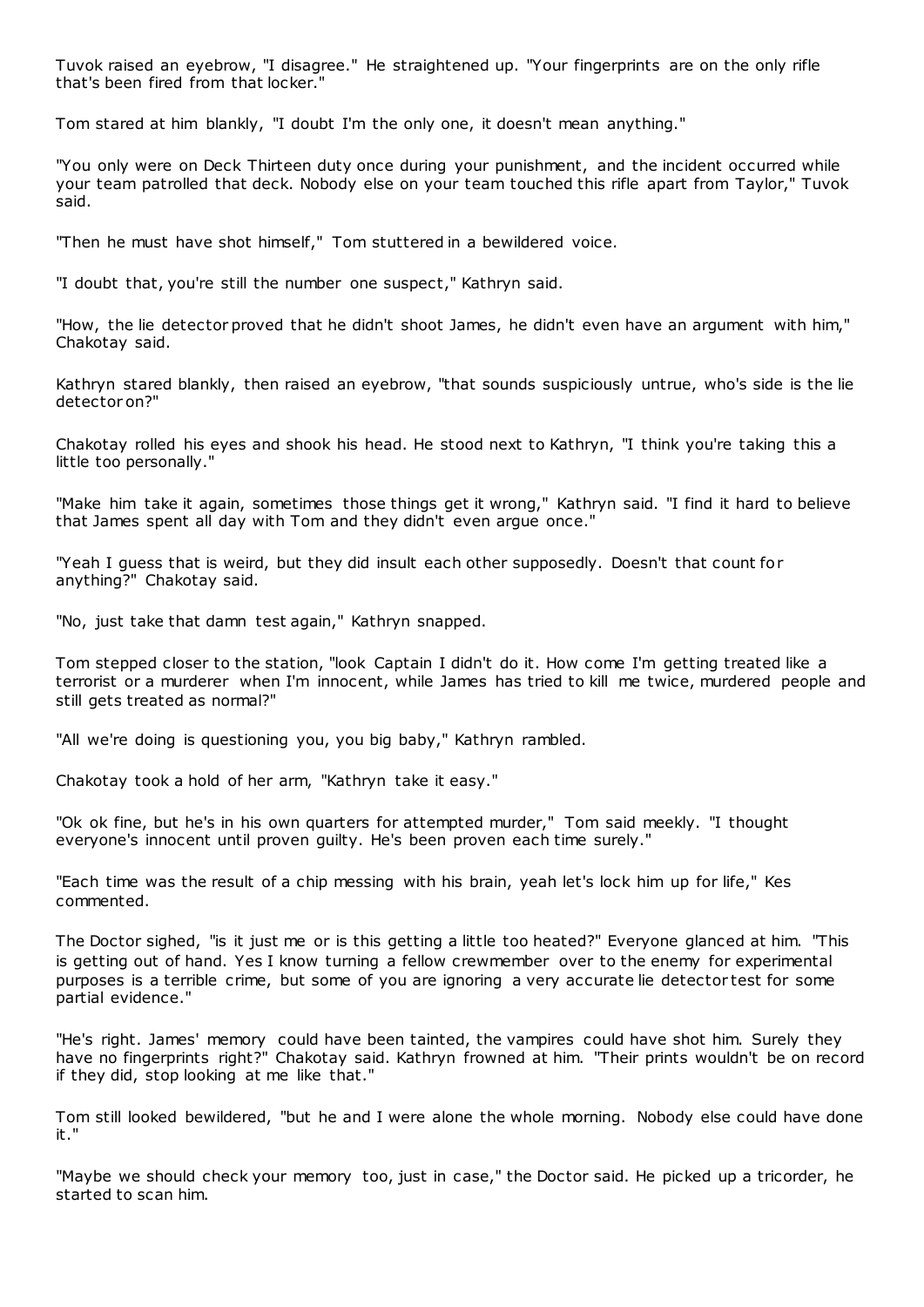Tuvok raised an eyebrow, "I disagree." He straightened up. "Your fingerprints are on the only rifle that's been fired from that locker."

Tom stared at him blankly, "I doubt I'm the only one, it doesn't mean anything."

"You only were on Deck Thirteen duty once during your punishment, and the incident occurred while your team patrolled that deck. Nobody else on your team touched this rifle apart from Taylor," Tuvok said.

"Then he must have shot himself," Tom stuttered in a bewildered voice.

"I doubt that, you're still the number one suspect," Kathryn said.

"How, the lie detector proved that he didn't shoot James, he didn't even have an argument with him," Chakotay said.

Kathryn stared blankly, then raised an eyebrow, "that sounds suspiciously untrue, who's side is the lie detector on?"

Chakotay rolled his eyes and shook his head. He stood next to Kathryn, "I think you're taking this a little too personally."

"Make him take it again, sometimes those things get it wrong," Kathryn said. "I find it hard to believe that James spent all day with Tom and they didn't even argue once."

"Yeah I guess that is weird, but they did insult each other supposedly. Doesn't that count for anything?" Chakotay said.

"No, just take that damn test again," Kathryn snapped.

Tom stepped closer to the station, "look Captain I didn't do it. How come I'm getting treated like a terrorist or a murderer when I'm innocent, while James has tried to kill me twice, murdered people and still gets treated as normal?"

"All we're doing is questioning you, you big baby," Kathryn rambled.

Chakotay took a hold of her arm, "Kathryn take it easy."

"Ok ok fine, but he's in his own quarters for attempted murder," Tom said meekly. "I thought everyone's innocent until proven guilty. He's been proven each time surely."

"Each time was the result of a chip messing with his brain, yeah let's lock him up for life," Kes commented.

The Doctor sighed, "is it just me or is this getting a little too heated?" Everyone glanced at him. "This is getting out of hand. Yes I know turning a fellow crewmember over to the enemy for experimental purposes is a terrible crime, but some of you are ignoring a very accurate lie detector test for some partial evidence."

"He's right. James' memory could have been tainted, the vampires could have shot him. Surely they have no fingerprints right?" Chakotay said. Kathryn frowned at him. "Their prints wouldn't be on record if they did, stop looking at me like that."

Tom still looked bewildered, "but he and I were alone the whole morning. Nobody else could have done it."

"Maybe we should check your memory too, just in case," the Doctor said. He picked up a tricorder, he started to scan him.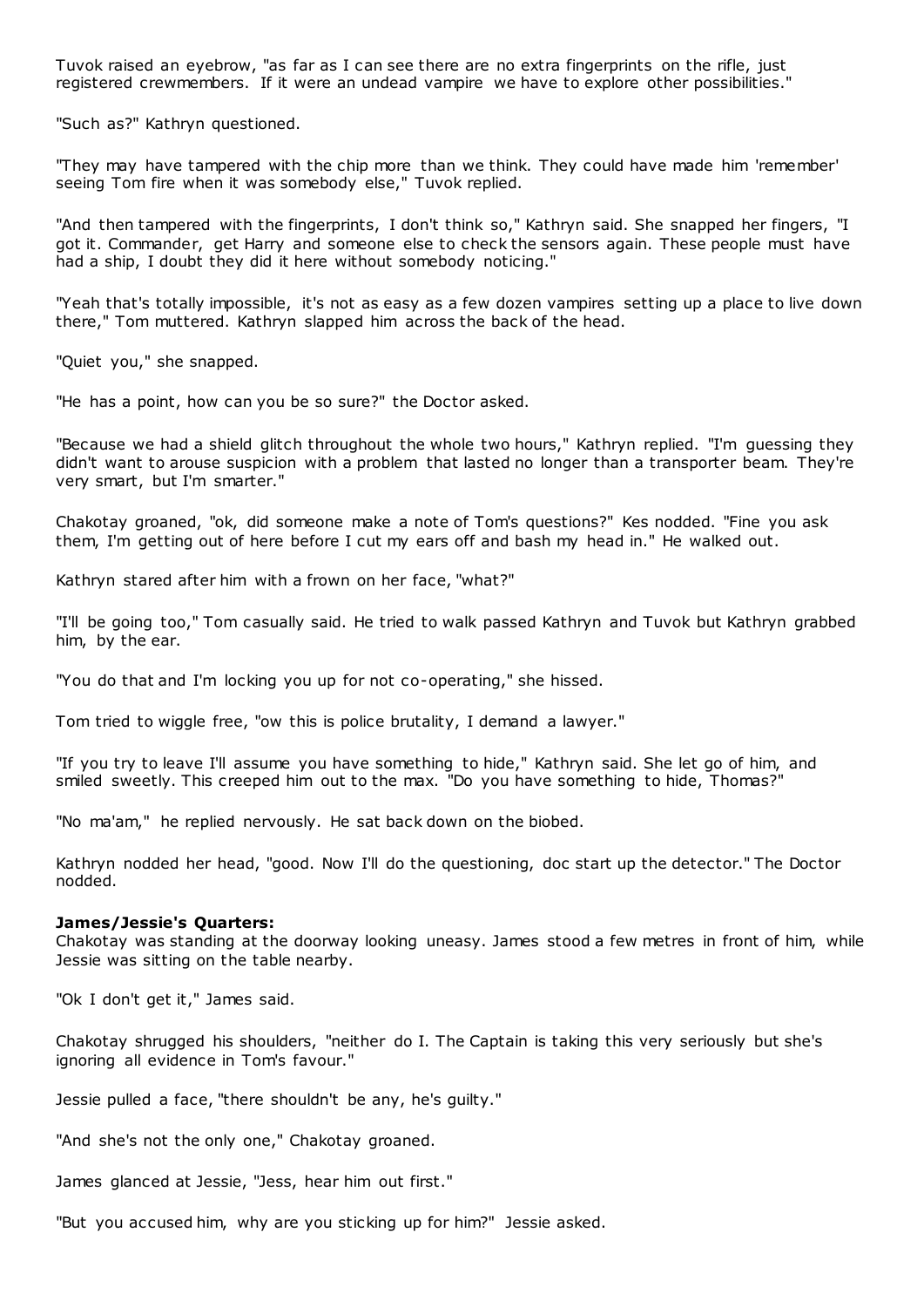Tuvok raised an eyebrow, "as far as I can see there are no extra fingerprints on the rifle, just registered crewmembers. If it were an undead vampire we have to explore other possibilities."

"Such as?" Kathryn questioned.

"They may have tampered with the chip more than we think. They could have made him 'remember' seeing Tom fire when it was somebody else," Tuvok replied.

"And then tampered with the fingerprints, I don't think so," Kathryn said. She snapped her fingers, "I got it. Commander, get Harry and someone else to check the sensors again. These people must have had a ship, I doubt they did it here without somebody noticing."

"Yeah that's totally impossible, it's not as easy as a few dozen vampires setting up a place to live down there," Tom muttered. Kathryn slapped him across the back of the head.

"Quiet you," she snapped.

"He has a point, how can you be so sure?" the Doctor asked.

"Because we had a shield glitch throughout the whole two hours," Kathryn replied. "I'm guessing they didn't want to arouse suspicion with a problem that lasted no longer than a transporter beam. They're very smart, but I'm smarter."

Chakotay groaned, "ok, did someone make a note of Tom's questions?" Kes nodded. "Fine you ask them, I'm getting out of here before I cut my ears off and bash my head in." He walked out.

Kathryn stared after him with a frown on her face, "what?"

"I'll be going too," Tom casually said. He tried to walk passed Kathryn and Tuvok but Kathryn grabbed him, by the ear.

"You do that and I'm locking you up for not co-operating," she hissed.

Tom tried to wiggle free, "ow this is police brutality, I demand a lawyer."

"If you try to leave I'll assume you have something to hide," Kathryn said. She let go of him, and smiled sweetly. This creeped him out to the max. "Do you have something to hide, Thomas?"

"No ma'am," he replied nervously. He sat back down on the biobed.

Kathryn nodded her head, "good. Now I'll do the questioning, doc start up the detector." The Doctor nodded.

## **James/Jessie's Quarters:**

Chakotay was standing at the doorway looking uneasy. James stood a few metres in front of him, while Jessie was sitting on the table nearby.

"Ok I don't get it," James said.

Chakotay shrugged his shoulders, "neither do I. The Captain is taking this very seriously but she's ignoring all evidence in Tom's favour."

Jessie pulled a face, "there shouldn't be any, he's guilty."

"And she's not the only one," Chakotay groaned.

James glanced at Jessie, "Jess, hear him out first."

"But you accused him, why are you sticking up for him?" Jessie asked.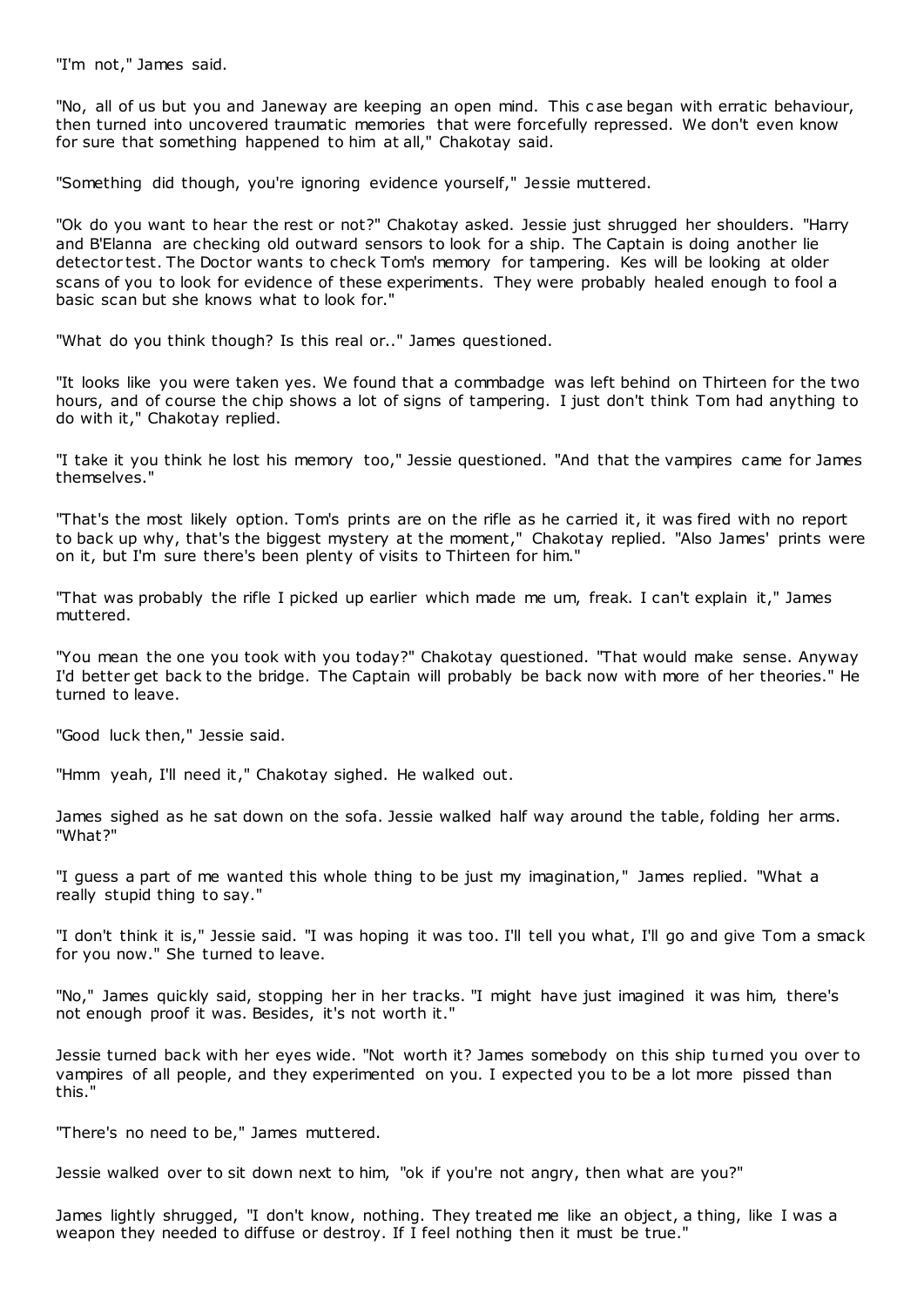"I'm not," James said.

"No, all of us but you and Janeway are keeping an open mind. This c ase began with erratic behaviour, then turned into uncovered traumatic memories that were forcefully repressed. We don't even know for sure that something happened to him at all," Chakotay said.

"Something did though, you're ignoring evidence yourself," Jessie muttered.

"Ok do you want to hear the rest or not?" Chakotay asked. Jessie just shrugged her shoulders. "Harry and B'Elanna are checking old outward sensors to look for a ship. The Captain is doing another lie detector test. The Doctor wants to check Tom's memory for tampering. Kes will be looking at older scans of you to look for evidence of these experiments. They were probably healed enough to fool a basic scan but she knows what to look for."

"What do you think though? Is this real or.." James questioned.

"It looks like you were taken yes. We found that a commbadge was left behind on Thirteen for the two hours, and of course the chip shows a lot of signs of tampering. I just don't think Tom had anything to do with it," Chakotay replied.

"I take it you think he lost his memory too," Jessie questioned. "And that the vampires came for James themselves."

"That's the most likely option. Tom's prints are on the rifle as he carried it, it was fired with no report to back up why, that's the biggest mystery at the moment," Chakotay replied. "Also James' prints were on it, but I'm sure there's been plenty of visits to Thirteen for him."

"That was probably the rifle I picked up earlier which made me um, freak. I can't explain it," James muttered.

"You mean the one you took with you today?" Chakotay questioned. "That would make sense. Anyway I'd better get back to the bridge. The Captain will probably be back now with more of her theories." He turned to leave.

"Good luck then," Jessie said.

"Hmm yeah, I'll need it," Chakotay sighed. He walked out.

James sighed as he sat down on the sofa. Jessie walked half way around the table, folding her arms. "What?"

"I guess a part of me wanted this whole thing to be just my imagination," James replied. "What a really stupid thing to say."

"I don't think it is," Jessie said. "I was hoping it was too. I'll tell you what, I'll go and give Tom a smack for you now." She turned to leave.

"No," James quickly said, stopping her in her tracks. "I might have just imagined it was him, there's not enough proof it was. Besides, it's not worth it."

Jessie turned back with her eyes wide. "Not worth it? James somebody on this ship turned you over to vampires of all people, and they experimented on you. I expected you to be a lot more pissed than this."

"There's no need to be," James muttered.

Jessie walked over to sit down next to him, "ok if you're not angry, then what are you?"

James lightly shrugged, "I don't know, nothing. They treated me like an object, a thing, like I was a weapon they needed to diffuse or destroy. If I feel nothing then it must be true."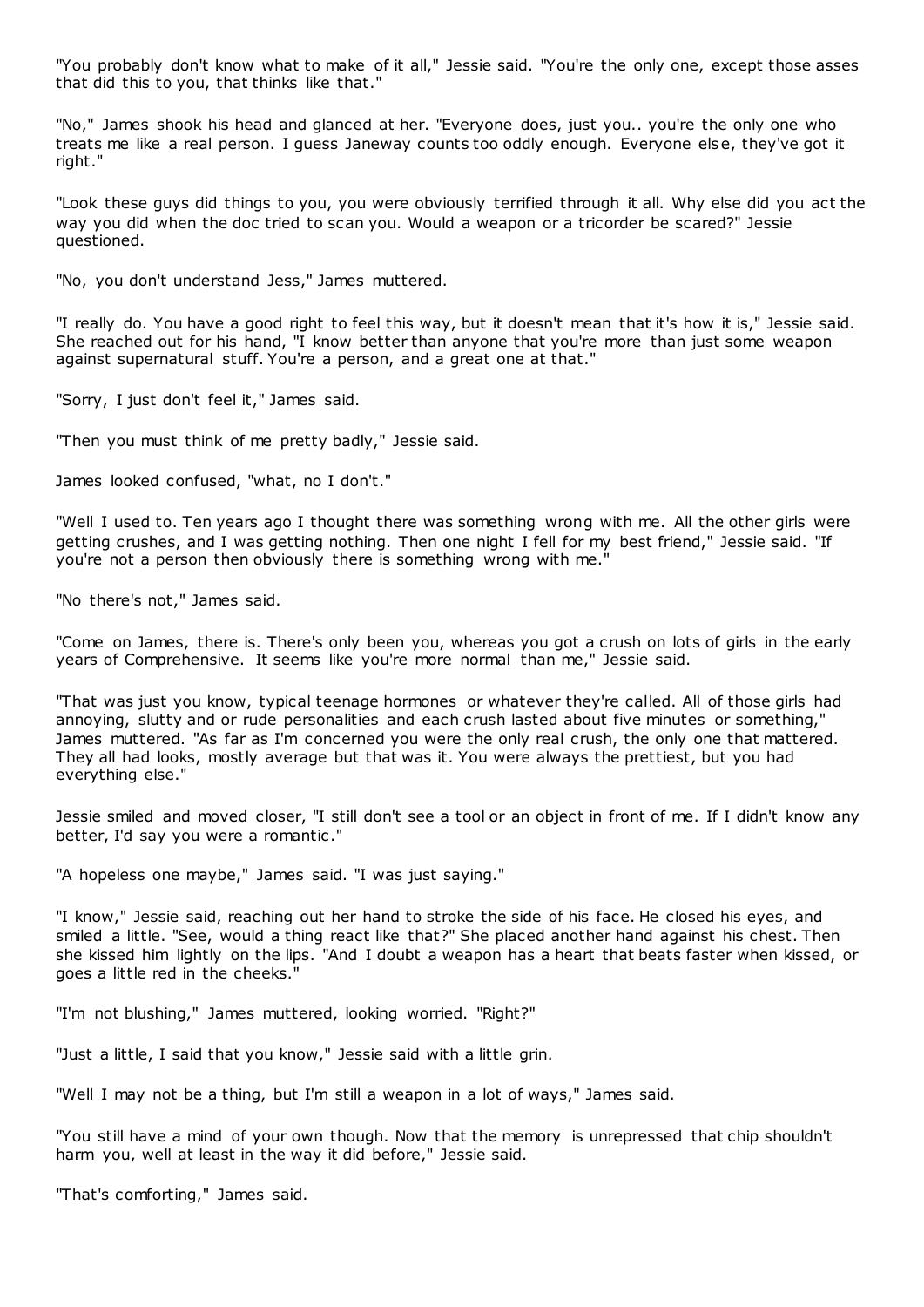"You probably don't know what to make of it all," Jessie said. "You're the only one, except those asses that did this to you, that thinks like that."

"No," James shook his head and glanced at her. "Everyone does, just you.. you're the only one who treats me like a real person. I guess Janeway counts too oddly enough. Everyone else, they've got it right."

"Look these guys did things to you, you were obviously terrified through it all. Why else did you act the way you did when the doc tried to scan you. Would a weapon or a tricorder be scared?" Jessie questioned.

"No, you don't understand Jess," James muttered.

"I really do. You have a good right to feel this way, but it doesn't mean that it's how it is," Jessie said. She reached out for his hand, "I know better than anyone that you're more than just some weapon against supernatural stuff. You're a person, and a great one at that."

"Sorry, I just don't feel it," James said.

"Then you must think of me pretty badly," Jessie said.

James looked confused, "what, no I don't."

"Well I used to. Ten years ago I thought there was something wrong with me. All the other girls were getting crushes, and I was getting nothing. Then one night I fell for my best friend," Jessie said. "If you're not a person then obviously there is something wrong with me."

"No there's not," James said.

"Come on James, there is. There's only been you, whereas you got a crush on lots of girls in the early years of Comprehensive. It seems like you're more normal than me," Jessie said.

"That was just you know, typical teenage hormones or whatever they're called. All of those girls had annoying, slutty and or rude personalities and each crush lasted about five minutes or something," James muttered. "As far as I'm concerned you were the only real crush, the only one that mattered. They all had looks, mostly average but that was it. You were always the prettiest, but you had everything else."

Jessie smiled and moved closer, "I still don't see a tool or an object in front of me. If I didn't know any better, I'd say you were a romantic ."

"A hopeless one maybe," James said. "I was just saying."

"I know," Jessie said, reaching out her hand to stroke the side of his face. He closed his eyes, and smiled a little. "See, would a thing react like that?" She placed another hand against his chest. Then she kissed him lightly on the lips. "And I doubt a weapon has a heart that beats faster when kissed, or goes a little red in the cheeks."

"I'm not blushing," James muttered, looking worried. "Right?"

"Just a little, I said that you know," Jessie said with a little grin.

"Well I may not be a thing, but I'm still a weapon in a lot of ways," James said.

"You still have a mind of your own though. Now that the memory is unrepressed that chip shouldn't harm you, well at least in the way it did before," Jessie said.

"That's comforting," James said.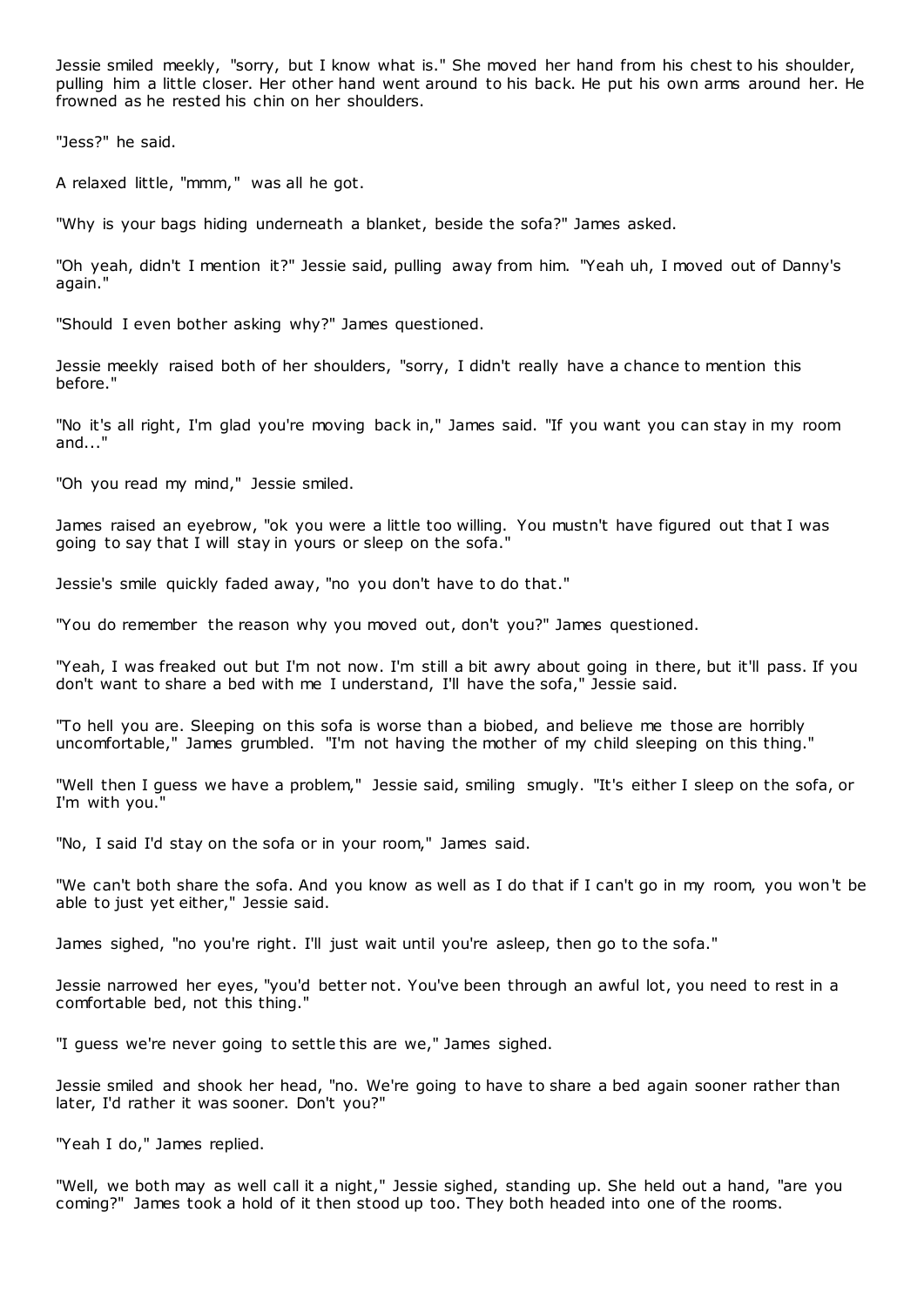Jessie smiled meekly, "sorry, but I know what is." She moved her hand from his chest to his shoulder, pulling him a little closer. Her other hand went around to his back. He put his own arms around her. He frowned as he rested his chin on her shoulders.

"Jess?" he said.

A relaxed little, "mmm," was all he got.

"Why is your bags hiding underneath a blanket, beside the sofa?" James asked.

"Oh yeah, didn't I mention it?" Jessie said, pulling away from him. "Yeah uh, I moved out of Danny's again."

"Should I even bother asking why?" James questioned.

Jessie meekly raised both of her shoulders, "sorry, I didn't really have a chance to mention this before."

"No it's all right, I'm glad you're moving back in," James said. "If you want you can stay in my room and..."

"Oh you read my mind," Jessie smiled.

James raised an eyebrow, "ok you were a little too willing. You mustn't have figured out that I was going to say that I will stay in yours or sleep on the sofa."

Jessie's smile quickly faded away, "no you don't have to do that."

"You do remember the reason why you moved out, don't you?" James questioned.

"Yeah, I was freaked out but I'm not now. I'm still a bit awry about going in there, but it'll pass. If you don't want to share a bed with me I understand, I'll have the sofa," Jessie said.

"To hell you are. Sleeping on this sofa is worse than a biobed, and believe me those are horribly uncomfortable," James grumbled. "I'm not having the mother of my child sleeping on this thing."

"Well then I guess we have a problem," Jessie said, smiling smugly. "It's either I sleep on the sofa, or I'm with you."

"No, I said I'd stay on the sofa or in your room," James said.

"We can't both share the sofa. And you know as well as I do that if I can't go in my room, you won't be able to just yet either," Jessie said.

James sighed, "no you're right. I'll just wait until you're asleep, then go to the sofa."

Jessie narrowed her eyes, "you'd better not. You've been through an awful lot, you need to rest in a comfortable bed, not this thing."

"I guess we're never going to settle this are we," James sighed.

Jessie smiled and shook her head, "no. We're going to have to share a bed again sooner rather than later, I'd rather it was sooner. Don't you?"

"Yeah I do," James replied.

"Well, we both may as well call it a night," Jessie sighed, standing up. She held out a hand, "are you coming?" James took a hold of it then stood up too. They both headed into one of the rooms.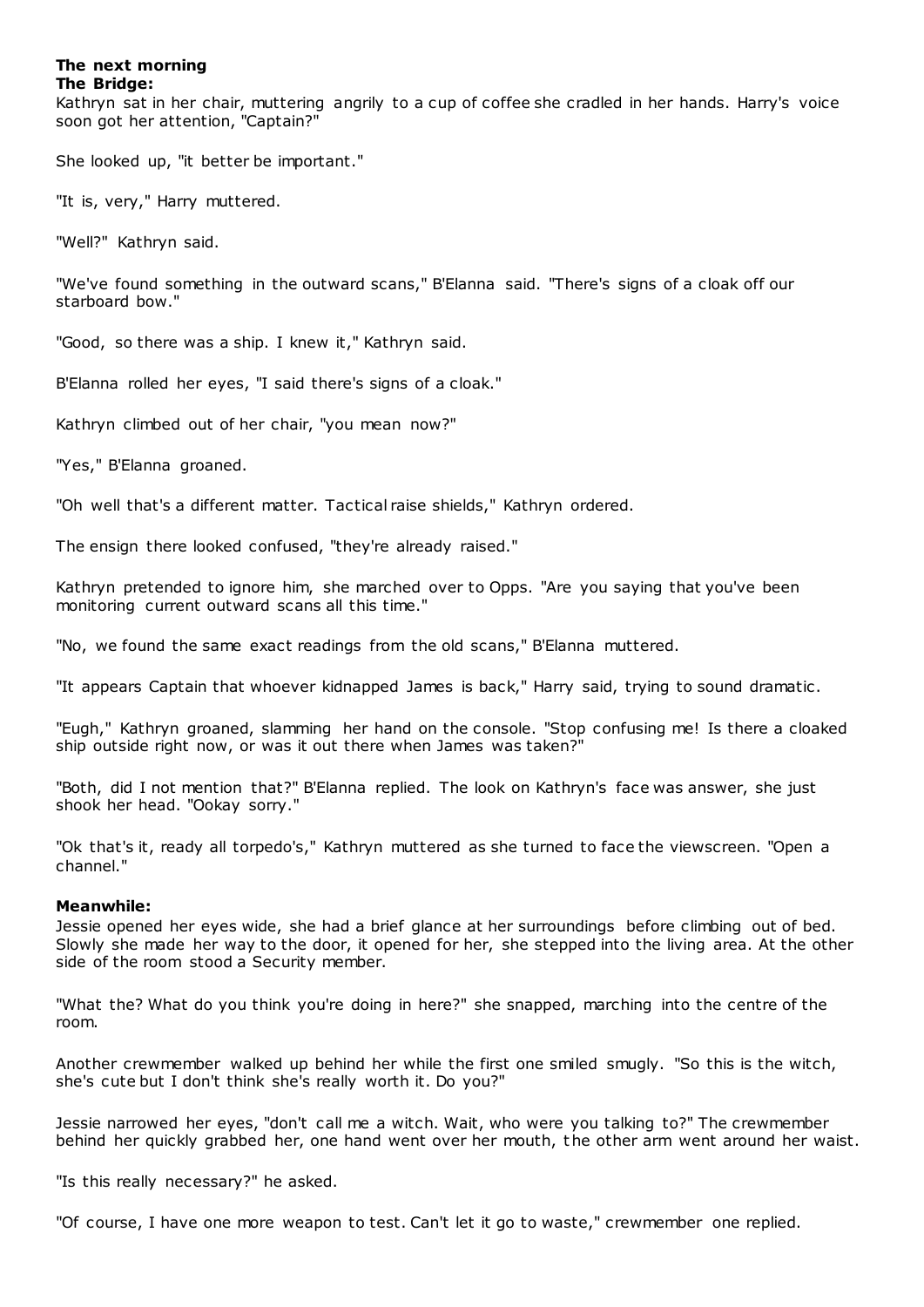# **The next morning The Bridge:**

Kathryn sat in her chair, muttering angrily to a cup of coffee she cradled in her hands. Harry's voice soon got her attention, "Captain?"

She looked up, "it better be important."

"It is, very," Harry muttered.

"Well?" Kathryn said.

"We've found something in the outward scans," B'Elanna said. "There's signs of a cloak off our starboard bow."

"Good, so there was a ship. I knew it," Kathryn said.

B'Elanna rolled her eyes, "I said there's signs of a cloak."

Kathryn climbed out of her chair, "you mean now?"

"Yes," B'Elanna groaned.

"Oh well that's a different matter. Tactical raise shields," Kathryn ordered.

The ensign there looked confused, "they're already raised."

Kathryn pretended to ignore him, she marched over to Opps. "Are you saying that you've been monitoring current outward scans all this time."

"No, we found the same exact readings from the old scans," B'Elanna muttered.

"It appears Captain that whoever kidnapped James is back," Harry said, trying to sound dramatic .

"Eugh," Kathryn groaned, slamming her hand on the console. "Stop confusing me! Is there a cloaked ship outside right now, or was it out there when James was taken?"

"Both, did I not mention that?" B'Elanna replied. The look on Kathryn's face was answer, she just shook her head. "Ookay sorry."

"Ok that's it, ready all torpedo's," Kathryn muttered as she turned to face the viewscreen. "Open a channel."

# **Meanwhile:**

Jessie opened her eyes wide, she had a brief glance at her surroundings before climbing out of bed. Slowly she made her way to the door, it opened for her, she stepped into the living area. At the other side of the room stood a Security member.

"What the? What do you think you're doing in here?" she snapped, marching into the centre of the room.

Another crewmember walked up behind her while the first one smiled smugly. "So this is the witch, she's cute but I don't think she's really worth it. Do you?"

Jessie narrowed her eyes, "don't call me a witch. Wait, who were you talking to?" The crewmember behind her quickly grabbed her, one hand went over her mouth, the other arm went around her waist.

"Is this really necessary?" he asked.

"Of course, I have one more weapon to test. Can't let it go to waste," crewmember one replied.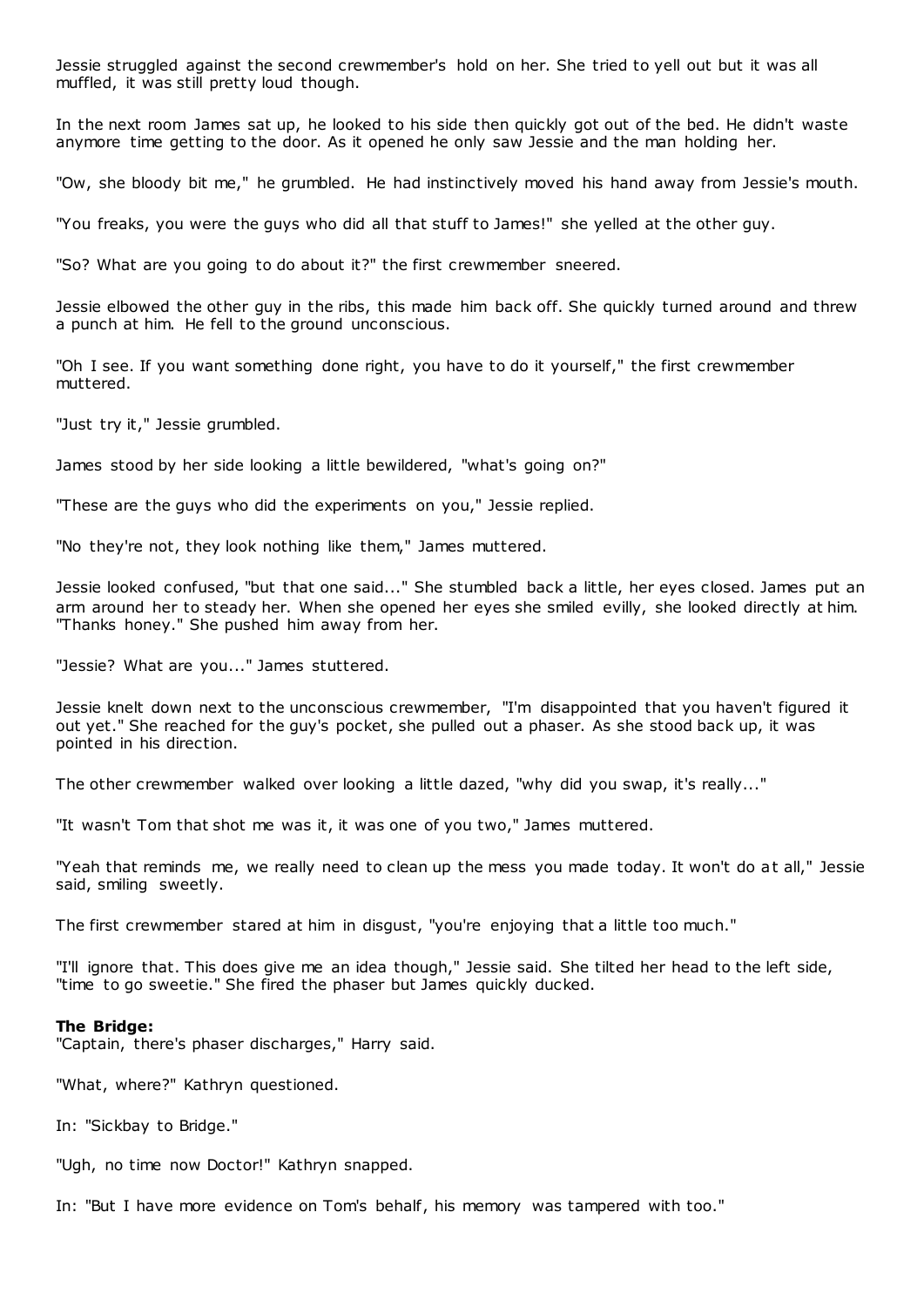Jessie struggled against the second crewmember's hold on her. She tried to yell out but it was all muffled, it was still pretty loud though.

In the next room James sat up, he looked to his side then quickly got out of the bed. He didn't waste anymore time getting to the door. As it opened he only saw Jessie and the man holding her.

"Ow, she bloody bit me," he grumbled. He had instinctively moved his hand away from Jessie's mouth.

"You freaks, you were the guys who did all that stuff to James!" she yelled at the other guy.

"So? What are you going to do about it?" the first crewmember sneered.

Jessie elbowed the other guy in the ribs, this made him back off. She quickly turned around and threw a punch at him. He fell to the ground unconscious.

"Oh I see. If you want something done right, you have to do it yourself," the first crewmember muttered.

"Just try it," Jessie grumbled.

James stood by her side looking a little bewildered, "what's going on?"

"These are the guys who did the experiments on you," Jessie replied.

"No they're not, they look nothing like them," James muttered.

Jessie looked confused, "but that one said..." She stumbled back a little, her eyes closed. James put an arm around her to steady her. When she opened her eyes she smiled evilly, she looked directly at him. "Thanks honey." She pushed him away from her.

"Jessie? What are you..." James stuttered.

Jessie knelt down next to the unconscious crewmember, "I'm disappointed that you haven't figured it out yet." She reached for the guy's pocket, she pulled out a phaser. As she stood back up, it was pointed in his direction.

The other crewmember walked over looking a little dazed, "why did you swap, it's really..."

"It wasn't Tom that shot me was it, it was one of you two," James muttered.

"Yeah that reminds me, we really need to clean up the mess you made today. It won't do at all," Jessie said, smiling sweetly.

The first crewmember stared at him in disgust, "you're enjoying that a little too much."

"I'll ignore that. This does give me an idea though," Jessie said. She tilted her head to the left side, "time to go sweetie." She fired the phaser but James quickly ducked.

#### **The Bridge:**

"Captain, there's phaser discharges," Harry said.

"What, where?" Kathryn questioned.

In: "Sickbay to Bridge."

"Ugh, no time now Doctor!" Kathryn snapped.

In: "But I have more evidence on Tom's behalf, his memory was tampered with too."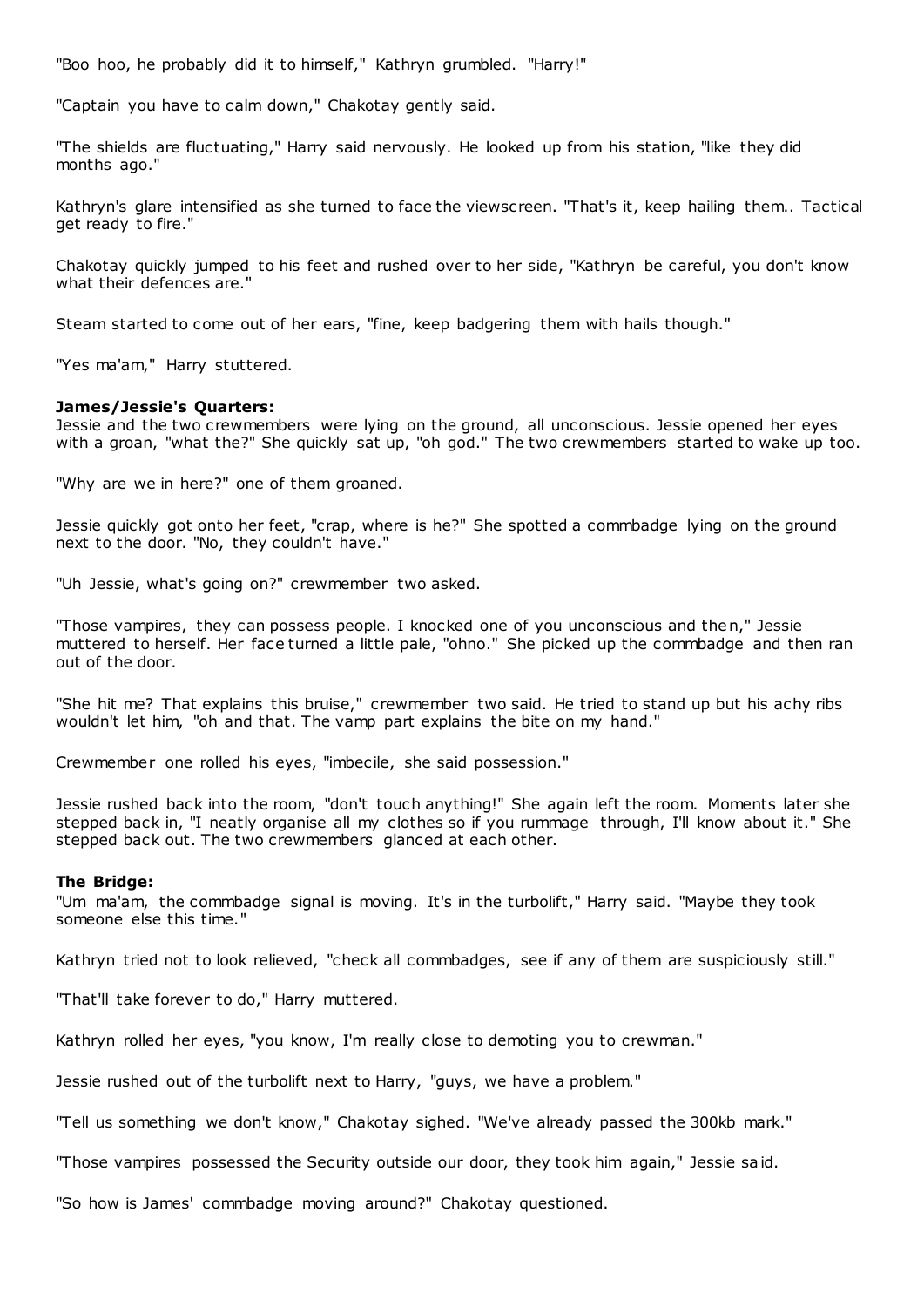"Boo hoo, he probably did it to himself," Kathryn grumbled. "Harry!"

"Captain you have to calm down," Chakotay gently said.

"The shields are fluctuating," Harry said nervously. He looked up from his station, "like they did months ago."

Kathryn's glare intensified as she turned to face the viewscreen. "That's it, keep hailing them.. Tactical get ready to fire."

Chakotay quickly jumped to his feet and rushed over to her side, "Kathryn be careful, you don't know what their defences are."

Steam started to come out of her ears, "fine, keep badgering them with hails though."

"Yes ma'am," Harry stuttered.

#### **James/Jessie's Quarters:**

Jessie and the two crewmembers were lying on the ground, all unconscious. Jessie opened her eyes with a groan, "what the?" She quickly sat up, "oh god." The two crewmembers started to wake up too.

"Why are we in here?" one of them groaned.

Jessie quickly got onto her feet, "crap, where is he?" She spotted a commbadge lying on the ground next to the door. "No, they couldn't have."

"Uh Jessie, what's going on?" crewmember two asked.

"Those vampires, they can possess people. I knocked one of you unconscious and then," Jessie muttered to herself. Her face turned a little pale, "ohno." She picked up the commbadge and then ran out of the door.

"She hit me? That explains this bruise," crewmember two said. He tried to stand up but his achy ribs wouldn't let him, "oh and that. The vamp part explains the bite on my hand."

Crewmember one rolled his eyes, "imbecile, she said possession."

Jessie rushed back into the room, "don't touch anything!" She again left the room. Moments later she stepped back in, "I neatly organise all my clothes so if you rummage through, I'll know about it." She stepped back out. The two crewmembers glanced at each other.

#### **The Bridge:**

"Um ma'am, the commbadge signal is moving. It's in the turbolift," Harry said. "Maybe they took someone else this time."

Kathryn tried not to look relieved, "check all commbadges, see if any of them are suspiciously still."

"That'll take forever to do," Harry muttered.

Kathryn rolled her eyes, "you know, I'm really close to demoting you to crewman."

Jessie rushed out of the turbolift next to Harry, "guys, we have a problem."

"Tell us something we don't know," Chakotay sighed. "We've already passed the 300kb mark."

"Those vampires possessed the Security outside our door, they took him again," Jessie said.

"So how is James' commbadge moving around?" Chakotay questioned.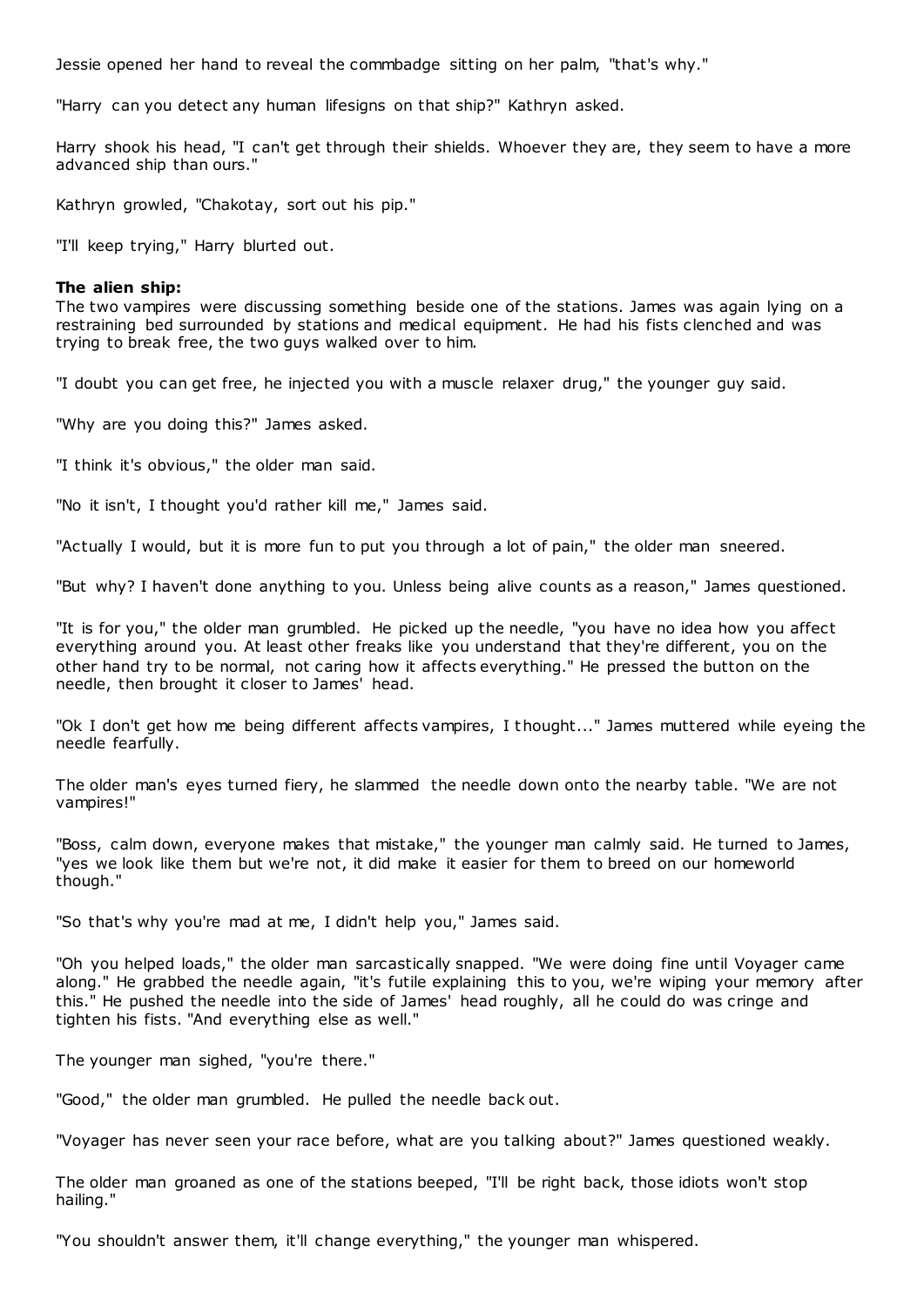Jessie opened her hand to reveal the commbadge sitting on her palm, "that's why."

"Harry can you detect any human lifesigns on that ship?" Kathryn asked.

Harry shook his head, "I can't get through their shields. Whoever they are, they seem to have a more advanced ship than ours."

Kathryn growled, "Chakotay, sort out his pip."

"I'll keep trying," Harry blurted out.

## **The alien ship:**

The two vampires were discussing something beside one of the stations. James was again lying on a restraining bed surrounded by stations and medical equipment. He had his fists clenched and was trying to break free, the two guys walked over to him.

"I doubt you can get free, he injected you with a muscle relaxer drug," the younger guy said.

"Why are you doing this?" James asked.

"I think it's obvious," the older man said.

"No it isn't, I thought you'd rather kill me," James said.

"Actually I would, but it is more fun to put you through a lot of pain," the older man sneered.

"But why? I haven't done anything to you. Unless being alive counts as a reason," James questioned.

"It is for you," the older man grumbled. He picked up the needle, "you have no idea how you affect everything around you. At least other freaks like you understand that they're different, you on the other hand try to be normal, not caring how it affects everything." He pressed the button on the needle, then brought it closer to James' head.

"Ok I don't get how me being different affects vampires, I thought..." James muttered while eyeing the needle fearfully.

The older man's eyes turned fiery, he slammed the needle down onto the nearby table. "We are not vampires!"

"Boss, calm down, everyone makes that mistake," the younger man calmly said. He turned to James, "yes we look like them but we're not, it did make it easier for them to breed on our homeworld though."

"So that's why you're mad at me, I didn't help you," James said.

"Oh you helped loads," the older man sarcastically snapped. "We were doing fine until Voyager came along." He grabbed the needle again, "it's futile explaining this to you, we're wiping your memory after this." He pushed the needle into the side of James' head roughly, all he could do was cringe and tighten his fists. "And everything else as well."

The younger man sighed, "you're there."

"Good," the older man grumbled. He pulled the needle back out.

"Voyager has never seen your race before, what are you talking about?" James questioned weakly.

The older man groaned as one of the stations beeped, "I'll be right back, those idiots won't stop hailing."

"You shouldn't answer them, it'll change everything," the younger man whispered.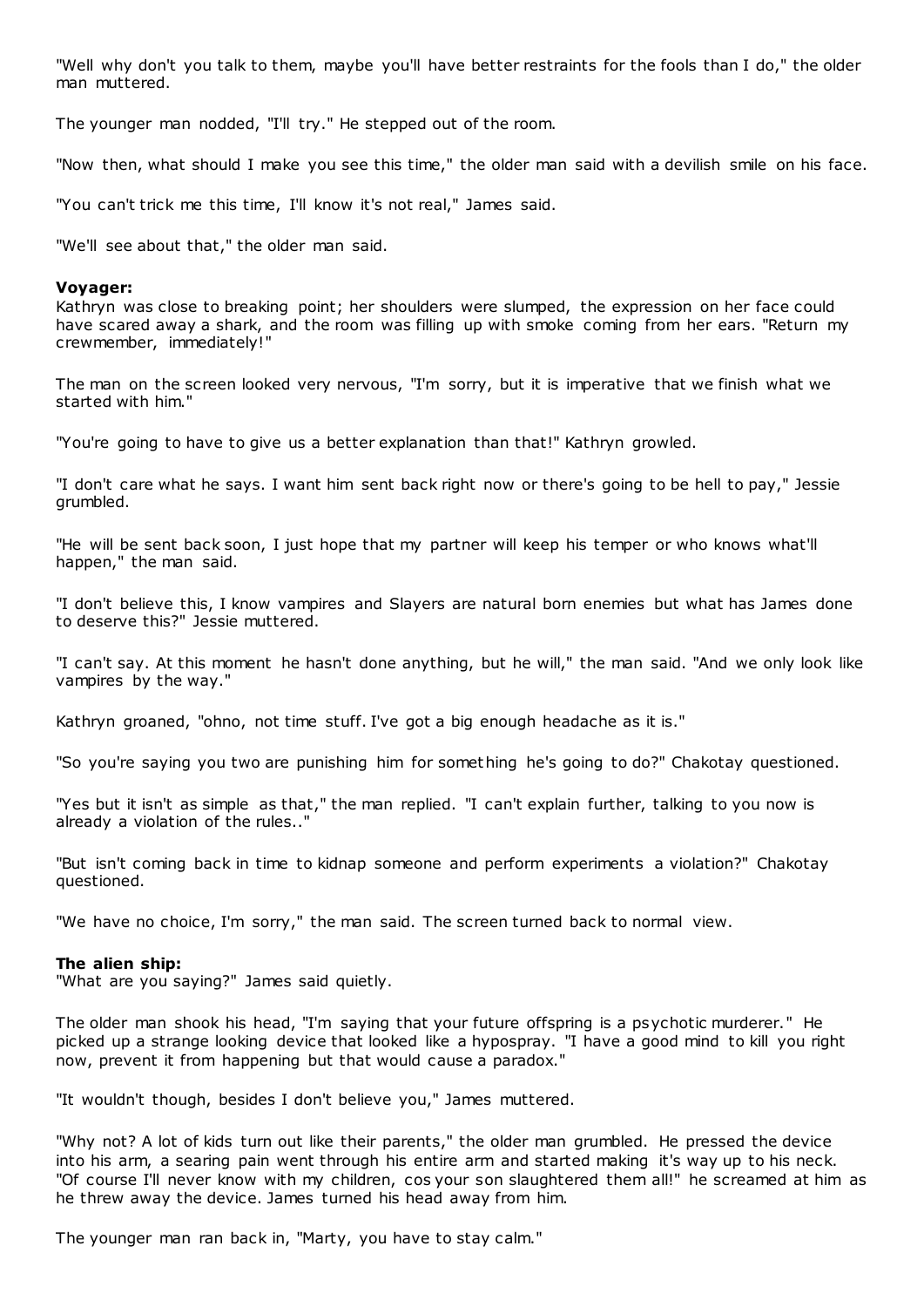"Well why don't you talk to them, maybe you'll have better restraints for the fools than I do," the older man muttered.

The younger man nodded, "I'll try." He stepped out of the room.

"Now then, what should I make you see this time," the older man said with a devilish smile on his face.

"You can't trick me this time, I'll know it's not real," James said.

"We'll see about that," the older man said.

### **Voyager:**

Kathryn was close to breaking point; her shoulders were slumped, the expression on her face could have scared away a shark, and the room was filling up with smoke coming from her ears. "Return my crewmember, immediately!"

The man on the screen looked very nervous, "I'm sorry, but it is imperative that we finish what we started with him."

"You're going to have to give us a better explanation than that!" Kathryn growled.

"I don't care what he says. I want him sent back right now or there's going to be hell to pay," Jessie grumbled.

"He will be sent back soon, I just hope that my partner will keep his temper or who knows what'll happen," the man said.

"I don't believe this, I know vampires and Slayers are natural born enemies but what has James done to deserve this?" Jessie muttered.

"I can't say. At this moment he hasn't done anything, but he will," the man said. "And we only look like vampires by the way."

Kathryn groaned, "ohno, not time stuff. I've got a big enough headache as it is."

"So you're saying you two are punishing him for something he's going to do?" Chakotay questioned.

"Yes but it isn't as simple as that," the man replied. "I can't explain further, talking to you now is already a violation of the rules.."

"But isn't coming back in time to kidnap someone and perform experiments a violation?" Chakotay questioned.

"We have no choice, I'm sorry," the man said. The screen turned back to normal view.

### **The alien ship:**

"What are you saying?" James said quietly.

The older man shook his head, "I'm saying that your future offspring is a psychotic murderer." He picked up a strange looking device that looked like a hypospray. "I have a good mind to kill you right now, prevent it from happening but that would cause a paradox."

"It wouldn't though, besides I don't believe you," James muttered.

"Why not? A lot of kids turn out like their parents," the older man grumbled. He pressed the device into his arm, a searing pain went through his entire arm and started making it's way up to his neck. "Of course I'll never know with my children, cos your son slaughtered them all!" he screamed at him as he threw away the device. James turned his head away from him.

The younger man ran back in, "Marty, you have to stay calm."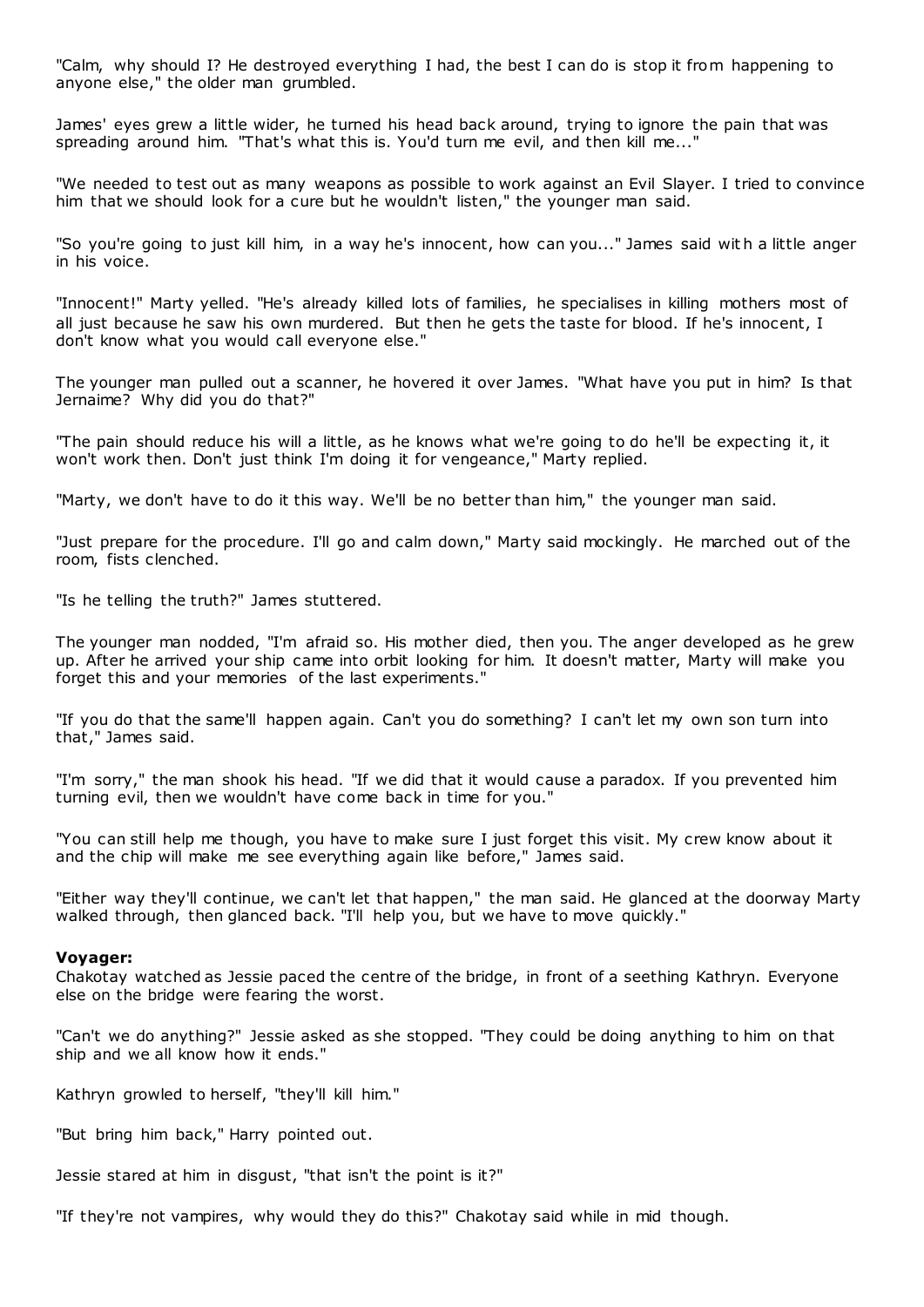"Calm, why should I? He destroyed everything I had, the best I can do is stop it from happening to anyone else," the older man grumbled.

James' eyes grew a little wider, he turned his head back around, trying to ignore the pain that was spreading around him. "That's what this is. You'd turn me evil, and then kill me..."

"We needed to test out as many weapons as possible to work against an Evil Slayer. I tried to convince him that we should look for a cure but he wouldn't listen," the younger man said.

"So you're going to just kill him, in a way he's innocent, how can you..." James said wit h a little anger in his voice.

"Innocent!" Marty yelled. "He's already killed lots of families, he specialises in killing mothers most of all just because he saw his own murdered. But then he gets the taste for blood. If he's innocent, I don't know what you would call everyone else."

The younger man pulled out a scanner, he hovered it over James. "What have you put in him? Is that Jernaime? Why did you do that?"

"The pain should reduce his will a little, as he knows what we're going to do he'll be expecting it, it won't work then. Don't just think I'm doing it for vengeance," Marty replied.

"Marty, we don't have to do it this way. We'll be no better than him," the younger man said.

"Just prepare for the procedure. I'll go and calm down," Marty said mockingly. He marched out of the room, fists clenched.

"Is he telling the truth?" James stuttered.

The younger man nodded, "I'm afraid so. His mother died, then you. The anger developed as he grew up. After he arrived your ship came into orbit looking for him. It doesn't matter, Marty will make you forget this and your memories of the last experiments."

"If you do that the same'll happen again. Can't you do something? I can't let my own son turn into that," James said.

"I'm sorry," the man shook his head. "If we did that it would cause a paradox. If you prevented him turning evil, then we wouldn't have come back in time for you."

"You can still help me though, you have to make sure I just forget this visit. My crew know about it and the chip will make me see everything again like before," James said.

"Either way they'll continue, we can't let that happen," the man said. He glanced at the doorway Marty walked through, then glanced back. "I'll help you, but we have to move quickly."

# **Voyager:**

Chakotay watched as Jessie paced the centre of the bridge, in front of a seething Kathryn. Everyone else on the bridge were fearing the worst.

"Can't we do anything?" Jessie asked as she stopped. "They could be doing anything to him on that ship and we all know how it ends."

Kathryn growled to herself, "they'll kill him."

"But bring him back," Harry pointed out.

Jessie stared at him in disgust, "that isn't the point is it?"

"If they're not vampires, why would they do this?" Chakotay said while in mid though.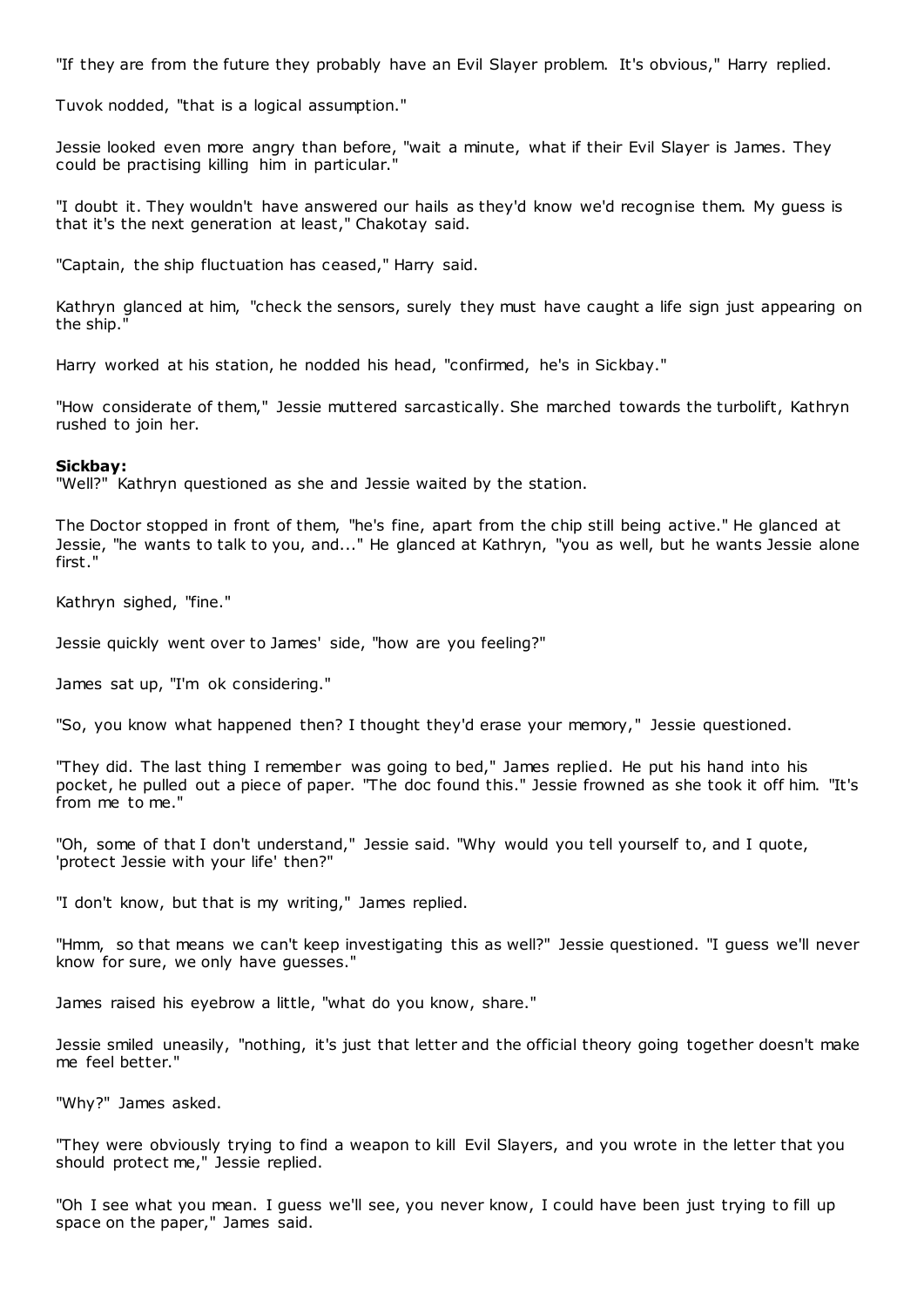"If they are from the future they probably have an Evil Slayer problem. It's obvious," Harry replied.

Tuvok nodded, "that is a logical assumption."

Jessie looked even more angry than before, "wait a minute, what if their Evil Slayer is James. They could be practising killing him in particular."

"I doubt it. They wouldn't have answered our hails as they'd know we'd recognise them. My guess is that it's the next generation at least," Chakotay said.

"Captain, the ship fluctuation has ceased," Harry said.

Kathryn glanced at him, "check the sensors, surely they must have caught a life sign just appearing on the ship."

Harry worked at his station, he nodded his head, "confirmed, he's in Sickbay."

"How considerate of them," Jessie muttered sarcastically. She marched towards the turbolift, Kathryn rushed to join her.

#### **Sickbay:**

"Well?" Kathryn questioned as she and Jessie waited by the station.

The Doctor stopped in front of them, "he's fine, apart from the chip still being active." He glanced at Jessie, "he wants to talk to you, and..." He glanced at Kathryn, "you as well, but he wants Jessie alone first."

Kathryn sighed, "fine."

Jessie quickly went over to James' side, "how are you feeling?"

James sat up, "I'm ok considering."

"So, you know what happened then? I thought they'd erase your memory," Jessie questioned.

"They did. The last thing I remember was going to bed," James replied. He put his hand into his pocket, he pulled out a piece of paper. "The doc found this." Jessie frowned as she took it off him. "It's from me to me."

"Oh, some of that I don't understand," Jessie said. "Why would you tell yourself to, and I quote, 'protect Jessie with your life' then?"

"I don't know, but that is my writing," James replied.

"Hmm, so that means we can't keep investigating this as well?" Jessie questioned. "I guess we'll never know for sure, we only have guesses."

James raised his eyebrow a little, "what do you know, share."

Jessie smiled uneasily, "nothing, it's just that letter and the official theory going together doesn't make me feel better."

"Why?" James asked.

"They were obviously trying to find a weapon to kill Evil Slayers, and you wrote in the letter that you should protect me," Jessie replied.

"Oh I see what you mean. I guess we'll see, you never know, I could have been just trying to fill up space on the paper," James said.